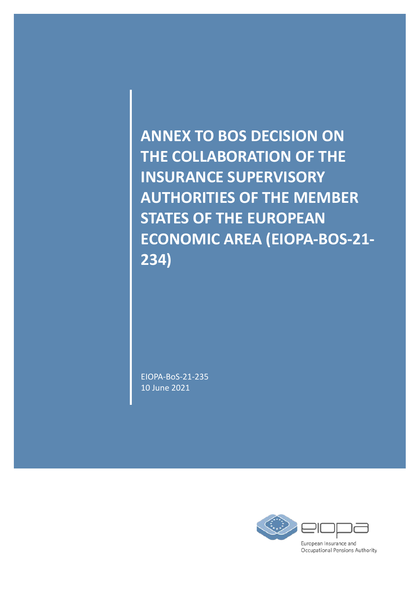**ANNEX TO BOS DECISION ON THE COLLABORATION OF THE INSURANCE SUPERVISORY AUTHORITIES OF THE MEMBER STATES OF THE EUROPEAN ECONOMIC AREA (EIOPA-BOS-21- 234)** 

EIOPA-BoS-21-235 10 June 2021

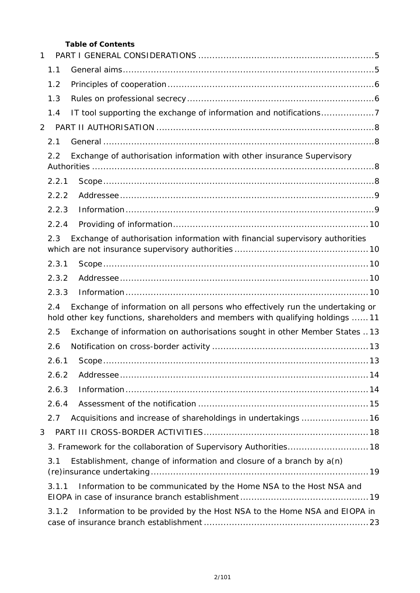#### **Table of Contents**

| 1 |                                                                                                                                                                         |                                                                              |  |  |
|---|-------------------------------------------------------------------------------------------------------------------------------------------------------------------------|------------------------------------------------------------------------------|--|--|
|   | 1.1                                                                                                                                                                     |                                                                              |  |  |
|   | 1.2                                                                                                                                                                     |                                                                              |  |  |
|   | 1.3                                                                                                                                                                     |                                                                              |  |  |
|   | 1.4                                                                                                                                                                     | IT tool supporting the exchange of information and notifications7            |  |  |
| 2 |                                                                                                                                                                         |                                                                              |  |  |
|   | 2.1                                                                                                                                                                     |                                                                              |  |  |
|   | 2.2                                                                                                                                                                     | Exchange of authorisation information with other insurance Supervisory       |  |  |
|   | 2.2.1                                                                                                                                                                   |                                                                              |  |  |
|   | 2.2.2                                                                                                                                                                   |                                                                              |  |  |
|   | 2.2.3                                                                                                                                                                   |                                                                              |  |  |
|   | 2.2.4                                                                                                                                                                   |                                                                              |  |  |
|   | 2.3                                                                                                                                                                     | Exchange of authorisation information with financial supervisory authorities |  |  |
|   | 2.3.1                                                                                                                                                                   |                                                                              |  |  |
|   | 2.3.2                                                                                                                                                                   |                                                                              |  |  |
|   | 2.3.3                                                                                                                                                                   |                                                                              |  |  |
|   | Exchange of information on all persons who effectively run the undertaking or<br>2.4<br>hold other key functions, shareholders and members with qualifying holdings  11 |                                                                              |  |  |
|   | 2.5                                                                                                                                                                     | Exchange of information on authorisations sought in other Member States  13  |  |  |
|   | 2.6                                                                                                                                                                     |                                                                              |  |  |
|   | 2.6.1                                                                                                                                                                   |                                                                              |  |  |
|   | 2.6.2                                                                                                                                                                   |                                                                              |  |  |
|   | 2.6.3                                                                                                                                                                   |                                                                              |  |  |
|   | 2.6.4                                                                                                                                                                   |                                                                              |  |  |
|   | 2.7                                                                                                                                                                     | Acquisitions and increase of shareholdings in undertakings  16               |  |  |
| 3 |                                                                                                                                                                         |                                                                              |  |  |
|   |                                                                                                                                                                         | 3. Framework for the collaboration of Supervisory Authorities 18             |  |  |
|   | 3.1                                                                                                                                                                     | Establishment, change of information and closure of a branch by $a(n)$       |  |  |
|   | 3.1.1                                                                                                                                                                   | Information to be communicated by the Home NSA to the Host NSA and           |  |  |
|   | 3.1.2                                                                                                                                                                   | Information to be provided by the Host NSA to the Home NSA and EIOPA in      |  |  |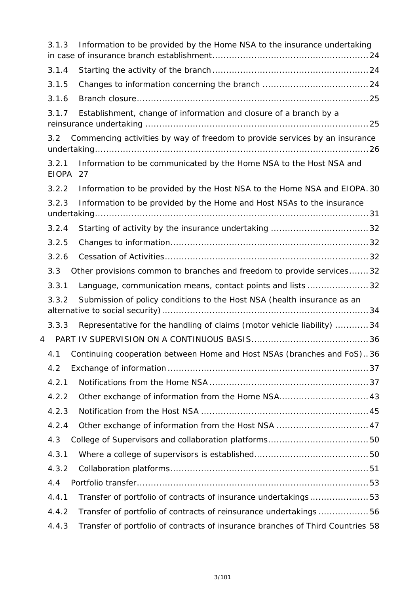|   | 3.1.3                 | Information to be provided by the Home NSA to the insurance undertaking        |  |
|---|-----------------------|--------------------------------------------------------------------------------|--|
|   | 3.1.4                 |                                                                                |  |
|   | 3.1.5                 |                                                                                |  |
|   | 3.1.6                 |                                                                                |  |
|   | 3.1.7                 | Establishment, change of information and closure of a branch by a              |  |
|   | $3.2^{\circ}$         | Commencing activities by way of freedom to provide services by an insurance    |  |
|   | 3.2.1<br><b>EIOPA</b> | Information to be communicated by the Home NSA to the Host NSA and<br>27       |  |
|   | 3.2.2                 | Information to be provided by the Host NSA to the Home NSA and EIOPA. 30       |  |
|   | 3.2.3                 | Information to be provided by the Home and Host NSAs to the insurance          |  |
|   |                       |                                                                                |  |
|   | 3.2.4                 |                                                                                |  |
|   | 3.2.5                 |                                                                                |  |
|   | 3.2.6                 |                                                                                |  |
|   | 3.3                   | Other provisions common to branches and freedom to provide services32          |  |
|   | 3.3.1                 | Language, communication means, contact points and lists 32                     |  |
|   | 3.3.2                 | Submission of policy conditions to the Host NSA (health insurance as an        |  |
|   | 3.3.3                 | Representative for the handling of claims (motor vehicle liability) 34         |  |
| 4 |                       |                                                                                |  |
|   |                       | 4.1 Continuing cooperation between Home and Host NSAs (branches and FoS)36     |  |
|   | 4.2                   |                                                                                |  |
|   | 4.2.1                 |                                                                                |  |
|   | 4.2.2                 | Other exchange of information from the Home NSA 43                             |  |
|   | 4.2.3                 |                                                                                |  |
|   | 4.2.4                 | Other exchange of information from the Host NSA  47                            |  |
|   | 4.3                   |                                                                                |  |
|   | 4.3.1                 |                                                                                |  |
|   | 4.3.2                 |                                                                                |  |
|   | 4.4                   |                                                                                |  |
|   | 4.4.1                 | Transfer of portfolio of contracts of insurance undertakings53                 |  |
|   | 4.4.2                 | Transfer of portfolio of contracts of reinsurance undertakings56               |  |
|   | 4.4.3                 | Transfer of portfolio of contracts of insurance branches of Third Countries 58 |  |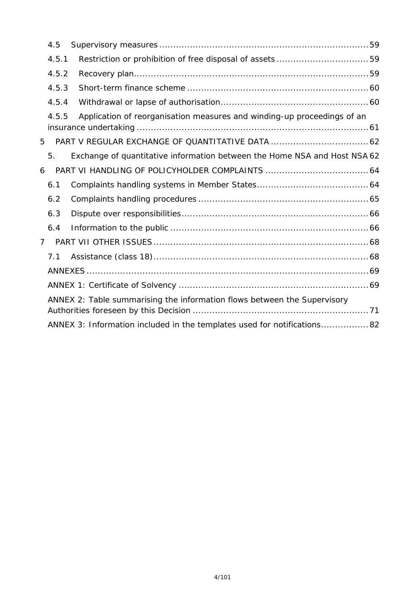| Application of reorganisation measures and winding-up proceedings of an   |                                                                                                                                                                                         |
|---------------------------------------------------------------------------|-----------------------------------------------------------------------------------------------------------------------------------------------------------------------------------------|
|                                                                           |                                                                                                                                                                                         |
| Exchange of quantitative information between the Home NSA and Host NSA 62 |                                                                                                                                                                                         |
|                                                                           |                                                                                                                                                                                         |
|                                                                           |                                                                                                                                                                                         |
|                                                                           |                                                                                                                                                                                         |
|                                                                           |                                                                                                                                                                                         |
|                                                                           |                                                                                                                                                                                         |
|                                                                           |                                                                                                                                                                                         |
|                                                                           |                                                                                                                                                                                         |
|                                                                           |                                                                                                                                                                                         |
|                                                                           |                                                                                                                                                                                         |
|                                                                           |                                                                                                                                                                                         |
|                                                                           |                                                                                                                                                                                         |
| 4.5<br>4.5.1<br>5.<br>6.1<br>6.2<br>6.3<br>6.4<br>7 <sup>7</sup><br>7.1   | 4.5.2<br>4.5.3<br>4.5.4<br>4.5.5<br>ANNEX 2: Table summarising the information flows between the Supervisory<br>ANNEX 3: Information included in the templates used for notifications82 |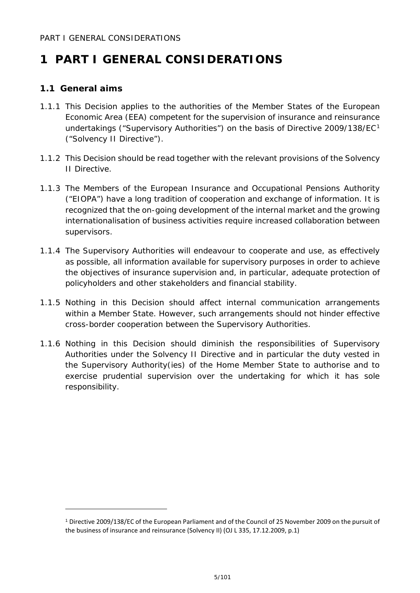## <span id="page-4-0"></span>**1 PART I GENERAL CONSIDERATIONS**

## <span id="page-4-1"></span>**1.1 General aims**

- 1.1.1 This Decision applies to the authorities of the Member States of the European Economic Area (EEA) competent for the supervision of insurance and reinsurance undertakings ("Supervisory Authorities") on the basis of Directive 2009/[1](#page-4-2)38/EC<sup>1</sup> ("Solvency II Directive").
- 1.1.2 This Decision should be read together with the relevant provisions of the Solvency II Directive.
- 1.1.3 The Members of the European Insurance and Occupational Pensions Authority ("EIOPA") have a long tradition of cooperation and exchange of information. It is recognized that the on-going development of the internal market and the growing internationalisation of business activities require increased collaboration between supervisors.
- 1.1.4 The Supervisory Authorities will endeavour to cooperate and use, as effectively as possible, all information available for supervisory purposes in order to achieve the objectives of insurance supervision and, in particular, adequate protection of policyholders and other stakeholders and financial stability.
- 1.1.5 Nothing in this Decision should affect internal communication arrangements within a Member State. However, such arrangements should not hinder effective cross-border cooperation between the Supervisory Authorities.
- 1.1.6 Nothing in this Decision should diminish the responsibilities of Supervisory Authorities under the Solvency II Directive and in particular the duty vested in the Supervisory Authority(ies) of the Home Member State to authorise and to exercise prudential supervision over the undertaking for which it has sole responsibility.

<span id="page-4-2"></span><sup>1</sup> Directive 2009/138/EC of the European Parliament and of the Council of 25 November 2009 on the pursuit of the business of insurance and reinsurance (Solvency II) (OJ L 335, 17.12.2009, p.1)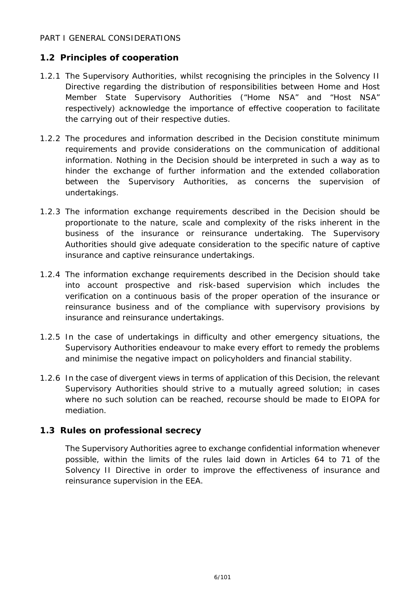#### PART I GENERAL CONSIDERATIONS

## <span id="page-5-0"></span>**1.2 Principles of cooperation**

- 1.2.1 The Supervisory Authorities, whilst recognising the principles in the Solvency II Directive regarding the distribution of responsibilities between Home and Host Member State Supervisory Authorities ("Home NSA" and "Host NSA" respectively) acknowledge the importance of effective cooperation to facilitate the carrying out of their respective duties.
- 1.2.2 The procedures and information described in the Decision constitute minimum requirements and provide considerations on the communication of additional information. Nothing in the Decision should be interpreted in such a way as to hinder the exchange of further information and the extended collaboration between the Supervisory Authorities, as concerns the supervision of undertakings.
- 1.2.3 The information exchange requirements described in the Decision should be proportionate to the nature, scale and complexity of the risks inherent in the business of the insurance or reinsurance undertaking. The Supervisory Authorities should give adequate consideration to the specific nature of captive insurance and captive reinsurance undertakings.
- 1.2.4 The information exchange requirements described in the Decision should take into account prospective and risk-based supervision which includes the verification on a continuous basis of the proper operation of the insurance or reinsurance business and of the compliance with supervisory provisions by insurance and reinsurance undertakings.
- 1.2.5 In the case of undertakings in difficulty and other emergency situations, the Supervisory Authorities endeavour to make every effort to remedy the problems and minimise the negative impact on policyholders and financial stability.
- 1.2.6 In the case of divergent views in terms of application of this Decision, the relevant Supervisory Authorities should strive to a mutually agreed solution; in cases where no such solution can be reached, recourse should be made to EIOPA for mediation.

#### <span id="page-5-1"></span>**1.3 Rules on professional secrecy**

The Supervisory Authorities agree to exchange confidential information whenever possible, within the limits of the rules laid down in Articles 64 to 71 of the Solvency II Directive in order to improve the effectiveness of insurance and reinsurance supervision in the EEA.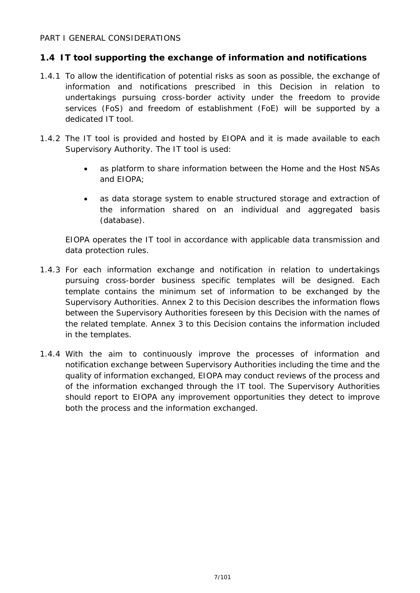#### PART I GENERAL CONSIDERATIONS

## <span id="page-6-0"></span>**1.4 IT tool supporting the exchange of information and notifications**

- 1.4.1 To allow the identification of potential risks as soon as possible, the exchange of information and notifications prescribed in this Decision in relation to undertakings pursuing cross-border activity under the freedom to provide services (FoS) and freedom of establishment (FoE) will be supported by a dedicated IT tool.
- 1.4.2 The IT tool is provided and hosted by EIOPA and it is made available to each Supervisory Authority. The IT tool is used:
	- as platform to share information between the Home and the Host NSAs and EIOPA;
	- as data storage system to enable structured storage and extraction of the information shared on an individual and aggregated basis (database).

EIOPA operates the IT tool in accordance with applicable data transmission and data protection rules.

- 1.4.3 For each information exchange and notification in relation to undertakings pursuing cross-border business specific templates will be designed. Each template contains the minimum set of information to be exchanged by the Supervisory Authorities. Annex 2 to this Decision describes the information flows between the Supervisory Authorities foreseen by this Decision with the names of the related template. Annex 3 to this Decision contains the information included in the templates.
- 1.4.4 With the aim to continuously improve the processes of information and notification exchange between Supervisory Authorities including the time and the quality of information exchanged, EIOPA may conduct reviews of the process and of the information exchanged through the IT tool. The Supervisory Authorities should report to EIOPA any improvement opportunities they detect to improve both the process and the information exchanged.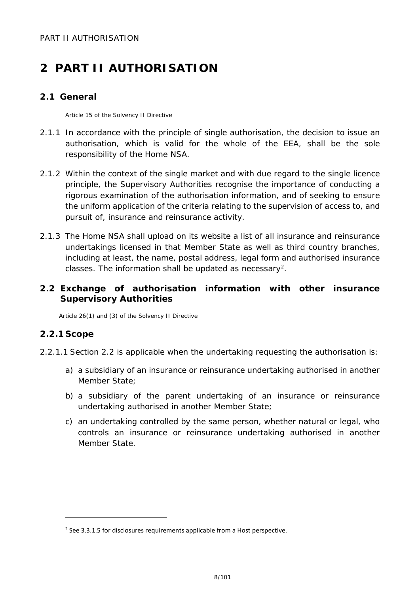## <span id="page-7-1"></span><span id="page-7-0"></span>**2.1 General**

Article 15 of the Solvency II Directive

- 2.1.1 In accordance with the principle of single authorisation, the decision to issue an authorisation, which is valid for the whole of the EEA, shall be the sole responsibility of the Home NSA.
- 2.1.2 Within the context of the single market and with due regard to the single licence principle, the Supervisory Authorities recognise the importance of conducting a rigorous examination of the authorisation information, and of seeking to ensure the uniform application of the criteria relating to the supervision of access to, and pursuit of, insurance and reinsurance activity.
- 2.1.3 The Home NSA shall upload on its website a list of all insurance and reinsurance undertakings licensed in that Member State as well as third country branches, including at least, the name, postal address, legal form and authorised insurance classes. The information shall be updated as necessary[2.](#page-7-4)

## <span id="page-7-2"></span>**2.2 Exchange of authorisation information with other insurance Supervisory Authorities**

Article 26(1) and (3) of the Solvency II Directive

## <span id="page-7-3"></span>**2.2.1 Scope**

j.

- 2.2.1.1 Section 2.2 is applicable when the undertaking requesting the authorisation is:
	- a) a subsidiary of an insurance or reinsurance undertaking authorised in another Member State;
	- b) a subsidiary of the parent undertaking of an insurance or reinsurance undertaking authorised in another Member State;
	- c) an undertaking controlled by the same person, whether natural or legal, who controls an insurance or reinsurance undertaking authorised in another Member State.

<span id="page-7-4"></span><sup>&</sup>lt;sup>2</sup> See 3.3.1.5 for disclosures requirements applicable from a Host perspective.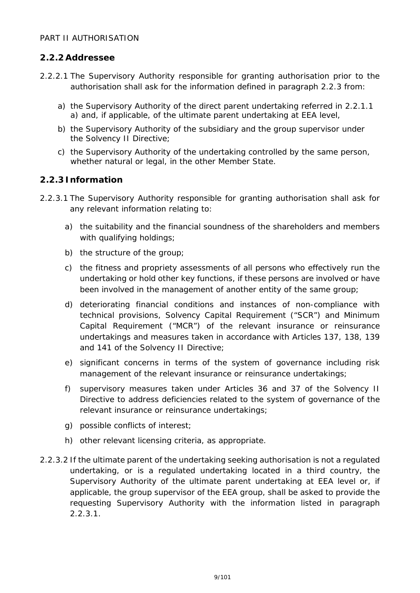## <span id="page-8-0"></span>**2.2.2Addressee**

- 2.2.2.1 The Supervisory Authority responsible for granting authorisation prior to the authorisation shall ask for the information defined in paragraph 2.2.3 from:
	- a) the Supervisory Authority of the direct parent undertaking referred in 2.2.1.1 a) and, if applicable, of the ultimate parent undertaking at EEA level,
	- b) the Supervisory Authority of the subsidiary and the group supervisor under the Solvency II Directive;
	- c) the Supervisory Authority of the undertaking controlled by the same person, whether natural or legal, in the other Member State.

## <span id="page-8-1"></span>**2.2.3 Information**

- 2.2.3.1 The Supervisory Authority responsible for granting authorisation shall ask for any relevant information relating to:
	- a) the suitability and the financial soundness of the shareholders and members with qualifying holdings;
	- b) the structure of the group;
	- c) the fitness and propriety assessments of all persons who effectively run the undertaking or hold other key functions, if these persons are involved or have been involved in the management of another entity of the same group;
	- d) deteriorating financial conditions and instances of non-compliance with technical provisions, Solvency Capital Requirement ("SCR") and Minimum Capital Requirement ("MCR") of the relevant insurance or reinsurance undertakings and measures taken in accordance with Articles 137, 138, 139 and 141 of the Solvency II Directive;
	- e) significant concerns in terms of the system of governance including risk management of the relevant insurance or reinsurance undertakings;
	- f) supervisory measures taken under Articles 36 and 37 of the Solvency II Directive to address deficiencies related to the system of governance of the relevant insurance or reinsurance undertakings;
	- g) possible conflicts of interest;
	- h) other relevant licensing criteria, as appropriate.
- 2.2.3.2 If the ultimate parent of the undertaking seeking authorisation is not a regulated undertaking, or is a regulated undertaking located in a third country, the Supervisory Authority of the ultimate parent undertaking at EEA level or, if applicable, the group supervisor of the EEA group, shall be asked to provide the requesting Supervisory Authority with the information listed in paragraph 2.2.3.1.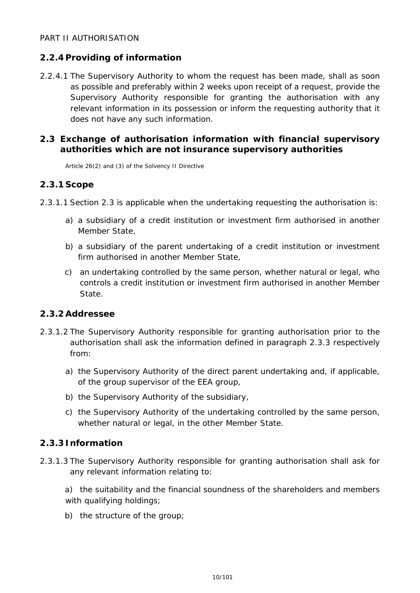## <span id="page-9-0"></span>**2.2.4 Providing of information**

2.2.4.1 The Supervisory Authority to whom the request has been made, shall as soon as possible and preferably within 2 weeks upon receipt of a request, provide the Supervisory Authority responsible for granting the authorisation with any relevant information in its possession or inform the requesting authority that it does not have any such information.

## <span id="page-9-1"></span>**2.3 Exchange of authorisation information with financial supervisory authorities which are not insurance supervisory authorities**

Article 26(2) and (3) of the Solvency II Directive

## <span id="page-9-2"></span>**2.3.1 Scope**

- 2.3.1.1 Section 2.3 is applicable when the undertaking requesting the authorisation is:
	- a) a subsidiary of a credit institution or investment firm authorised in another Member State,
	- b) a subsidiary of the parent undertaking of a credit institution or investment firm authorised in another Member State,
	- c) an undertaking controlled by the same person, whether natural or legal, who controls a credit institution or investment firm authorised in another Member State.

## <span id="page-9-3"></span>**2.3.2Addressee**

- 2.3.1.2 The Supervisory Authority responsible for granting authorisation prior to the authorisation shall ask the information defined in paragraph 2.3.3 respectively from:
	- a) the Supervisory Authority of the direct parent undertaking and, if applicable, of the group supervisor of the EEA group,
	- b) the Supervisory Authority of the subsidiary,
	- c) the Supervisory Authority of the undertaking controlled by the same person, whether natural or legal, in the other Member State.

## <span id="page-9-4"></span>**2.3.3 Information**

- 2.3.1.3 The Supervisory Authority responsible for granting authorisation shall ask for any relevant information relating to:
	- a) the suitability and the financial soundness of the shareholders and members with qualifying holdings;
	- b) the structure of the group;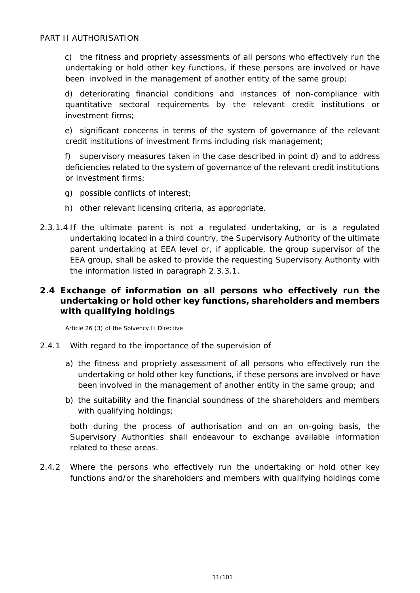c) the fitness and propriety assessments of all persons who effectively run the undertaking or hold other key functions, if these persons are involved or have been involved in the management of another entity of the same group;

d) deteriorating financial conditions and instances of non-compliance with quantitative sectoral requirements by the relevant credit institutions or investment firms;

e) significant concerns in terms of the system of governance of the relevant credit institutions of investment firms including risk management;

f) supervisory measures taken in the case described in point d) and to address deficiencies related to the system of governance of the relevant credit institutions or investment firms;

- g) possible conflicts of interest;
- h) other relevant licensing criteria, as appropriate.
- 2.3.1.4 If the ultimate parent is not a regulated undertaking, or is a regulated undertaking located in a third country, the Supervisory Authority of the ultimate parent undertaking at EEA level or, if applicable, the group supervisor of the EEA group, shall be asked to provide the requesting Supervisory Authority with the information listed in paragraph 2.3.3.1.

## <span id="page-10-0"></span>**2.4 Exchange of information on all persons who effectively run the undertaking or hold other key functions, shareholders and members with qualifying holdings**

Article 26 (3) of the Solvency II Directive

- 2.4.1 With regard to the importance of the supervision of
	- a) the fitness and propriety assessment of all persons who effectively run the undertaking or hold other key functions, if these persons are involved or have been involved in the management of another entity in the same group; and
	- b) the suitability and the financial soundness of the shareholders and members with qualifying holdings;

both during the process of authorisation and on an on-going basis, the Supervisory Authorities shall endeavour to exchange available information related to these areas.

2.4.2 Where the persons who effectively run the undertaking or hold other key functions and/or the shareholders and members with qualifying holdings come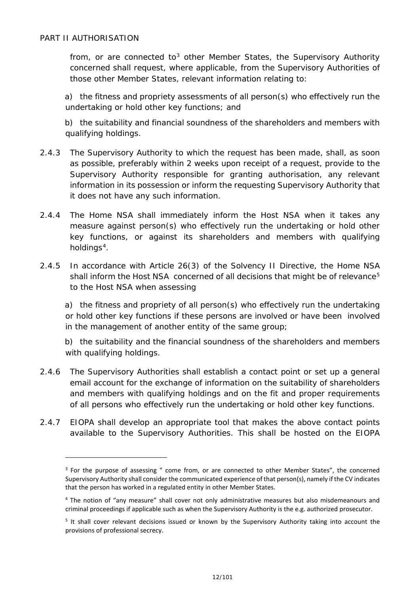-

from, or are connected to<sup>[3](#page-11-0)</sup> other Member States, the Supervisory Authority concerned shall request, where applicable, from the Supervisory Authorities of those other Member States, relevant information relating to:

a) the fitness and propriety assessments of all person(s) who effectively run the undertaking or hold other key functions; and

b) the suitability and financial soundness of the shareholders and members with qualifying holdings.

- 2.4.3 The Supervisory Authority to which the request has been made, shall, as soon as possible, preferably within 2 weeks upon receipt of a request, provide to the Supervisory Authority responsible for granting authorisation, any relevant information in its possession or inform the requesting Supervisory Authority that it does not have any such information.
- 2.4.4 The Home NSA shall immediately inform the Host NSA when it takes any measure against person(s) who effectively run the undertaking or hold other key functions, or against its shareholders and members with qualifying holdings $4$ .
- 2.4.5 In accordance with Article 26(3) of the Solvency II Directive, the Home NSA shall inform the Host NSA concerned of all decisions that might be of relevance<sup>[5](#page-11-2)</sup> to the Host NSA when assessing

a) the fitness and propriety of all person(s) who effectively run the undertaking or hold other key functions if these persons are involved or have been involved in the management of another entity of the same group;

b) the suitability and the financial soundness of the shareholders and members with qualifying holdings.

- 2.4.6 The Supervisory Authorities shall establish a contact point or set up a general email account for the exchange of information on the suitability of shareholders and members with qualifying holdings and on the fit and proper requirements of all persons who effectively run the undertaking or hold other key functions.
- <span id="page-11-0"></span>2.4.7 EIOPA shall develop an appropriate tool that makes the above contact points available to the Supervisory Authorities. This shall be hosted on the EIOPA

 $3$  For the purpose of assessing " come from, or are connected to other Member States", the concerned Supervisory Authority shall consider the communicated experience of that person(s), namely if the CV indicates that the person has worked in a regulated entity in other Member States.

<span id="page-11-1"></span><sup>4</sup> The notion of "any measure" shall cover not only administrative measures but also misdemeanours and criminal proceedings if applicable such as when the Supervisory Authority is the e.g. authorized prosecutor.

<span id="page-11-2"></span><sup>5</sup> It shall cover relevant decisions issued or known by the Supervisory Authority taking into account the provisions of professional secrecy.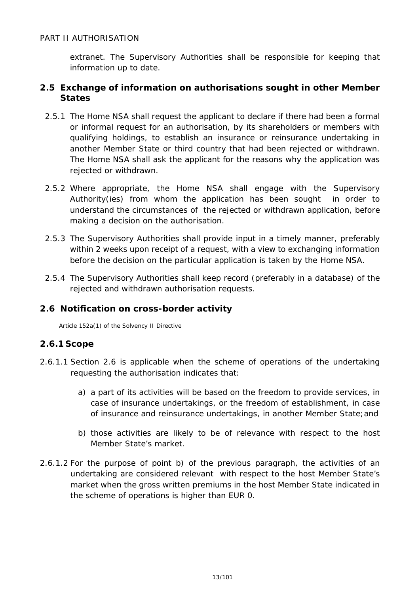extranet. The Supervisory Authorities shall be responsible for keeping that information up to date.

## <span id="page-12-0"></span>**2.5 Exchange of information on authorisations sought in other Member States**

- 2.5.1 The Home NSA shall request the applicant to declare if there had been a formal or informal request for an authorisation, by its shareholders or members with qualifying holdings, to establish an insurance or reinsurance undertaking in another Member State or third country that had been rejected or withdrawn. The Home NSA shall ask the applicant for the reasons why the application was rejected or withdrawn.
- 2.5.2 Where appropriate, the Home NSA shall engage with the Supervisory Authority(ies) from whom the application has been sought in order to understand the circumstances of the rejected or withdrawn application, before making a decision on the authorisation.
- 2.5.3 The Supervisory Authorities shall provide input in a timely manner, preferably within 2 weeks upon receipt of a request, with a view to exchanging information before the decision on the particular application is taken by the Home NSA.
- 2.5.4 The Supervisory Authorities shall keep record (preferably in a database) of the rejected and withdrawn authorisation requests.

## <span id="page-12-1"></span>**2.6 Notification on cross-border activity**

Article 152a(1) of the Solvency II Directive

## <span id="page-12-2"></span>**2.6.1 Scope**

- 2.6.1.1 Section 2.6 is applicable when the scheme of operations of the undertaking requesting the authorisation indicates that:
	- a) a part of its activities will be based on the freedom to provide services, in case of insurance undertakings, or the freedom of establishment, in case of insurance and reinsurance undertakings, in another Member State;and
	- b) those activities are likely to be of relevance with respect to the host Member State's market.
- 2.6.1.2 For the purpose of point b) of the previous paragraph, the activities of an undertaking are considered relevant with respect to the host Member State's market when the gross written premiums in the host Member State indicated in the scheme of operations is higher than EUR 0.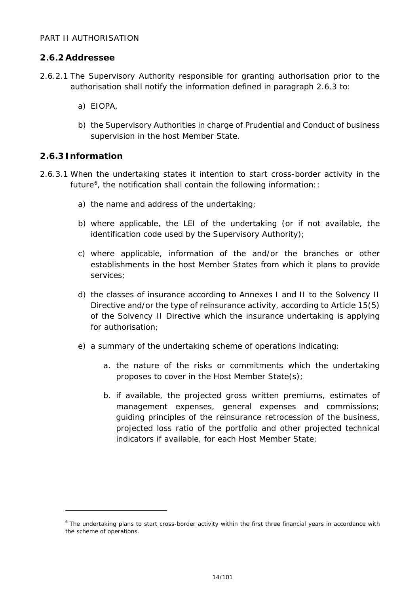## <span id="page-13-0"></span>**2.6.2Addressee**

- 2.6.2.1 The Supervisory Authority responsible for granting authorisation prior to the authorisation shall notify the information defined in paragraph 2.6.3 to:
	- a) EIOPA,
	- b) the Supervisory Authorities in charge of Prudential and Conduct of business supervision in the host Member State.

## <span id="page-13-1"></span>**2.6.3 Information**

j.

- 2.6.3.1 When the undertaking states it intention to start cross-border activity in the future $6$ , the notification shall contain the following information::
	- a) the name and address of the undertaking;
	- b) where applicable, the LEI of the undertaking (or if not available, the identification code used by the Supervisory Authority);
	- c) where applicable, information of the and/or the branches or other establishments in the host Member States from which it plans to provide services;
	- d) the classes of insurance according to Annexes I and II to the Solvency II Directive and/or the type of reinsurance activity, according to Article 15(5) of the Solvency II Directive which the insurance undertaking is applying for authorisation;
	- e) a summary of the undertaking scheme of operations indicating:
		- a. the nature of the risks or commitments which the undertaking proposes to cover in the Host Member State(s);
		- b. if available, the projected gross written premiums, estimates of management expenses, general expenses and commissions; guiding principles of the reinsurance retrocession of the business, projected loss ratio of the portfolio and other projected technical indicators if available, for each Host Member State;

<span id="page-13-2"></span><sup>&</sup>lt;sup>6</sup> The undertaking plans to start cross-border activity within the first three financial years in accordance with the scheme of operations.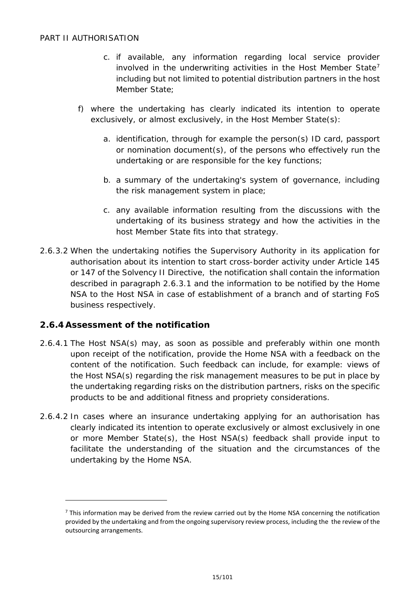- c. if available, any information regarding local service provider involved in the underwriting activities in the Host Member State<sup>[7](#page-14-1)</sup> including but not limited to potential distribution partners in the host Member State;
- f) where the undertaking has clearly indicated its intention to operate exclusively, or almost exclusively, in the Host Member State(s):
	- a. identification, through for example the person(s) ID card, passport or nomination document(s), of the persons who effectively run the undertaking or are responsible for the key functions;
	- b. a summary of the undertaking's system of governance, including the risk management system in place;
	- c. any available information resulting from the discussions with the undertaking of its business strategy and how the activities in the host Member State fits into that strategy.
- 2.6.3.2 When the undertaking notifies the Supervisory Authority in its application for authorisation about its intention to start cross-border activity under Article 145 or 147 of the Solvency II Directive, the notification shall contain the information described in paragraph 2.6.3.1 and the information to be notified by the Home NSA to the Host NSA in case of establishment of a branch and of starting FoS business respectively.

## <span id="page-14-0"></span>**2.6.4Assessment of the notification**

- 2.6.4.1 The Host NSA(s) may, as soon as possible and preferably within one month upon receipt of the notification, provide the Home NSA with a feedback on the content of the notification. Such feedback can include, for example: views of the Host NSA(s) regarding the risk management measures to be put in place by the undertaking regarding risks on the distribution partners, risks on the specific products to be and additional fitness and propriety considerations.
- 2.6.4.2 In cases where an insurance undertaking applying for an authorisation has clearly indicated its intention to operate exclusively or almost exclusively in one or more Member State(s), the Host NSA(s) feedback shall provide input to facilitate the understanding of the situation and the circumstances of the undertaking by the Home NSA.

<span id="page-14-1"></span> $<sup>7</sup>$  This information may be derived from the review carried out by the Home NSA concerning the notification</sup> provided by the undertaking and from the ongoing supervisory review process, including the the review of the outsourcing arrangements.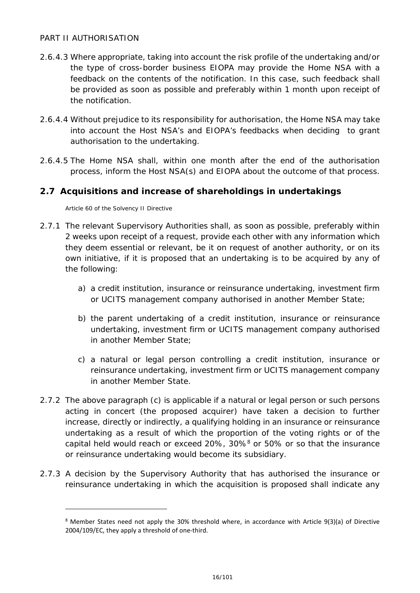- 2.6.4.3 Where appropriate, taking into account the risk profile of the undertaking and/or the type of cross-border business EIOPA may provide the Home NSA with a feedback on the contents of the notification. In this case, such feedback shall be provided as soon as possible and preferably within 1 month upon receipt of the notification.
- 2.6.4.4 Without prejudice to its responsibility for authorisation, the Home NSA may take into account the Host NSA's and EIOPA's feedbacks when deciding to grant authorisation to the undertaking.
- 2.6.4.5 The Home NSA shall, within one month after the end of the authorisation process, inform the Host NSA(s) and EIOPA about the outcome of that process.

## <span id="page-15-0"></span>**2.7 Acquisitions and increase of shareholdings in undertakings**

Article 60 of the Solvency II Directive

- 2.7.1 The relevant Supervisory Authorities shall, as soon as possible, preferably within 2 weeks upon receipt of a request, provide each other with any information which they deem essential or relevant, be it on request of another authority, or on its own initiative, if it is proposed that an undertaking is to be acquired by any of the following:
	- a) a credit institution, insurance or reinsurance undertaking, investment firm or UCITS management company authorised in another Member State;
	- b) the parent undertaking of a credit institution, insurance or reinsurance undertaking, investment firm or UCITS management company authorised in another Member State;
	- c) a natural or legal person controlling a credit institution, insurance or reinsurance undertaking, investment firm or UCITS management company in another Member State.
- 2.7.2 The above paragraph (c) is applicable if a natural or legal person or such persons acting in concert (the proposed acquirer) have taken a decision to further increase, directly or indirectly, a qualifying holding in an insurance or reinsurance undertaking as a result of which the proportion of the voting rights or of the capital held would reach or exceed 20%, 30%[8](#page-15-1) or 50% or so that the insurance or reinsurance undertaking would become its subsidiary.
- <span id="page-15-1"></span>2.7.3 A decision by the Supervisory Authority that has authorised the insurance or reinsurance undertaking in which the acquisition is proposed shall indicate any

 $8$  Member States need not apply the 30% threshold where, in accordance with Article 9(3)(a) of Directive 2004/109/EC, they apply a threshold of one-third.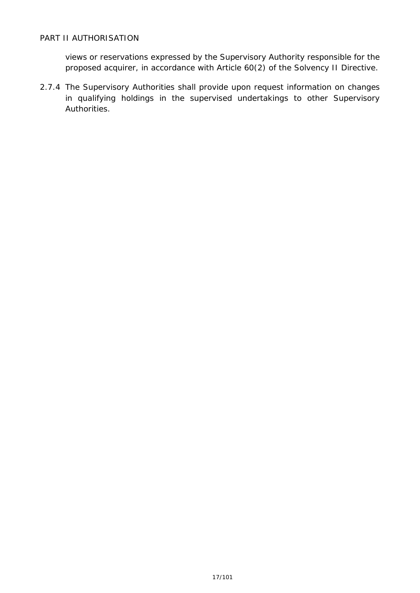views or reservations expressed by the Supervisory Authority responsible for the proposed acquirer, in accordance with Article 60(2) of the Solvency II Directive.

2.7.4 The Supervisory Authorities shall provide upon request information on changes in qualifying holdings in the supervised undertakings to other Supervisory Authorities.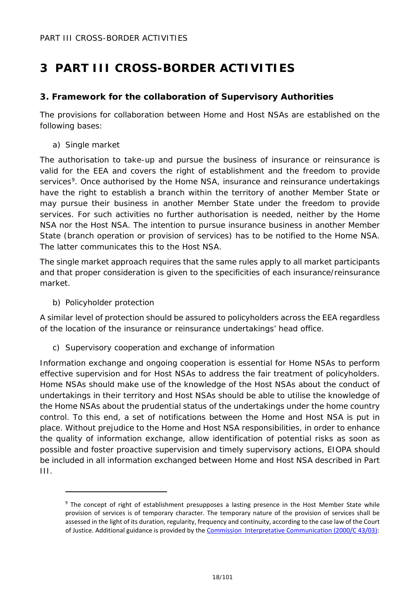## <span id="page-17-1"></span><span id="page-17-0"></span>**3. Framework for the collaboration of Supervisory Authorities**

The provisions for collaboration between Home and Host NSAs are established on the following bases:

a) Single market

The authorisation to take-up and pursue the business of insurance or reinsurance is valid for the EEA and covers the right of establishment and the freedom to provide services<sup>[9](#page-17-2)</sup>. Once authorised by the Home NSA, insurance and reinsurance undertakings have the right to establish a branch within the territory of another Member State or may pursue their business in another Member State under the freedom to provide services. For such activities no further authorisation is needed, neither by the Home NSA nor the Host NSA. The intention to pursue insurance business in another Member State (branch operation or provision of services) has to be notified to the Home NSA. The latter communicates this to the Host NSA.

The single market approach requires that the same rules apply to all market participants and that proper consideration is given to the specificities of each insurance/reinsurance market.

## b) Policyholder protection

-

A similar level of protection should be assured to policyholders across the EEA regardless of the location of the insurance or reinsurance undertakings' head office.

c) Supervisory cooperation and exchange of information

Information exchange and ongoing cooperation is essential for Home NSAs to perform effective supervision and for Host NSAs to address the fair treatment of policyholders. Home NSAs should make use of the knowledge of the Host NSAs about the conduct of undertakings in their territory and Host NSAs should be able to utilise the knowledge of the Home NSAs about the prudential status of the undertakings under the home country control. To this end, a set of notifications between the Home and Host NSA is put in place. Without prejudice to the Home and Host NSA responsibilities, in order to enhance the quality of information exchange, allow identification of potential risks as soon as possible and foster proactive supervision and timely supervisory actions, EIOPA should be included in all information exchanged between Home and Host NSA described in Part III.

<span id="page-17-2"></span><sup>&</sup>lt;sup>9</sup> The concept of right of establishment presupposes a lasting presence in the Host Member State while provision of services is of temporary character. The temporary nature of the provision of services shall be assessed in the light of its duration, regularity, frequency and continuity, according to the case law of the Court of Justice. Additional guidance is provided by th[e Commission Interpretative Communication \(2000/C 43/03\):](http://eur-lex.europa.eu/legal-content/SV/TXT/?uri=URISERV:l24227)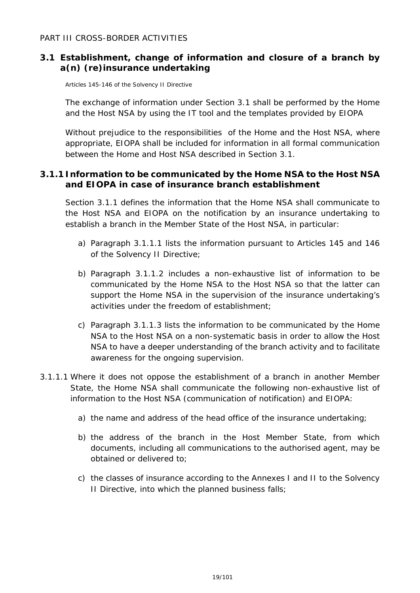## <span id="page-18-0"></span>**3.1 Establishment, change of information and closure of a branch by a(n) (re)insurance undertaking**

Articles 145-146 of the Solvency II Directive

The exchange of information under Section 3.1 shall be performed by the Home and the Host NSA by using the IT tool and the templates provided by EIOPA

Without prejudice to the responsibilities of the Home and the Host NSA, where appropriate, EIOPA shall be included for information in all formal communication between the Home and Host NSA described in Section 3.1.

## <span id="page-18-1"></span>**3.1.1 Information to be communicated by the Home NSA to the Host NSA and EIOPA in case of insurance branch establishment**

Section 3.1.1 defines the information that the Home NSA shall communicate to the Host NSA and EIOPA on the notification by an insurance undertaking to establish a branch in the Member State of the Host NSA, in particular:

- a) Paragraph 3.1.1.1 lists the information pursuant to Articles 145 and 146 of the Solvency II Directive;
- b) Paragraph 3.1.1.2 includes a non-exhaustive list of information to be communicated by the Home NSA to the Host NSA so that the latter can support the Home NSA in the supervision of the insurance undertaking's activities under the freedom of establishment;
- c) Paragraph 3.1.1.3 lists the information to be communicated by the Home NSA to the Host NSA on a non-systematic basis in order to allow the Host NSA to have a deeper understanding of the branch activity and to facilitate awareness for the ongoing supervision.
- 3.1.1.1 Where it does not oppose the establishment of a branch in another Member State, the Home NSA shall communicate the following non-exhaustive list of information to the Host NSA (communication of notification) and EIOPA:
	- a) the name and address of the head office of the insurance undertaking;
	- b) the address of the branch in the Host Member State, from which documents, including all communications to the authorised agent, may be obtained or delivered to;
	- c) the classes of insurance according to the Annexes I and II to the Solvency II Directive, into which the planned business falls;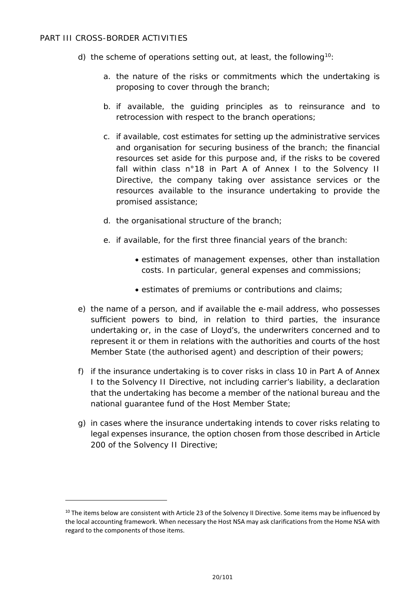- d) the scheme of operations setting out, at least, the following<sup>[10](#page-19-0)</sup>:
	- a. the nature of the risks or commitments which the undertaking is proposing to cover through the branch;
	- b. if available, the guiding principles as to reinsurance and to retrocession with respect to the branch operations;
	- c. if available, cost estimates for setting up the administrative services and organisation for securing business of the branch; the financial resources set aside for this purpose and, if the risks to be covered fall within class n°18 in Part A of Annex I to the Solvency II Directive, the company taking over assistance services or the resources available to the insurance undertaking to provide the promised assistance;
	- d. the organisational structure of the branch;
	- e. if available, for the first three financial years of the branch:
		- estimates of management expenses, other than installation costs. In particular, general expenses and commissions;
		- estimates of premiums or contributions and claims;
- e) the name of a person, and if available the e-mail address, who possesses sufficient powers to bind, in relation to third parties, the insurance undertaking or, in the case of Lloyd's, the underwriters concerned and to represent it or them in relations with the authorities and courts of the host Member State (the authorised agent) and description of their powers;
- f) if the insurance undertaking is to cover risks in class 10 in Part A of Annex I to the Solvency II Directive, not including carrier's liability, a declaration that the undertaking has become a member of the national bureau and the national guarantee fund of the Host Member State;
- g) in cases where the insurance undertaking intends to cover risks relating to legal expenses insurance, the option chosen from those described in Article 200 of the Solvency II Directive;

<span id="page-19-0"></span><sup>&</sup>lt;sup>10</sup> The items below are consistent with Article 23 of the Solvency II Directive. Some items may be influenced by the local accounting framework. When necessary the Host NSA may ask clarifications from the Home NSA with regard to the components of those items.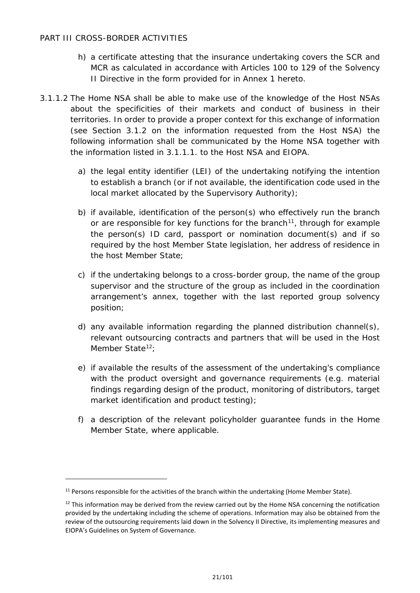- h) a certificate attesting that the insurance undertaking covers the SCR and MCR as calculated in accordance with Articles 100 to 129 of the Solvency II Directive in the form provided for in Annex 1 hereto.
- 3.1.1.2 The Home NSA shall be able to make use of the knowledge of the Host NSAs about the specificities of their markets and conduct of business in their territories. In order to provide a proper context for this exchange of information (see Section 3.1.2 on the information requested from the Host NSA) the following information shall be communicated by the Home NSA together with the information listed in 3.1.1.1. to the Host NSA and EIOPA.
	- a) the legal entity identifier (LEI) of the undertaking notifying the intention to establish a branch (or if not available, the identification code used in the local market allocated by the Supervisory Authority);
	- b) if available, identification of the person(s) who effectively run the branch or are responsible for key functions for the branch<sup>[11](#page-20-0)</sup>, through for example the person(s) ID card, passport or nomination document(s) and if so required by the host Member State legislation, her address of residence in the host Member State;
	- c) if the undertaking belongs to a cross-border group, the name of the group supervisor and the structure of the group as included in the coordination arrangement's annex, together with the last reported group solvency position;
	- d) any available information regarding the planned distribution channel(s), relevant outsourcing contracts and partners that will be used in the Host Member State<sup>12</sup>:
	- e) if available the results of the assessment of the undertaking's compliance with the product oversight and governance requirements (e.g. material findings regarding design of the product, monitoring of distributors, target market identification and product testing);
	- f) a description of the relevant policyholder guarantee funds in the Home Member State, where applicable.

<span id="page-20-0"></span><sup>&</sup>lt;sup>11</sup> Persons responsible for the activities of the branch within the undertaking (Home Member State).

<span id="page-20-1"></span> $12$  This information may be derived from the review carried out by the Home NSA concerning the notification provided by the undertaking including the scheme of operations. Information may also be obtained from the review of the outsourcing requirements laid down in the Solvency II Directive, its implementing measures and EIOPA's Guidelines on System of Governance.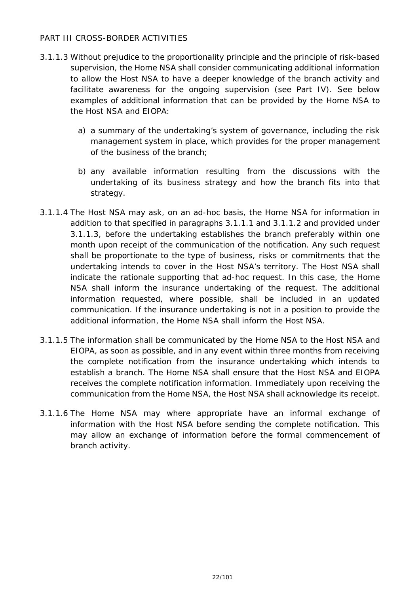- 3.1.1.3 Without prejudice to the proportionality principle and the principle of risk-based supervision, the Home NSA shall consider communicating additional information to allow the Host NSA to have a deeper knowledge of the branch activity and facilitate awareness for the ongoing supervision (see Part IV). See below examples of additional information that can be provided by the Home NSA to the Host NSA and EIOPA:
	- a) a summary of the undertaking's system of governance, including the risk management system in place, which provides for the proper management of the business of the branch;
	- b) any available information resulting from the discussions with the undertaking of its business strategy and how the branch fits into that strategy.
- 3.1.1.4 The Host NSA may ask, on an ad-hoc basis, the Home NSA for information in addition to that specified in paragraphs 3.1.1.1 and 3.1.1.2 and provided under 3.1.1.3, before the undertaking establishes the branch preferably within one month upon receipt of the communication of the notification. Any such request shall be proportionate to the type of business, risks or commitments that the undertaking intends to cover in the Host NSA's territory. The Host NSA shall indicate the rationale supporting that ad-hoc request. In this case, the Home NSA shall inform the insurance undertaking of the request. The additional information requested, where possible, shall be included in an updated communication. If the insurance undertaking is not in a position to provide the additional information, the Home NSA shall inform the Host NSA.
- 3.1.1.5 The information shall be communicated by the Home NSA to the Host NSA and EIOPA, as soon as possible, and in any event within three months from receiving the complete notification from the insurance undertaking which intends to establish a branch. The Home NSA shall ensure that the Host NSA and EIOPA receives the complete notification information. Immediately upon receiving the communication from the Home NSA, the Host NSA shall acknowledge its receipt.
- 3.1.1.6 The Home NSA may where appropriate have an informal exchange of information with the Host NSA before sending the complete notification. This may allow an exchange of information before the formal commencement of branch activity.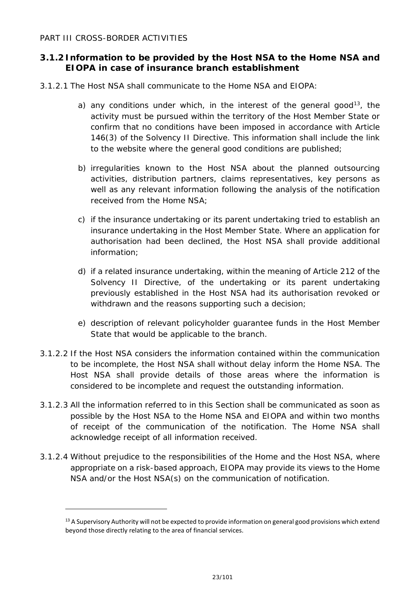-

## <span id="page-22-0"></span>**3.1.2 Information to be provided by the Host NSA to the Home NSA and EIOPA in case of insurance branch establishment**

- 3.1.2.1 The Host NSA shall communicate to the Home NSA and EIOPA:
	- a) any conditions under which, in the interest of the general good<sup>13</sup>, the activity must be pursued within the territory of the Host Member State or confirm that no conditions have been imposed in accordance with Article 146(3) of the Solvency II Directive. This information shall include the link to the website where the general good conditions are published;
	- b) irregularities known to the Host NSA about the planned outsourcing activities, distribution partners, claims representatives, key persons as well as any relevant information following the analysis of the notification received from the Home NSA;
	- c) if the insurance undertaking or its parent undertaking tried to establish an insurance undertaking in the Host Member State. Where an application for authorisation had been declined, the Host NSA shall provide additional information;
	- d) if a related insurance undertaking, within the meaning of Article 212 of the Solvency II Directive, of the undertaking or its parent undertaking previously established in the Host NSA had its authorisation revoked or withdrawn and the reasons supporting such a decision;
	- e) description of relevant policyholder guarantee funds in the Host Member State that would be applicable to the branch.
- 3.1.2.2 If the Host NSA considers the information contained within the communication to be incomplete, the Host NSA shall without delay inform the Home NSA. The Host NSA shall provide details of those areas where the information is considered to be incomplete and request the outstanding information.
- 3.1.2.3 All the information referred to in this Section shall be communicated as soon as possible by the Host NSA to the Home NSA and EIOPA and within two months of receipt of the communication of the notification. The Home NSA shall acknowledge receipt of all information received.
- 3.1.2.4 Without prejudice to the responsibilities of the Home and the Host NSA, where appropriate on a risk-based approach, EIOPA may provide its views to the Home NSA and/or the Host NSA(s) on the communication of notification.

<span id="page-22-1"></span> $13$  A Supervisory Authority will not be expected to provide information on general good provisions which extend beyond those directly relating to the area of financial services.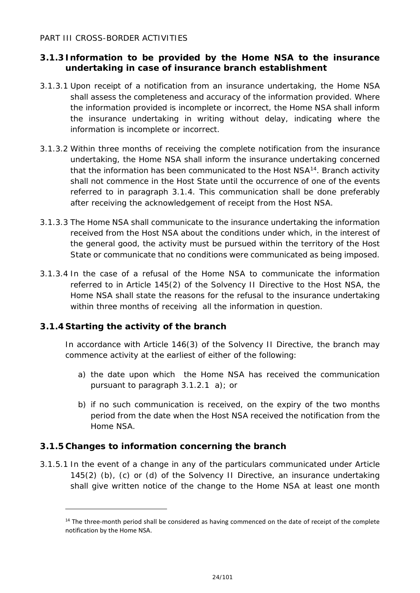## <span id="page-23-0"></span>**3.1.3 Information to be provided by the Home NSA to the insurance undertaking in case of insurance branch establishment**

- 3.1.3.1 Upon receipt of a notification from an insurance undertaking, the Home NSA shall assess the completeness and accuracy of the information provided. Where the information provided is incomplete or incorrect, the Home NSA shall inform the insurance undertaking in writing without delay, indicating where the information is incomplete or incorrect.
- 3.1.3.2 Within three months of receiving the complete notification from the insurance undertaking, the Home NSA shall inform the insurance undertaking concerned that the information has been communicated to the Host  $NSA<sup>14</sup>$ . Branch activity shall not commence in the Host State until the occurrence of one of the events referred to in paragraph 3.1.4. This communication shall be done preferably after receiving the acknowledgement of receipt from the Host NSA.
- 3.1.3.3 The Home NSA shall communicate to the insurance undertaking the information received from the Host NSA about the conditions under which, in the interest of the general good, the activity must be pursued within the territory of the Host State or communicate that no conditions were communicated as being imposed.
- 3.1.3.4 In the case of a refusal of the Home NSA to communicate the information referred to in Article 145(2) of the Solvency II Directive to the Host NSA, the Home NSA shall state the reasons for the refusal to the insurance undertaking within three months of receiving all the information in question.

## <span id="page-23-1"></span>**3.1.4 Starting the activity of the branch**

-

In accordance with Article 146(3) of the Solvency II Directive, the branch may commence activity at the earliest of either of the following:

- a) the date upon which the Home NSA has received the communication pursuant to paragraph 3.1.2.1 a); or
- b) if no such communication is received, on the expiry of the two months period from the date when the Host NSA received the notification from the Home NSA.

## <span id="page-23-2"></span>**3.1.5 Changes to information concerning the branch**

3.1.5.1 In the event of a change in any of the particulars communicated under Article 145(2) (b), (c) or (d) of the Solvency II Directive, an insurance undertaking shall give written notice of the change to the Home NSA at least one month

<span id="page-23-3"></span> $14$  The three-month period shall be considered as having commenced on the date of receipt of the complete notification by the Home NSA.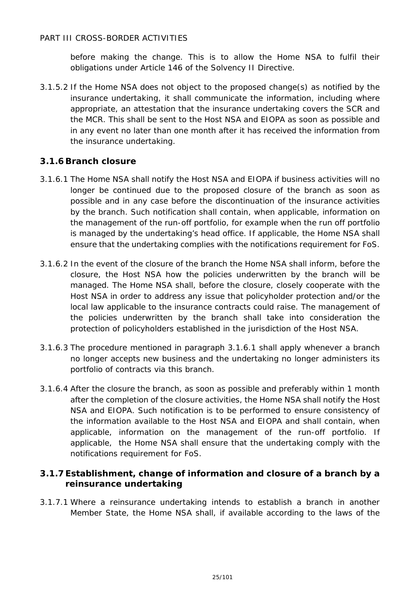before making the change. This is to allow the Home NSA to fulfil their obligations under Article 146 of the Solvency II Directive.

3.1.5.2 If the Home NSA does not object to the proposed change(s) as notified by the insurance undertaking, it shall communicate the information, including where appropriate, an attestation that the insurance undertaking covers the SCR and the MCR. This shall be sent to the Host NSA and EIOPA as soon as possible and in any event no later than one month after it has received the information from the insurance undertaking.

## <span id="page-24-0"></span>**3.1.6Branch closure**

- 3.1.6.1 The Home NSA shall notify the Host NSA and EIOPA if business activities will no longer be continued due to the proposed closure of the branch as soon as possible and in any case before the discontinuation of the insurance activities by the branch. Such notification shall contain, when applicable, information on the management of the run-off portfolio, for example when the run off portfolio is managed by the undertaking's head office. If applicable, the Home NSA shall ensure that the undertaking complies with the notifications requirement for FoS.
- 3.1.6.2 In the event of the closure of the branch the Home NSA shall inform, before the closure, the Host NSA how the policies underwritten by the branch will be managed. The Home NSA shall, before the closure, closely cooperate with the Host NSA in order to address any issue that policyholder protection and/or the local law applicable to the insurance contracts could raise. The management of the policies underwritten by the branch shall take into consideration the protection of policyholders established in the jurisdiction of the Host NSA.
- 3.1.6.3 The procedure mentioned in paragraph 3.1.6.1 shall apply whenever a branch no longer accepts new business and the undertaking no longer administers its portfolio of contracts via this branch.
- 3.1.6.4 After the closure the branch, as soon as possible and preferably within 1 month after the completion of the closure activities, the Home NSA shall notify the Host NSA and EIOPA. Such notification is to be performed to ensure consistency of the information available to the Host NSA and EIOPA and shall contain, when applicable, information on the management of the run-off portfolio. If applicable, the Home NSA shall ensure that the undertaking comply with the notifications requirement for FoS.

## <span id="page-24-1"></span>**3.1.7 Establishment, change of information and closure of a branch by a reinsurance undertaking**

3.1.7.1 Where a reinsurance undertaking intends to establish a branch in another Member State, the Home NSA shall, if available according to the laws of the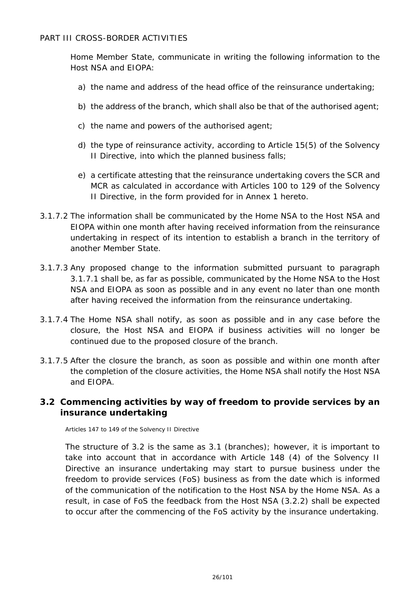Home Member State, communicate in writing the following information to the Host NSA and EIOPA:

- a) the name and address of the head office of the reinsurance undertaking;
- b) the address of the branch, which shall also be that of the authorised agent;
- c) the name and powers of the authorised agent;
- d) the type of reinsurance activity, according to Article 15(5) of the Solvency II Directive, into which the planned business falls;
- e) a certificate attesting that the reinsurance undertaking covers the SCR and MCR as calculated in accordance with Articles 100 to 129 of the Solvency II Directive, in the form provided for in Annex 1 hereto.
- 3.1.7.2 The information shall be communicated by the Home NSA to the Host NSA and EIOPA within one month after having received information from the reinsurance undertaking in respect of its intention to establish a branch in the territory of another Member State.
- 3.1.7.3 Any proposed change to the information submitted pursuant to paragraph 3.1.7.1 shall be, as far as possible, communicated by the Home NSA to the Host NSA and EIOPA as soon as possible and in any event no later than one month after having received the information from the reinsurance undertaking.
- 3.1.7.4 The Home NSA shall notify, as soon as possible and in any case before the closure, the Host NSA and EIOPA if business activities will no longer be continued due to the proposed closure of the branch.
- 3.1.7.5 After the closure the branch, as soon as possible and within one month after the completion of the closure activities, the Home NSA shall notify the Host NSA and EIOPA.

## <span id="page-25-0"></span>**3.2 Commencing activities by way of freedom to provide services by an insurance undertaking**

Articles 147 to 149 of the Solvency II Directive

The structure of 3.2 is the same as 3.1 (branches); however, it is important to take into account that in accordance with Article 148 (4) of the Solvency II Directive an insurance undertaking may start to pursue business under the freedom to provide services (FoS) business as from the date which is informed of the communication of the notification to the Host NSA by the Home NSA. As a result, in case of FoS the feedback from the Host NSA (3.2.2) shall be expected to occur after the commencing of the FoS activity by the insurance undertaking.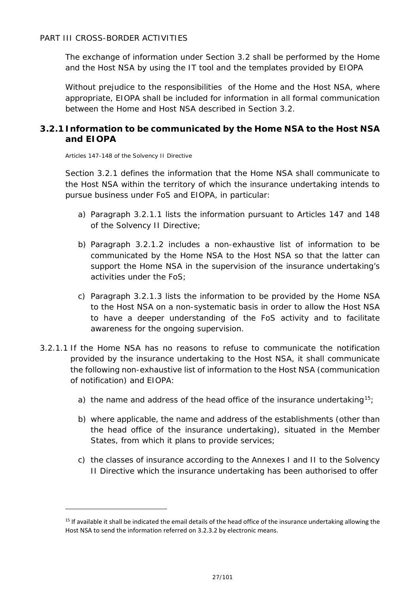The exchange of information under Section 3.2 shall be performed by the Home and the Host NSA by using the IT tool and the templates provided by EIOPA

Without prejudice to the responsibilities of the Home and the Host NSA, where appropriate, EIOPA shall be included for information in all formal communication between the Home and Host NSA described in Section 3.2.

## <span id="page-26-0"></span>**3.2.1 Information to be communicated by the Home NSA to the Host NSA and EIOPA**

Articles 147-148 of the Solvency II Directive

-

Section 3.2.1 defines the information that the Home NSA shall communicate to the Host NSA within the territory of which the insurance undertaking intends to pursue business under FoS and EIOPA, in particular:

- a) Paragraph 3.2.1.1 lists the information pursuant to Articles 147 and 148 of the Solvency II Directive;
- b) Paragraph 3.2.1.2 includes a non-exhaustive list of information to be communicated by the Home NSA to the Host NSA so that the latter can support the Home NSA in the supervision of the insurance undertaking's activities under the FoS;
- c) Paragraph 3.2.1.3 lists the information to be provided by the Home NSA to the Host NSA on a non-systematic basis in order to allow the Host NSA to have a deeper understanding of the FoS activity and to facilitate awareness for the ongoing supervision.
- 3.2.1.1 If the Home NSA has no reasons to refuse to communicate the notification provided by the insurance undertaking to the Host NSA, it shall communicate the following non-exhaustive list of information to the Host NSA (communication of notification) and EIOPA:
	- a) the name and address of the head office of the insurance undertaking<sup>15</sup>;
	- b) where applicable, the name and address of the establishments (other than the head office of the insurance undertaking), situated in the Member States, from which it plans to provide services;
	- c) the classes of insurance according to the Annexes I and II to the Solvency II Directive which the insurance undertaking has been authorised to offer

<span id="page-26-1"></span> $15$  If available it shall be indicated the email details of the head office of the insurance undertaking allowing the Host NSA to send the information referred on 3.2.3.2 by electronic means.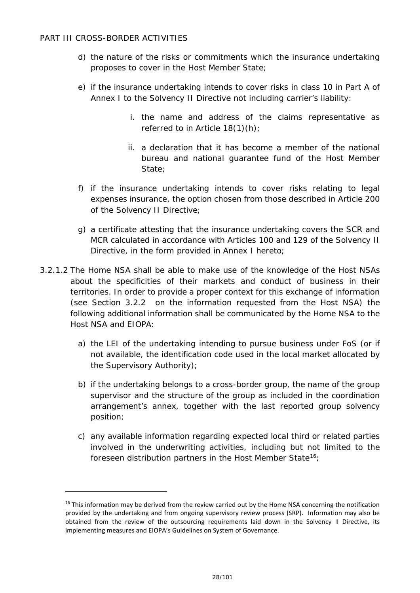- d) the nature of the risks or commitments which the insurance undertaking proposes to cover in the Host Member State;
- e) if the insurance undertaking intends to cover risks in class 10 in Part A of Annex I to the Solvency II Directive not including carrier's liability:
	- i. the name and address of the claims representative as referred to in Article 18(1)(h);
	- ii. a declaration that it has become a member of the national bureau and national guarantee fund of the Host Member State;
- f) if the insurance undertaking intends to cover risks relating to legal expenses insurance, the option chosen from those described in Article 200 of the Solvency II Directive;
- g) a certificate attesting that the insurance undertaking covers the SCR and MCR calculated in accordance with Articles 100 and 129 of the Solvency II Directive, in the form provided in Annex I hereto;
- 3.2.1.2 The Home NSA shall be able to make use of the knowledge of the Host NSAs about the specificities of their markets and conduct of business in their territories. In order to provide a proper context for this exchange of information (see Section 3.2.2 on the information requested from the Host NSA) the following additional information shall be communicated by the Home NSA to the Host NSA and EIOPA:
	- a) the LEI of the undertaking intending to pursue business under FoS (or if not available, the identification code used in the local market allocated by the Supervisory Authority);
	- b) if the undertaking belongs to a cross-border group, the name of the group supervisor and the structure of the group as included in the coordination arrangement's annex, together with the last reported group solvency position;
	- c) any available information regarding expected local third or related parties involved in the underwriting activities, including but not limited to the foreseen distribution partners in the Host Member State<sup>[16](#page-27-0)</sup>;

<span id="page-27-0"></span><sup>&</sup>lt;sup>16</sup> This information may be derived from the review carried out by the Home NSA concerning the notification provided by the undertaking and from ongoing supervisory review process (SRP). Information may also be obtained from the review of the outsourcing requirements laid down in the Solvency II Directive, its implementing measures and EIOPA's Guidelines on System of Governance.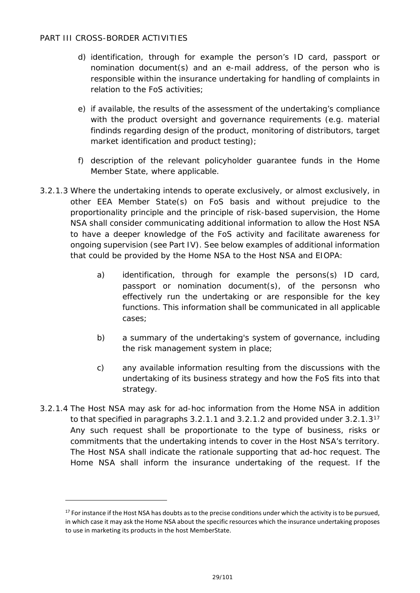- d) identification, through for example the person's ID card, passport or nomination document(s) and an e-mail address, of the person who is responsible within the insurance undertaking for handling of complaints in relation to the FoS activities;
- e) if available, the results of the assessment of the undertaking's compliance with the product oversight and governance requirements (e.g. material findinds regarding design of the product, monitoring of distributors, target market identification and product testing);
- f) description of the relevant policyholder guarantee funds in the Home Member State, where applicable.
- 3.2.1.3 Where the undertaking intends to operate exclusively, or almost exclusively, in other EEA Member State(s) on FoS basis and without prejudice to the proportionality principle and the principle of risk-based supervision, the Home NSA shall consider communicating additional information to allow the Host NSA to have a deeper knowledge of the FoS activity and facilitate awareness for ongoing supervision (see Part IV). See below examples of additional information that could be provided by the Home NSA to the Host NSA and EIOPA:
	- a) identification, through for example the persons(s) ID card, passport or nomination document(s), of the personsn who effectively run the undertaking or are responsible for the key functions. This information shall be communicated in all applicable cases;
	- b) a summary of the undertaking's system of governance, including the risk management system in place;
	- c) any available information resulting from the discussions with the undertaking of its business strategy and how the FoS fits into that strategy.
- 3.2.1.4 The Host NSA may ask for ad-hoc information from the Home NSA in addition to that specified in paragraphs 3.2.1.1 and 3.2.1.2 and provided under 3.2.1.3[17](#page-28-0) Any such request shall be proportionate to the type of business, risks or commitments that the undertaking intends to cover in the Host NSA's territory. The Host NSA shall indicate the rationale supporting that ad-hoc request. The Home NSA shall inform the insurance undertaking of the request. If the

<span id="page-28-0"></span> $17$  For instance if the Host NSA has doubts as to the precise conditions under which the activity is to be pursued, in which case it may ask the Home NSA about the specific resources which the insurance undertaking proposes to use in marketing its products in the host MemberState.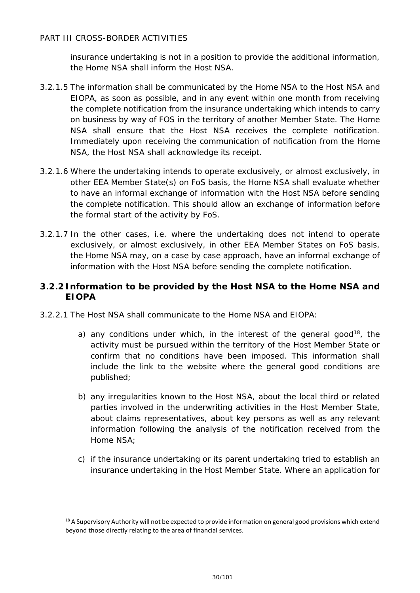-

insurance undertaking is not in a position to provide the additional information, the Home NSA shall inform the Host NSA.

- 3.2.1.5 The information shall be communicated by the Home NSA to the Host NSA and EIOPA, as soon as possible, and in any event within one month from receiving the complete notification from the insurance undertaking which intends to carry on business by way of FOS in the territory of another Member State. The Home NSA shall ensure that the Host NSA receives the complete notification. Immediately upon receiving the communication of notification from the Home NSA, the Host NSA shall acknowledge its receipt.
- 3.2.1.6 Where the undertaking intends to operate exclusively, or almost exclusively, in other EEA Member State(s) on FoS basis, the Home NSA shall evaluate whether to have an informal exchange of information with the Host NSA before sending the complete notification. This should allow an exchange of information before the formal start of the activity by FoS.
- 3.2.1.7 In the other cases, i.e. where the undertaking does not intend to operate exclusively, or almost exclusively, in other EEA Member States on FoS basis, the Home NSA may, on a case by case approach, have an informal exchange of information with the Host NSA before sending the complete notification.

## <span id="page-29-0"></span>**3.2.2 Information to be provided by the Host NSA to the Home NSA and EIOPA**

- 3.2.2.1 The Host NSA shall communicate to the Home NSA and EIOPA:
	- a) any conditions under which, in the interest of the general good<sup>18</sup>, the activity must be pursued within the territory of the Host Member State or confirm that no conditions have been imposed. This information shall include the link to the website where the general good conditions are published;
	- b) any irregularities known to the Host NSA, about the local third or related parties involved in the underwriting activities in the Host Member State, about claims representatives, about key persons as well as any relevant information following the analysis of the notification received from the Home NSA;
	- c) if the insurance undertaking or its parent undertaking tried to establish an insurance undertaking in the Host Member State. Where an application for

<span id="page-29-1"></span> $18$  A Supervisory Authority will not be expected to provide information on general good provisions which extend beyond those directly relating to the area of financial services.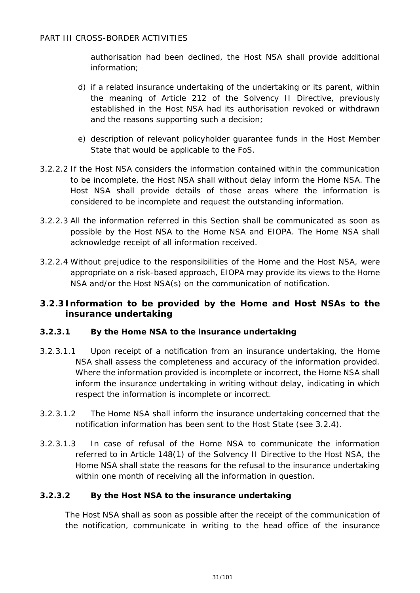authorisation had been declined, the Host NSA shall provide additional information;

- d) if a related insurance undertaking of the undertaking or its parent, within the meaning of Article 212 of the Solvency II Directive, previously established in the Host NSA had its authorisation revoked or withdrawn and the reasons supporting such a decision;
- e) description of relevant policyholder guarantee funds in the Host Member State that would be applicable to the FoS.
- 3.2.2.2 If the Host NSA considers the information contained within the communication to be incomplete, the Host NSA shall without delay inform the Home NSA. The Host NSA shall provide details of those areas where the information is considered to be incomplete and request the outstanding information.
- 3.2.2.3 All the information referred in this Section shall be communicated as soon as possible by the Host NSA to the Home NSA and EIOPA. The Home NSA shall acknowledge receipt of all information received.
- 3.2.2.4 Without prejudice to the responsibilities of the Home and the Host NSA, were appropriate on a risk-based approach, EIOPA may provide its views to the Home NSA and/or the Host NSA(s) on the communication of notification.

## <span id="page-30-0"></span>**3.2.3 Information to be provided by the Home and Host NSAs to the insurance undertaking**

#### **3.2.3.1 By the Home NSA to the insurance undertaking**

- 3.2.3.1.1 Upon receipt of a notification from an insurance undertaking, the Home NSA shall assess the completeness and accuracy of the information provided. Where the information provided is incomplete or incorrect, the Home NSA shall inform the insurance undertaking in writing without delay, indicating in which respect the information is incomplete or incorrect.
- 3.2.3.1.2 The Home NSA shall inform the insurance undertaking concerned that the notification information has been sent to the Host State (see 3.2.4).
- 3.2.3.1.3 In case of refusal of the Home NSA to communicate the information referred to in Article 148(1) of the Solvency II Directive to the Host NSA, the Home NSA shall state the reasons for the refusal to the insurance undertaking within one month of receiving all the information in question.

#### **3.2.3.2 By the Host NSA to the insurance undertaking**

The Host NSA shall as soon as possible after the receipt of the communication of the notification, communicate in writing to the head office of the insurance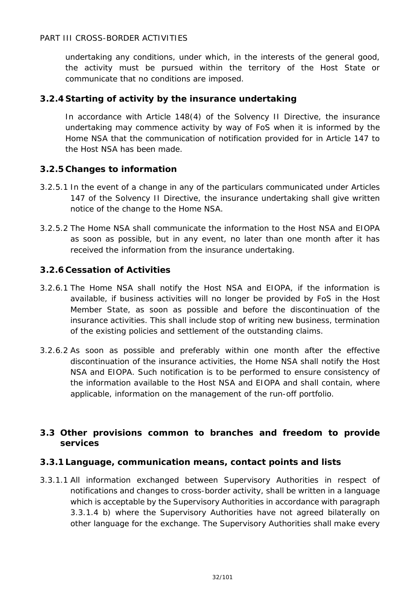undertaking any conditions, under which, in the interests of the general good, the activity must be pursued within the territory of the Host State or communicate that no conditions are imposed.

## <span id="page-31-0"></span>**3.2.4 Starting of activity by the insurance undertaking**

In accordance with Article 148(4) of the Solvency II Directive, the insurance undertaking may commence activity by way of FoS when it is informed by the Home NSA that the communication of notification provided for in Article 147 to the Host NSA has been made.

## <span id="page-31-1"></span>**3.2.5 Changes to information**

- 3.2.5.1 In the event of a change in any of the particulars communicated under Articles 147 of the Solvency II Directive, the insurance undertaking shall give written notice of the change to the Home NSA.
- 3.2.5.2 The Home NSA shall communicate the information to the Host NSA and EIOPA as soon as possible, but in any event, no later than one month after it has received the information from the insurance undertaking.

## <span id="page-31-2"></span>**3.2.6 Cessation of Activities**

- 3.2.6.1 The Home NSA shall notify the Host NSA and EIOPA, if the information is available, if business activities will no longer be provided by FoS in the Host Member State, as soon as possible and before the discontinuation of the insurance activities. This shall include stop of writing new business, termination of the existing policies and settlement of the outstanding claims.
- 3.2.6.2 As soon as possible and preferably within one month after the effective discontinuation of the insurance activities, the Home NSA shall notify the Host NSA and EIOPA. Such notification is to be performed to ensure consistency of the information available to the Host NSA and EIOPA and shall contain, where applicable, information on the management of the run-off portfolio.

## <span id="page-31-3"></span>**3.3 Other provisions common to branches and freedom to provide services**

#### <span id="page-31-4"></span>**3.3.1 Language, communication means, contact points and lists**

3.3.1.1 All information exchanged between Supervisory Authorities in respect of notifications and changes to cross-border activity, shall be written in a language which is acceptable by the Supervisory Authorities in accordance with paragraph 3.3.1.4 b) where the Supervisory Authorities have not agreed bilaterally on other language for the exchange. The Supervisory Authorities shall make every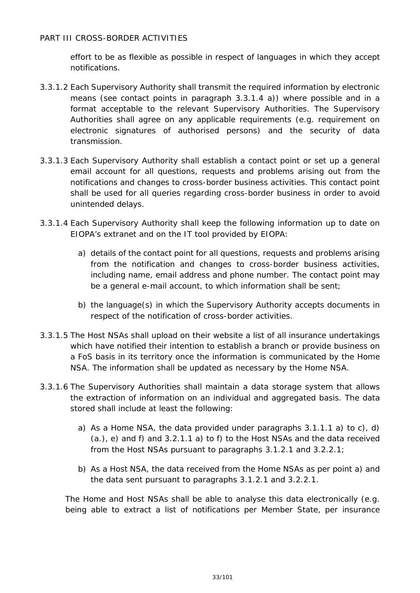effort to be as flexible as possible in respect of languages in which they accept notifications.

- 3.3.1.2 Each Supervisory Authority shall transmit the required information by electronic means (see contact points in paragraph 3.3.1.4 a)) where possible and in a format acceptable to the relevant Supervisory Authorities. The Supervisory Authorities shall agree on any applicable requirements (e.g. requirement on electronic signatures of authorised persons) and the security of data transmission.
- 3.3.1.3 Each Supervisory Authority shall establish a contact point or set up a general email account for all questions, requests and problems arising out from the notifications and changes to cross-border business activities. This contact point shall be used for all queries regarding cross-border business in order to avoid unintended delays.
- 3.3.1.4 Each Supervisory Authority shall keep the following information up to date on EIOPA's extranet and on the IT tool provided by EIOPA:
	- a) details of the contact point for all questions, requests and problems arising from the notification and changes to cross-border business activities, including name, email address and phone number. The contact point may be a general e-mail account, to which information shall be sent;
	- b) the language(s) in which the Supervisory Authority accepts documents in respect of the notification of cross-border activities.
- 3.3.1.5 The Host NSAs shall upload on their website a list of all insurance undertakings which have notified their intention to establish a branch or provide business on a FoS basis in its territory once the information is communicated by the Home NSA. The information shall be updated as necessary by the Home NSA.
- 3.3.1.6 The Supervisory Authorities shall maintain a data storage system that allows the extraction of information on an individual and aggregated basis. The data stored shall include at least the following:
	- a) As a Home NSA, the data provided under paragraphs 3.1.1.1 a) to c), d) (a.), e) and f) and 3.2.1.1 a) to f) to the Host NSAs and the data received from the Host NSAs pursuant to paragraphs 3.1.2.1 and 3.2.2.1;
	- b) As a Host NSA, the data received from the Home NSAs as per point a) and the data sent pursuant to paragraphs 3.1.2.1 and 3.2.2.1.

The Home and Host NSAs shall be able to analyse this data electronically (e.g. being able to extract a list of notifications per Member State, per insurance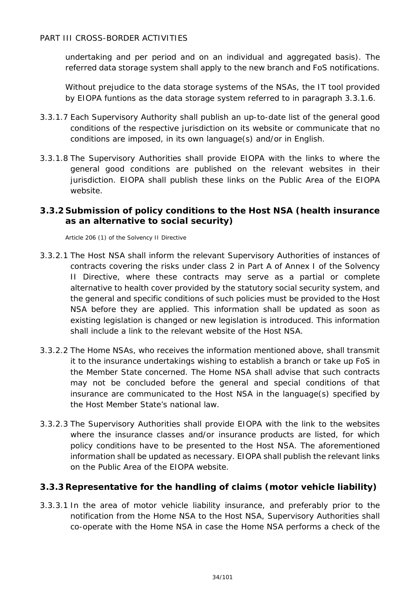undertaking and per period and on an individual and aggregated basis). The referred data storage system shall apply to the new branch and FoS notifications.

Without prejudice to the data storage systems of the NSAs, the IT tool provided by EIOPA funtions as the data storage system referred to in paragraph 3.3.1.6.

- 3.3.1.7 Each Supervisory Authority shall publish an up-to-date list of the general good conditions of the respective jurisdiction on its website or communicate that no conditions are imposed, in its own language(s) and/or in English.
- 3.3.1.8 The Supervisory Authorities shall provide EIOPA with the links to where the general good conditions are published on the relevant websites in their jurisdiction. EIOPA shall publish these links on the Public Area of the EIOPA website.

## <span id="page-33-0"></span>**3.3.2 Submission of policy conditions to the Host NSA (health insurance as an alternative to social security)**

Article 206 (1) of the Solvency II Directive

- 3.3.2.1 The Host NSA shall inform the relevant Supervisory Authorities of instances of contracts covering the risks under class 2 in Part A of Annex I of the Solvency II Directive, where these contracts may serve as a partial or complete alternative to health cover provided by the statutory social security system, and the general and specific conditions of such policies must be provided to the Host NSA before they are applied. This information shall be updated as soon as existing legislation is changed or new legislation is introduced. This information shall include a link to the relevant website of the Host NSA.
- 3.3.2.2 The Home NSAs, who receives the information mentioned above, shall transmit it to the insurance undertakings wishing to establish a branch or take up FoS in the Member State concerned. The Home NSA shall advise that such contracts may not be concluded before the general and special conditions of that insurance are communicated to the Host NSA in the language(s) specified by the Host Member State's national law.
- 3.3.2.3 The Supervisory Authorities shall provide EIOPA with the link to the websites where the insurance classes and/or insurance products are listed, for which policy conditions have to be presented to the Host NSA. The aforementioned information shall be updated as necessary. EIOPA shall publish the relevant links on the Public Area of the EIOPA website.

## <span id="page-33-1"></span>**3.3.3Representative for the handling of claims (motor vehicle liability)**

3.3.3.1 In the area of motor vehicle liability insurance, and preferably prior to the notification from the Home NSA to the Host NSA, Supervisory Authorities shall co-operate with the Home NSA in case the Home NSA performs a check of the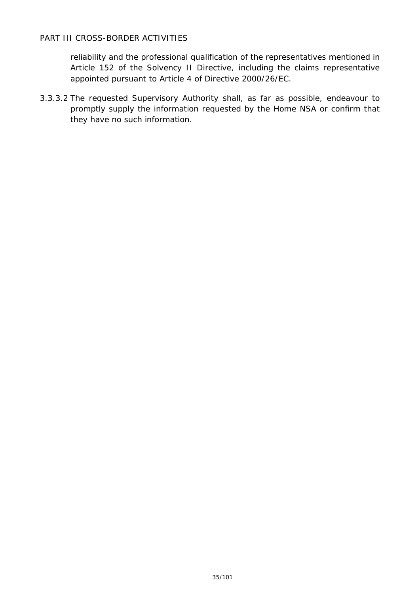reliability and the professional qualification of the representatives mentioned in Article 152 of the Solvency II Directive, including the claims representative appointed pursuant to Article 4 of Directive 2000/26/EC.

3.3.3.2 The requested Supervisory Authority shall, as far as possible, endeavour to promptly supply the information requested by the Home NSA or confirm that they have no such information.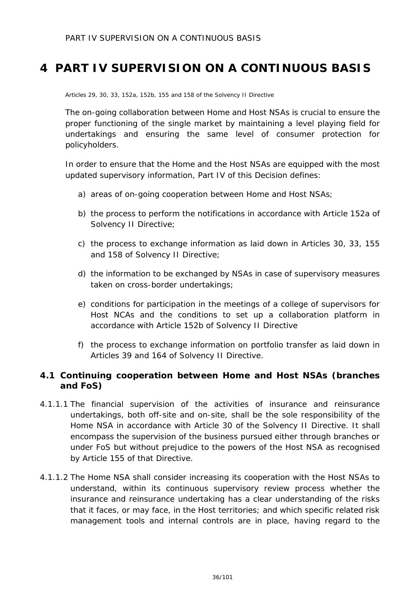## <span id="page-35-0"></span>**4 PART IV SUPERVISION ON A CONTINUOUS BASIS**

Articles 29, 30, 33, 152a, 152b, 155 and 158 of the Solvency II Directive

The on-going collaboration between Home and Host NSAs is crucial to ensure the proper functioning of the single market by maintaining a level playing field for undertakings and ensuring the same level of consumer protection for policyholders.

In order to ensure that the Home and the Host NSAs are equipped with the most updated supervisory information, Part IV of this Decision defines:

- a) areas of on-going cooperation between Home and Host NSAs;
- b) the process to perform the notifications in accordance with Article 152a of Solvency II Directive;
- c) the process to exchange information as laid down in Articles 30, 33, 155 and 158 of Solvency II Directive;
- d) the information to be exchanged by NSAs in case of supervisory measures taken on cross-border undertakings;
- e) conditions for participation in the meetings of a college of supervisors for Host NCAs and the conditions to set up a collaboration platform in accordance with Article 152b of Solvency II Directive
- f) the process to exchange information on portfolio transfer as laid down in Articles 39 and 164 of Solvency II Directive.

## <span id="page-35-1"></span>**4.1 Continuing cooperation between Home and Host NSAs (branches and FoS)**

- 4.1.1.1 The financial supervision of the activities of insurance and reinsurance undertakings, both off-site and on-site, shall be the sole responsibility of the Home NSA in accordance with Article 30 of the Solvency II Directive. It shall encompass the supervision of the business pursued either through branches or under FoS but without prejudice to the powers of the Host NSA as recognised by Article 155 of that Directive.
- 4.1.1.2 The Home NSA shall consider increasing its cooperation with the Host NSAs to understand, within its continuous supervisory review process whether the insurance and reinsurance undertaking has a clear understanding of the risks that it faces, or may face, in the Host territories; and which specific related risk management tools and internal controls are in place, having regard to the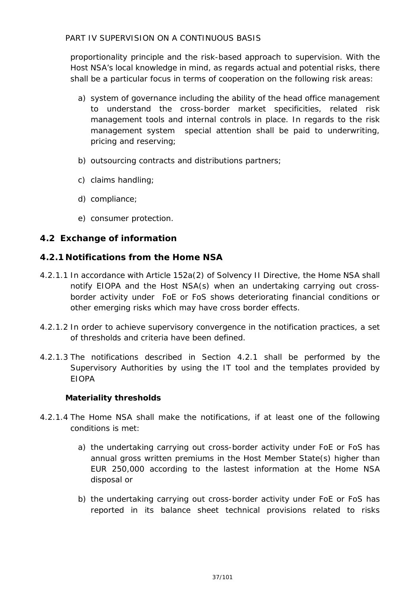proportionality principle and the risk-based approach to supervision. With the Host NSA's local knowledge in mind, as regards actual and potential risks, there shall be a particular focus in terms of cooperation on the following risk areas:

- a) system of governance including the ability of the head office management to understand the cross-border market specificities, related risk management tools and internal controls in place. In regards to the risk management system special attention shall be paid to underwriting, pricing and reserving;
- b) outsourcing contracts and distributions partners;
- c) claims handling;
- d) compliance;
- e) consumer protection.

## **4.2 Exchange of information**

## **4.2.1 Notifications from the Home NSA**

- 4.2.1.1 In accordance with Article 152a(2) of Solvency II Directive, the Home NSA shall notify EIOPA and the Host NSA(s) when an undertaking carrying out crossborder activity under FoE or FoS shows deteriorating financial conditions or other emerging risks which may have cross border effects.
- 4.2.1.2 In order to achieve supervisory convergence in the notification practices, a set of thresholds and criteria have been defined.
- 4.2.1.3 The notifications described in Section 4.2.1 shall be performed by the Supervisory Authorities by using the IT tool and the templates provided by EIOPA

#### *Materiality thresholds*

- 4.2.1.4 The Home NSA shall make the notifications, if at least one of the following conditions is met:
	- a) the undertaking carrying out cross-border activity under FoE or FoS has annual gross written premiums in the Host Member State(s) higher than EUR 250,000 according to the lastest information at the Home NSA disposal or
	- b) the undertaking carrying out cross-border activity under FoE or FoS has reported in its balance sheet technical provisions related to risks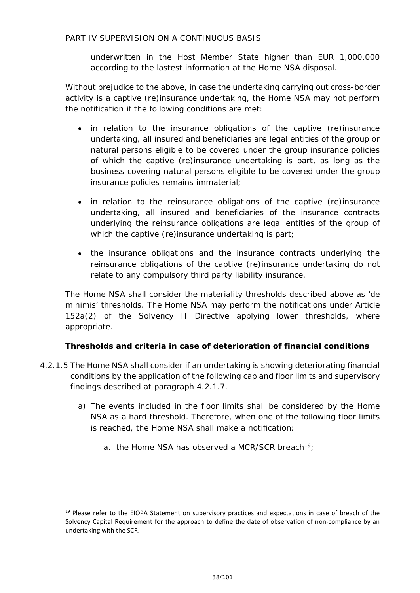underwritten in the Host Member State higher than EUR 1,000,000 according to the lastest information at the Home NSA disposal.

Without prejudice to the above, in case the undertaking carrying out cross-border activity is a captive (re)insurance undertaking, the Home NSA may not perform the notification if the following conditions are met:

- in relation to the insurance obligations of the captive (re)insurance undertaking, all insured and beneficiaries are legal entities of the group or natural persons eligible to be covered under the group insurance policies of which the captive (re)insurance undertaking is part, as long as the business covering natural persons eligible to be covered under the group insurance policies remains immaterial;
- in relation to the reinsurance obligations of the captive (re)insurance undertaking, all insured and beneficiaries of the insurance contracts underlying the reinsurance obligations are legal entities of the group of which the captive (re)insurance undertaking is part;
- the insurance obligations and the insurance contracts underlying the reinsurance obligations of the captive (re)insurance undertaking do not relate to any compulsory third party liability insurance.

The Home NSA shall consider the materiality thresholds described above as '*de minimis*' thresholds. The Home NSA may perform the notifications under Article 152a(2) of the Solvency II Directive applying lower thresholds, where appropriate.

#### *Thresholds and criteria in case of deterioration of financial conditions*

- 4.2.1.5 The Home NSA shall consider if an undertaking is showing deteriorating financial conditions by the application of the following cap and floor limits and supervisory findings described at paragraph 4.2.1.7.
	- a) The events included in the floor limits shall be considered by the Home NSA as a hard threshold. Therefore, when one of the following floor limits is reached, the Home NSA shall make a notification:
		- a. the Home NSA has observed a MCR/SCR breach<sup>19</sup>;

<span id="page-37-0"></span><sup>&</sup>lt;sup>19</sup> Please refer to the EIOPA Statement on supervisory practices and expectations in case of breach of the Solvency Capital Requirement for the approach to define the date of observation of non-compliance by an undertaking with the SCR.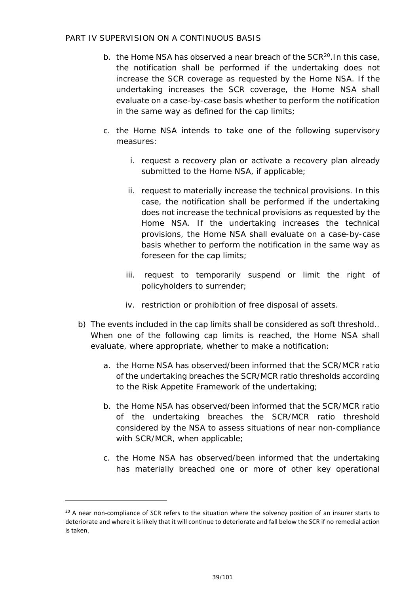- b. the Home NSA has observed a near breach of the SCR<sup>[20](#page-38-0)</sup>. In this case, the notification shall be performed if the undertaking does not increase the SCR coverage as requested by the Home NSA. If the undertaking increases the SCR coverage, the Home NSA shall evaluate on a case-by-case basis whether to perform the notification in the same way as defined for the cap limits;
- c. the Home NSA intends to take one of the following supervisory measures:
	- i. request a recovery plan or activate a recovery plan already submitted to the Home NSA, if applicable;
	- ii. request to materially increase the technical provisions. In this case, the notification shall be performed if the undertaking does not increase the technical provisions as requested by the Home NSA. If the undertaking increases the technical provisions, the Home NSA shall evaluate on a case-by-case basis whether to perform the notification in the same way as foreseen for the cap limits;
	- iii. request to temporarily suspend or limit the right of policyholders to surrender;
	- iv. restriction or prohibition of free disposal of assets.
- b) The events included in the cap limits shall be considered as soft threshold.. When one of the following cap limits is reached, the Home NSA shall evaluate, where appropriate, whether to make a notification:
	- a. the Home NSA has observed/been informed that the SCR/MCR ratio of the undertaking breaches the SCR/MCR ratio thresholds according to the Risk Appetite Framework of the undertaking;
	- b. the Home NSA has observed/been informed that the SCR/MCR ratio of the undertaking breaches the SCR/MCR ratio threshold considered by the NSA to assess situations of near non-compliance with SCR/MCR, when applicable;
	- c. the Home NSA has observed/been informed that the undertaking has materially breached one or more of other key operational

<span id="page-38-0"></span><sup>&</sup>lt;sup>20</sup> A near non-compliance of SCR refers to the situation where the solvency position of an insurer starts to deteriorate and where it is likely that it will continue to deteriorate and fall below the SCR if no remedial action is taken.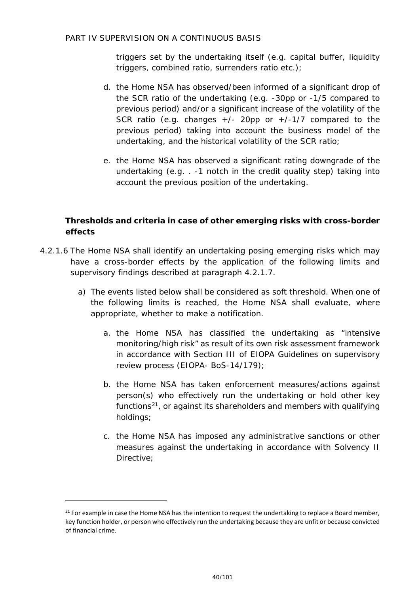triggers set by the undertaking itself (e.g. capital buffer, liquidity triggers, combined ratio, surrenders ratio etc.);

- d. the Home NSA has observed/been informed of a significant drop of the SCR ratio of the undertaking (e.g. -30pp or -1/5 compared to previous period) and/or a significant increase of the volatility of the SCR ratio (e.g. changes  $+/-$  20pp or  $+/-1/7$  compared to the previous period) taking into account the business model of the undertaking, and the historical volatility of the SCR ratio;
- e. the Home NSA has observed a significant rating downgrade of the undertaking (e.g. . -1 notch in the credit quality step) taking into account the previous position of the undertaking.

#### *Thresholds and criteria in case of other emerging risks with cross-border effects*

- 4.2.1.6 The Home NSA shall identify an undertaking posing emerging risks which may have a cross-border effects by the application of the following limits and supervisory findings described at paragraph 4.2.1.7.
	- a) The events listed below shall be considered as soft threshold. When one of the following limits is reached, the Home NSA shall evaluate, where appropriate, whether to make a notification.
		- a. the Home NSA has classified the undertaking as "intensive monitoring/high risk" as result of its own risk assessment framework in accordance with Section III of EIOPA Guidelines on supervisory review process (EIOPA- BoS-14/179);
		- b. the Home NSA has taken enforcement measures/actions against person(s) who effectively run the undertaking or hold other key functions $21$ , or against its shareholders and members with qualifying holdings;
		- c. the Home NSA has imposed any administrative sanctions or other measures against the undertaking in accordance with Solvency II Directive;

<span id="page-39-0"></span> $21$  For example in case the Home NSA has the intention to request the undertaking to replace a Board member, key function holder, or person who effectively run the undertaking because they are unfit or because convicted of financial crime.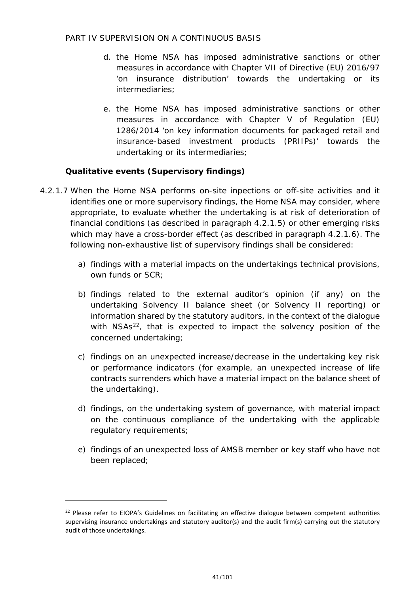- d. the Home NSA has imposed administrative sanctions or other measures in accordance with Chapter VII of Directive (EU) 2016/97 'on insurance distribution' towards the undertaking or its intermediaries;
- e. the Home NSA has imposed administrative sanctions or other measures in accordance with Chapter V of Regulation (EU) 1286/2014 'on key information documents for packaged retail and insurance-based investment products (PRIIPs)' towards the undertaking or its intermediaries;

#### *Qualitative events (Supervisory findings)*

- 4.2.1.7 When the Home NSA performs on-site inpections or off-site activities and it identifies one or more supervisory findings, the Home NSA may consider, where appropriate, to evaluate whether the undertaking is at risk of deterioration of financial conditions (as described in paragraph 4.2.1.5) or other emerging risks which may have a cross-border effect (as described in paragraph 4.2.1.6). The following non-exhaustive list of supervisory findings shall be considered:
	- a) findings with a material impacts on the undertakings technical provisions, own funds or SCR;
	- b) findings related to the external auditor's opinion (if any) on the undertaking Solvency II balance sheet (or Solvency II reporting) or information shared by the statutory auditors, in the context of the dialogue with NSAs<sup>[22](#page-40-0)</sup>, that is expected to impact the solvency position of the concerned undertaking;
	- c) findings on an unexpected increase/decrease in the undertaking key risk or performance indicators (for example, an unexpected increase of life contracts surrenders which have a material impact on the balance sheet of the undertaking).
	- d) findings, on the undertaking system of governance, with material impact on the continuous compliance of the undertaking with the applicable regulatory requirements;
	- e) findings of an unexpected loss of AMSB member or key staff who have not been replaced;

<span id="page-40-0"></span> $22$  Please refer to EIOPA's Guidelines on facilitating an effective dialogue between competent authorities supervising insurance undertakings and statutory auditor(s) and the audit firm(s) carrying out the statutory audit of those undertakings.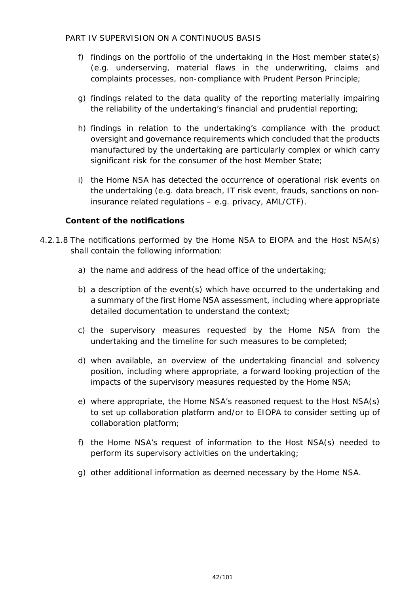- f) findings on the portfolio of the undertaking in the Host member state(s) (e.g. underserving, material flaws in the underwriting, claims and complaints processes, non-compliance with Prudent Person Principle;
- g) findings related to the data quality of the reporting materially impairing the reliability of the undertaking's financial and prudential reporting;
- h) findings in relation to the undertaking's compliance with the product oversight and governance requirements which concluded that the products manufactured by the undertaking are particularly complex or which carry significant risk for the consumer of the host Member State;
- i) the Home NSA has detected the occurrence of operational risk events on the undertaking (e.g. data breach, IT risk event, frauds, sanctions on noninsurance related regulations – e.g. privacy, AML/CTF).

#### *Content of the notifications*

- 4.2.1.8 The notifications performed by the Home NSA to EIOPA and the Host NSA(s) shall contain the following information:
	- a) the name and address of the head office of the undertaking;
	- b) a description of the event(s) which have occurred to the undertaking and a summary of the first Home NSA assessment, including where appropriate detailed documentation to understand the context;
	- c) the supervisory measures requested by the Home NSA from the undertaking and the timeline for such measures to be completed;
	- d) when available, an overview of the undertaking financial and solvency position, including where appropriate, a forward looking projection of the impacts of the supervisory measures requested by the Home NSA;
	- e) where appropriate, the Home NSA's reasoned request to the Host NSA(s) to set up collaboration platform and/or to EIOPA to consider setting up of collaboration platform;
	- f) the Home NSA's request of information to the Host NSA(s) needed to perform its supervisory activities on the undertaking;
	- g) other additional information as deemed necessary by the Home NSA.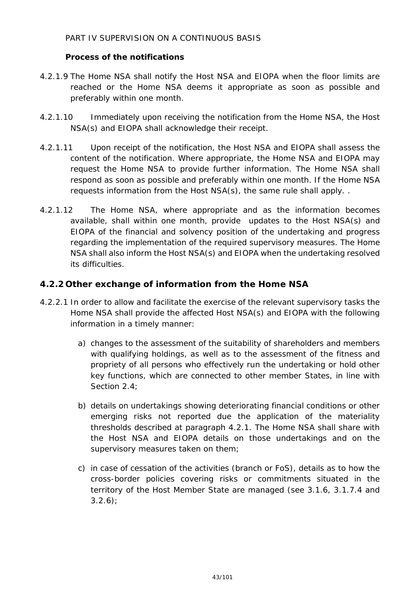#### *Process of the notifications*

- 4.2.1.9 The Home NSA shall notify the Host NSA and EIOPA when the floor limits are reached or the Home NSA deems it appropriate as soon as possible and preferably within one month.
- 4.2.1.10 Immediately upon receiving the notification from the Home NSA, the Host NSA(s) and EIOPA shall acknowledge their receipt.
- 4.2.1.11 Upon receipt of the notification, the Host NSA and EIOPA shall assess the content of the notification. Where appropriate, the Home NSA and EIOPA may request the Home NSA to provide further information. The Home NSA shall respond as soon as possible and preferably within one month. If the Home NSA requests information from the Host NSA(s), the same rule shall apply. .
- 4.2.1.12 The Home NSA, where appropriate and as the information becomes available, shall within one month, provide updates to the Host NSA(s) and EIOPA of the financial and solvency position of the undertaking and progress regarding the implementation of the required supervisory measures. The Home NSA shall also inform the Host NSA(s) and EIOPA when the undertaking resolved its difficulties.

## **4.2.2 Other exchange of information from the Home NSA**

- 4.2.2.1 In order to allow and facilitate the exercise of the relevant supervisory tasks the Home NSA shall provide the affected Host NSA(s) and EIOPA with the following information in a timely manner:
	- a) changes to the assessment of the suitability of shareholders and members with qualifying holdings, as well as to the assessment of the fitness and propriety of all persons who effectively run the undertaking or hold other key functions, which are connected to other member States, in line with Section 2.4;
	- b) details on undertakings showing deteriorating financial conditions or other emerging risks not reported due the application of the materiality thresholds described at paragraph 4.2.1. The Home NSA shall share with the Host NSA and EIOPA details on those undertakings and on the supervisory measures taken on them;
	- c) in case of cessation of the activities (branch or FoS), details as to how the cross-border policies covering risks or commitments situated in the territory of the Host Member State are managed (see 3.1.6, 3.1.7.4 and  $3.2.6$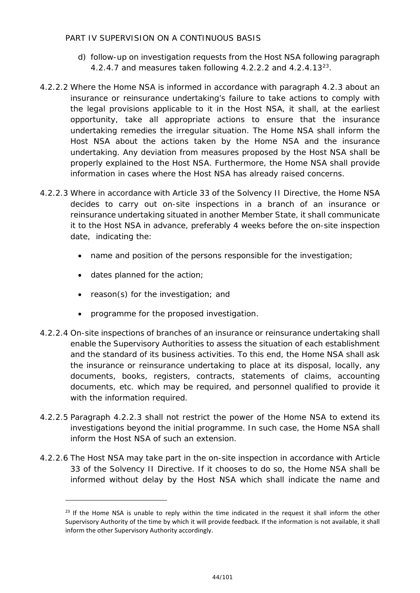- d) follow-up on investigation requests from the Host NSA following paragraph 4.2.4.7 and measures taken following 4.2.2.2 and  $4.2.4.13^{23}$  $4.2.4.13^{23}$  $4.2.4.13^{23}$ .
- 4.2.2.2 Where the Home NSA is informed in accordance with paragraph 4.2.3 about an insurance or reinsurance undertaking's failure to take actions to comply with the legal provisions applicable to it in the Host NSA, it shall, at the earliest opportunity, take all appropriate actions to ensure that the insurance undertaking remedies the irregular situation. The Home NSA shall inform the Host NSA about the actions taken by the Home NSA and the insurance undertaking. Any deviation from measures proposed by the Host NSA shall be properly explained to the Host NSA. Furthermore, the Home NSA shall provide information in cases where the Host NSA has already raised concerns.
- 4.2.2.3 Where in accordance with Article 33 of the Solvency II Directive, the Home NSA decides to carry out on-site inspections in a branch of an insurance or reinsurance undertaking situated in another Member State, it shall communicate it to the Host NSA in advance, preferably 4 weeks before the on-site inspection date, indicating the:
	- name and position of the persons responsible for the investigation;
	- dates planned for the action;

- reason(s) for the investigation; and
- programme for the proposed investigation.
- 4.2.2.4 On-site inspections of branches of an insurance or reinsurance undertaking shall enable the Supervisory Authorities to assess the situation of each establishment and the standard of its business activities. To this end, the Home NSA shall ask the insurance or reinsurance undertaking to place at its disposal, locally, any documents, books, registers, contracts, statements of claims, accounting documents, etc. which may be required, and personnel qualified to provide it with the information required.
- 4.2.2.5 Paragraph 4.2.2.3 shall not restrict the power of the Home NSA to extend its investigations beyond the initial programme. In such case, the Home NSA shall inform the Host NSA of such an extension.
- 4.2.2.6 The Host NSA may take part in the on-site inspection in accordance with Article 33 of the Solvency II Directive. If it chooses to do so, the Home NSA shall be informed without delay by the Host NSA which shall indicate the name and

<span id="page-43-0"></span> $23$  If the Home NSA is unable to reply within the time indicated in the request it shall inform the other Supervisory Authority of the time by which it will provide feedback. If the information is not available, it shall inform the other Supervisory Authority accordingly.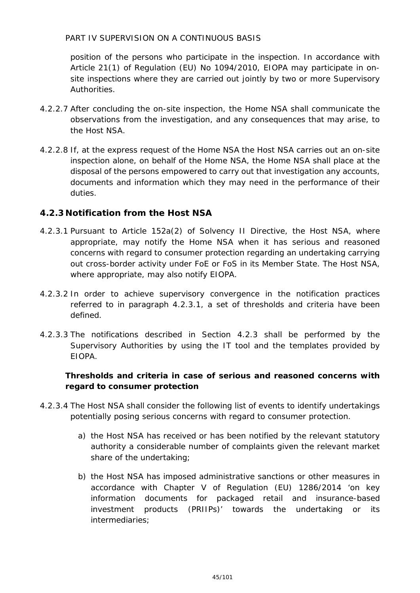position of the persons who participate in the inspection. In accordance with Article 21(1) of Regulation (EU) No 1094/2010, EIOPA may participate in onsite inspections where they are carried out jointly by two or more Supervisory Authorities.

- 4.2.2.7 After concluding the on-site inspection, the Home NSA shall communicate the observations from the investigation, and any consequences that may arise, to the Host NSA.
- 4.2.2.8 If, at the express request of the Home NSA the Host NSA carries out an on-site inspection alone, on behalf of the Home NSA, the Home NSA shall place at the disposal of the persons empowered to carry out that investigation any accounts, documents and information which they may need in the performance of their duties.

## **4.2.3 Notification from the Host NSA**

- 4.2.3.1 Pursuant to Article 152a(2) of Solvency II Directive, the Host NSA, where appropriate, may notify the Home NSA when it has serious and reasoned concerns with regard to consumer protection regarding an undertaking carrying out cross-border activity under FoE or FoS in its Member State. The Host NSA, where appropriate, may also notify EIOPA.
- 4.2.3.2 In order to achieve supervisory convergence in the notification practices referred to in paragraph 4.2.3.1, a set of thresholds and criteria have been defined.
- 4.2.3.3 The notifications described in Section 4.2.3 shall be performed by the Supervisory Authorities by using the IT tool and the templates provided by EIOPA.

## *Thresholds and criteria in case of serious and reasoned concerns with regard to consumer protection*

- 4.2.3.4 The Host NSA shall consider the following list of events to identify undertakings potentially posing serious concerns with regard to consumer protection.
	- a) the Host NSA has received or has been notified by the relevant statutory authority a considerable number of complaints given the relevant market share of the undertaking;
	- b) the Host NSA has imposed administrative sanctions or other measures in accordance with Chapter V of Regulation (EU) 1286/2014 'on key information documents for packaged retail and insurance-based investment products (PRIIPs)' towards the undertaking or its intermediaries;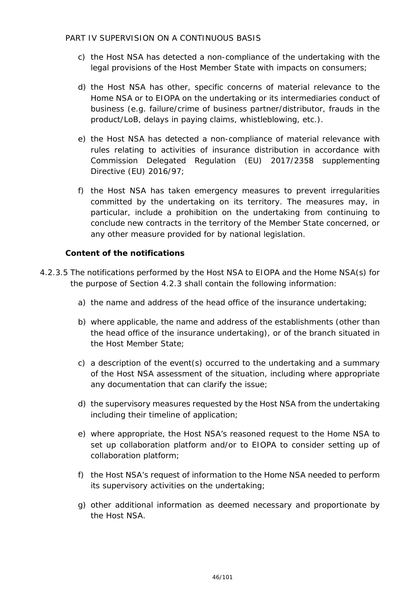- c) the Host NSA has detected a non-compliance of the undertaking with the legal provisions of the Host Member State with impacts on consumers;
- d) the Host NSA has other, specific concerns of material relevance to the Home NSA or to EIOPA on the undertaking or its intermediaries conduct of business (e.g. failure/crime of business partner/distributor, frauds in the product/LoB, delays in paying claims, whistleblowing, etc.).
- e) the Host NSA has detected a non-compliance of material relevance with rules relating to activities of insurance distribution in accordance with Commission Delegated Regulation (EU) 2017/2358 supplementing Directive (EU) 2016/97;
- f) the Host NSA has taken emergency measures to prevent irregularities committed by the undertaking on its territory. The measures may, in particular, include a prohibition on the undertaking from continuing to conclude new contracts in the territory of the Member State concerned, or any other measure provided for by national legislation.

#### *Content of the notifications*

- 4.2.3.5 The notifications performed by the Host NSA to EIOPA and the Home NSA(s) for the purpose of Section 4.2.3 shall contain the following information:
	- a) the name and address of the head office of the insurance undertaking;
	- b) where applicable, the name and address of the establishments (other than the head office of the insurance undertaking), or of the branch situated in the Host Member State;
	- c) a description of the event(s) occurred to the undertaking and a summary of the Host NSA assessment of the situation, including where appropriate any documentation that can clarify the issue;
	- d) the supervisory measures requested by the Host NSA from the undertaking including their timeline of application;
	- e) where appropriate, the Host NSA's reasoned request to the Home NSA to set up collaboration platform and/or to EIOPA to consider setting up of collaboration platform;
	- f) the Host NSA's request of information to the Home NSA needed to perform its supervisory activities on the undertaking;
	- g) other additional information as deemed necessary and proportionate by the Host NSA.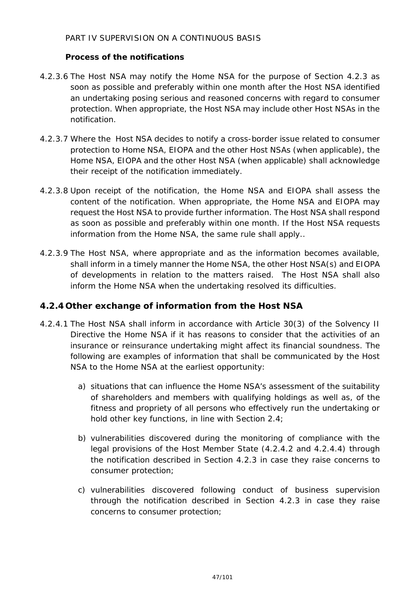#### *Process of the notifications*

- 4.2.3.6 The Host NSA may notify the Home NSA for the purpose of Section 4.2.3 as soon as possible and preferably within one month after the Host NSA identified an undertaking posing serious and reasoned concerns with regard to consumer protection. When appropriate, the Host NSA may include other Host NSAs in the notification.
- 4.2.3.7 Where the Host NSA decides to notify a cross-border issue related to consumer protection to Home NSA, EIOPA and the other Host NSAs (when applicable), the Home NSA, EIOPA and the other Host NSA (when applicable) shall acknowledge their receipt of the notification immediately.
- 4.2.3.8 Upon receipt of the notification, the Home NSA and EIOPA shall assess the content of the notification. When appropriate, the Home NSA and EIOPA may request the Host NSA to provide further information. The Host NSA shall respond as soon as possible and preferably within one month. If the Host NSA requests information from the Home NSA, the same rule shall apply..
- 4.2.3.9 The Host NSA, where appropriate and as the information becomes available, shall inform in a timely manner the Home NSA, the other Host NSA(s) and EIOPA of developments in relation to the matters raised. The Host NSA shall also inform the Home NSA when the undertaking resolved its difficulties.

## **4.2.4 Other exchange of information from the Host NSA**

- 4.2.4.1 The Host NSA shall inform in accordance with Article 30(3) of the Solvency II Directive the Home NSA if it has reasons to consider that the activities of an insurance or reinsurance undertaking might affect its financial soundness. The following are examples of information that shall be communicated by the Host NSA to the Home NSA at the earliest opportunity:
	- a) situations that can influence the Home NSA's assessment of the suitability of shareholders and members with qualifying holdings as well as, of the fitness and propriety of all persons who effectively run the undertaking or hold other key functions, in line with Section 2.4;
	- b) vulnerabilities discovered during the monitoring of compliance with the legal provisions of the Host Member State (4.2.4.2 and 4.2.4.4) through the notification described in Section 4.2.3 in case they raise concerns to consumer protection;
	- c) vulnerabilities discovered following conduct of business supervision through the notification described in Section 4.2.3 in case they raise concerns to consumer protection;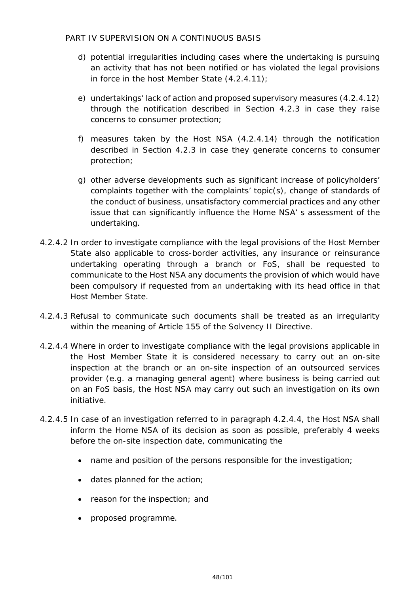- d) potential irregularities including cases where the undertaking is pursuing an activity that has not been notified or has violated the legal provisions in force in the host Member State (4.2.4.11);
- e) undertakings' lack of action and proposed supervisory measures (4.2.4.12) through the notification described in Section 4.2.3 in case they raise concerns to consumer protection;
- f) measures taken by the Host NSA (4.2.4.14) through the notification described in Section 4.2.3 in case they generate concerns to consumer protection;
- g) other adverse developments such as significant increase of policyholders' complaints together with the complaints' topic(s), change of standards of the conduct of business, unsatisfactory commercial practices and any other issue that can significantly influence the Home NSA' s assessment of the undertaking.
- 4.2.4.2 In order to investigate compliance with the legal provisions of the Host Member State also applicable to cross-border activities, any insurance or reinsurance undertaking operating through a branch or FoS, shall be requested to communicate to the Host NSA any documents the provision of which would have been compulsory if requested from an undertaking with its head office in that Host Member State.
- 4.2.4.3 Refusal to communicate such documents shall be treated as an irregularity within the meaning of Article 155 of the Solvency II Directive.
- 4.2.4.4 Where in order to investigate compliance with the legal provisions applicable in the Host Member State it is considered necessary to carry out an on-site inspection at the branch or an on-site inspection of an outsourced services provider (e.g. a managing general agent) where business is being carried out on an FoS basis, the Host NSA may carry out such an investigation on its own initiative.
- 4.2.4.5 In case of an investigation referred to in paragraph 4.2.4.4, the Host NSA shall inform the Home NSA of its decision as soon as possible, preferably 4 weeks before the on-site inspection date, communicating the
	- name and position of the persons responsible for the investigation;
	- dates planned for the action;
	- reason for the inspection; and
	- proposed programme.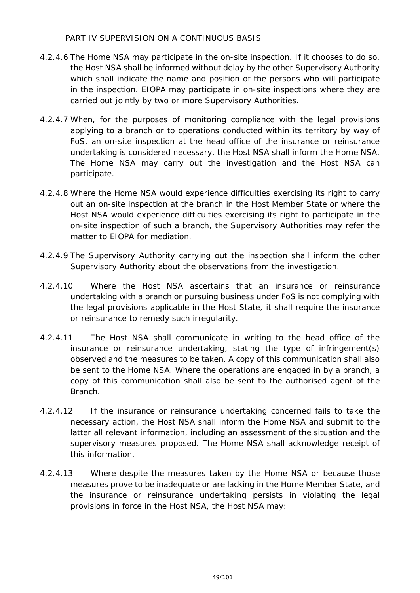- 4.2.4.6 The Home NSA may participate in the on-site inspection. If it chooses to do so, the Host NSA shall be informed without delay by the other Supervisory Authority which shall indicate the name and position of the persons who will participate in the inspection. EIOPA may participate in on-site inspections where they are carried out jointly by two or more Supervisory Authorities.
- 4.2.4.7 When, for the purposes of monitoring compliance with the legal provisions applying to a branch or to operations conducted within its territory by way of FoS, an on-site inspection at the head office of the insurance or reinsurance undertaking is considered necessary, the Host NSA shall inform the Home NSA. The Home NSA may carry out the investigation and the Host NSA can participate.
- 4.2.4.8 Where the Home NSA would experience difficulties exercising its right to carry out an on-site inspection at the branch in the Host Member State or where the Host NSA would experience difficulties exercising its right to participate in the on-site inspection of such a branch, the Supervisory Authorities may refer the matter to EIOPA for mediation.
- 4.2.4.9 The Supervisory Authority carrying out the inspection shall inform the other Supervisory Authority about the observations from the investigation.
- 4.2.4.10 Where the Host NSA ascertains that an insurance or reinsurance undertaking with a branch or pursuing business under FoS is not complying with the legal provisions applicable in the Host State, it shall require the insurance or reinsurance to remedy such irregularity.
- 4.2.4.11 The Host NSA shall communicate in writing to the head office of the insurance or reinsurance undertaking, stating the type of infringement(s) observed and the measures to be taken. A copy of this communication shall also be sent to the Home NSA. Where the operations are engaged in by a branch, a copy of this communication shall also be sent to the authorised agent of the Branch.
- 4.2.4.12 If the insurance or reinsurance undertaking concerned fails to take the necessary action, the Host NSA shall inform the Home NSA and submit to the latter all relevant information, including an assessment of the situation and the supervisory measures proposed. The Home NSA shall acknowledge receipt of this information.
- 4.2.4.13 Where despite the measures taken by the Home NSA or because those measures prove to be inadequate or are lacking in the Home Member State, and the insurance or reinsurance undertaking persists in violating the legal provisions in force in the Host NSA, the Host NSA may: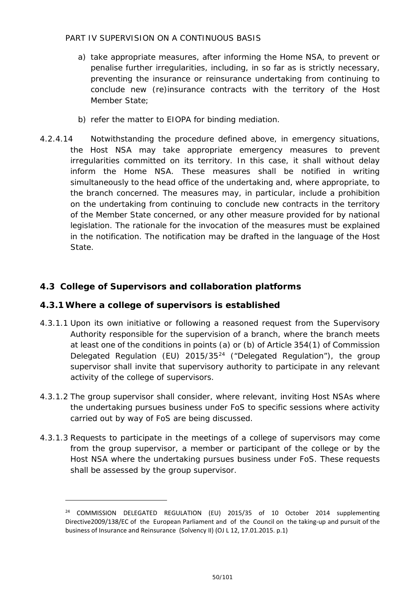- a) take appropriate measures, after informing the Home NSA, to prevent or penalise further irregularities, including, in so far as is strictly necessary, preventing the insurance or reinsurance undertaking from continuing to conclude new (re)insurance contracts with the territory of the Host Member State;
- b) refer the matter to EIOPA for binding mediation.
- 4.2.4.14 Notwithstanding the procedure defined above, in emergency situations, the Host NSA may take appropriate emergency measures to prevent irregularities committed on its territory. In this case, it shall without delay inform the Home NSA. These measures shall be notified in writing simultaneously to the head office of the undertaking and, where appropriate, to the branch concerned. The measures may, in particular, include a prohibition on the undertaking from continuing to conclude new contracts in the territory of the Member State concerned, or any other measure provided for by national legislation. The rationale for the invocation of the measures must be explained in the notification. The notification may be drafted in the language of the Host State.

## **4.3 College of Supervisors and collaboration platforms**

## **4.3.1Where a college of supervisors is established**

- 4.3.1.1 Upon its own initiative or following a reasoned request from the Supervisory Authority responsible for the supervision of a branch, where the branch meets at least one of the conditions in points (a) or (b) of Article 354(1) of Commission Delegated Regulation (EU) 2015/35[24](#page-49-0) ("Delegated Regulation"), the group supervisor shall invite that supervisory authority to participate in any relevant activity of the college of supervisors.
- 4.3.1.2 The group supervisor shall consider, where relevant, inviting Host NSAs where the undertaking pursues business under FoS to specific sessions where activity carried out by way of FoS are being discussed.
- 4.3.1.3 Requests to participate in the meetings of a college of supervisors may come from the group supervisor, a member or participant of the college or by the Host NSA where the undertaking pursues business under FoS. These requests shall be assessed by the group supervisor.

<span id="page-49-0"></span><sup>24</sup> COMMISSION DELEGATED REGULATION (EU) 2015/35 of 10 October 2014 supplementing Directive2009/138/EC of the European Parliament and of the Council on the taking-up and pursuit of the business of Insurance and Reinsurance (Solvency II) (OJ L 12, 17.01.2015. p.1)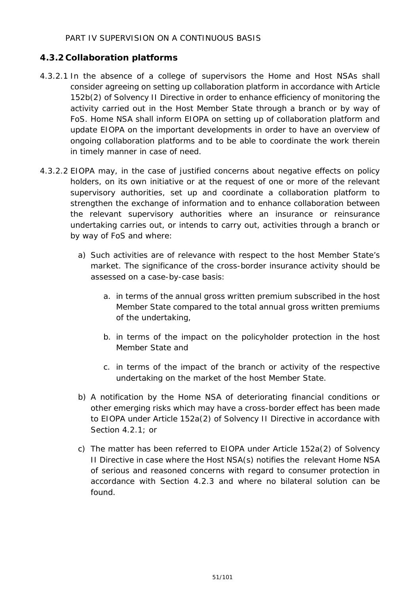## **4.3.2 Collaboration platforms**

- 4.3.2.1 In the absence of a college of supervisors the Home and Host NSAs shall consider agreeing on setting up collaboration platform in accordance with Article 152b(2) of Solvency II Directive in order to enhance efficiency of monitoring the activity carried out in the Host Member State through a branch or by way of FoS. Home NSA shall inform EIOPA on setting up of collaboration platform and update EIOPA on the important developments in order to have an overview of ongoing collaboration platforms and to be able to coordinate the work therein in timely manner in case of need.
- 4.3.2.2 EIOPA may, in the case of justified concerns about negative effects on policy holders, on its own initiative or at the request of one or more of the relevant supervisory authorities, set up and coordinate a collaboration platform to strengthen the exchange of information and to enhance collaboration between the relevant supervisory authorities where an insurance or reinsurance undertaking carries out, or intends to carry out, activities through a branch or by way of FoS and where:
	- a) Such activities are of relevance with respect to the host Member State's market. The significance of the cross-border insurance activity should be assessed on a case-by-case basis:
		- a. in terms of the annual gross written premium subscribed in the host Member State compared to the total annual gross written premiums of the undertaking,
		- b. in terms of the impact on the policyholder protection in the host Member State and
		- c. in terms of the impact of the branch or activity of the respective undertaking on the market of the host Member State.
	- b) A notification by the Home NSA of deteriorating financial conditions or other emerging risks which may have a cross-border effect has been made to EIOPA under Article 152a(2) of Solvency II Directive in accordance with Section 4.2.1; or
	- c) The matter has been referred to EIOPA under Article 152a(2) of Solvency II Directive in case where the Host NSA(s) notifies the relevant Home NSA of serious and reasoned concerns with regard to consumer protection in accordance with Section 4.2.3 and where no bilateral solution can be found.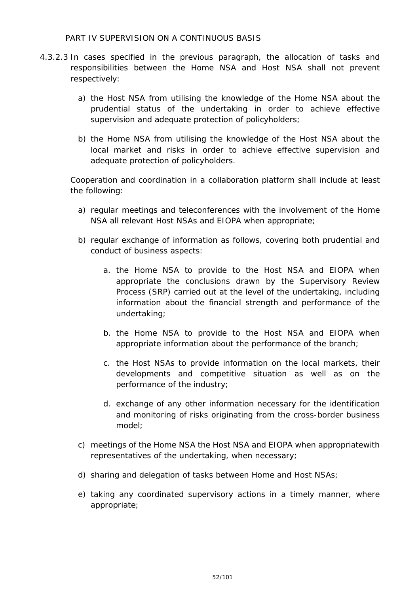- 4.3.2.3 In cases specified in the previous paragraph, the allocation of tasks and responsibilities between the Home NSA and Host NSA shall not prevent respectively:
	- a) the Host NSA from utilising the knowledge of the Home NSA about the prudential status of the undertaking in order to achieve effective supervision and adequate protection of policyholders;
	- b) the Home NSA from utilising the knowledge of the Host NSA about the local market and risks in order to achieve effective supervision and adequate protection of policyholders.

Cooperation and coordination in a collaboration platform shall include at least the following:

- a) regular meetings and teleconferences with the involvement of the Home NSA all relevant Host NSAs and EIOPA when appropriate;
- b) regular exchange of information as follows, covering both prudential and conduct of business aspects:
	- a. the Home NSA to provide to the Host NSA and EIOPA when appropriate the conclusions drawn by the Supervisory Review Process (SRP) carried out at the level of the undertaking, including information about the financial strength and performance of the undertaking;
	- b. the Home NSA to provide to the Host NSA and EIOPA when appropriate information about the performance of the branch;
	- c. the Host NSAs to provide information on the local markets, their developments and competitive situation as well as on the performance of the industry;
	- d. exchange of any other information necessary for the identification and monitoring of risks originating from the cross-border business model;
- c) meetings of the Home NSA the Host NSA and EIOPA when appropriatewith representatives of the undertaking, when necessary;
- d) sharing and delegation of tasks between Home and Host NSAs;
- e) taking any coordinated supervisory actions in a timely manner, where appropriate;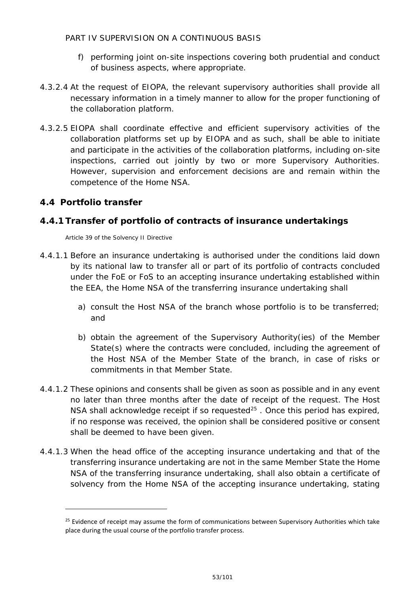- f) performing joint on-site inspections covering both prudential and conduct of business aspects, where appropriate.
- 4.3.2.4 At the request of EIOPA, the relevant supervisory authorities shall provide all necessary information in a timely manner to allow for the proper functioning of the collaboration platform.
- 4.3.2.5 EIOPA shall coordinate effective and efficient supervisory activities of the collaboration platforms set up by EIOPA and as such, shall be able to initiate and participate in the activities of the collaboration platforms, including on-site inspections, carried out jointly by two or more Supervisory Authorities. However, supervision and enforcement decisions are and remain within the competence of the Home NSA.

## **4.4 Portfolio transfer**

-

## **4.4.1 Transfer of portfolio of contracts of insurance undertakings**

Article 39 of the Solvency II Directive

- 4.4.1.1 Before an insurance undertaking is authorised under the conditions laid down by its national law to transfer all or part of its portfolio of contracts concluded under the FoE or FoS to an accepting insurance undertaking established within the EEA, the Home NSA of the transferring insurance undertaking shall
	- a) consult the Host NSA of the branch whose portfolio is to be transferred; and
	- b) obtain the agreement of the Supervisory Authority(ies) of the Member State(s) where the contracts were concluded, including the agreement of the Host NSA of the Member State of the branch, in case of risks or commitments in that Member State.
- 4.4.1.2 These opinions and consents shall be given as soon as possible and in any event no later than three months after the date of receipt of the request. The Host NSA shall acknowledge receipt if so requested $25$ . Once this period has expired, if no response was received, the opinion shall be considered positive or consent shall be deemed to have been given.
- 4.4.1.3 When the head office of the accepting insurance undertaking and that of the transferring insurance undertaking are not in the same Member State the Home NSA of the transferring insurance undertaking, shall also obtain a certificate of solvency from the Home NSA of the accepting insurance undertaking, stating

<span id="page-52-0"></span><sup>&</sup>lt;sup>25</sup> Evidence of receipt may assume the form of communications between Supervisory Authorities which take place during the usual course of the portfolio transfer process.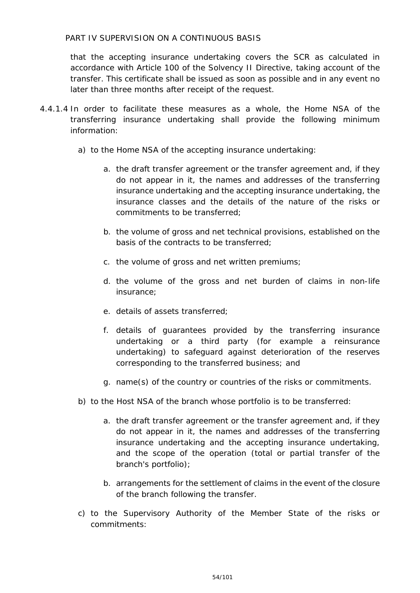that the accepting insurance undertaking covers the SCR as calculated in accordance with Article 100 of the Solvency II Directive, taking account of the transfer. This certificate shall be issued as soon as possible and in any event no later than three months after receipt of the request.

- 4.4.1.4 In order to facilitate these measures as a whole, the Home NSA of the transferring insurance undertaking shall provide the following minimum information:
	- a) to the Home NSA of the accepting insurance undertaking:
		- a. the draft transfer agreement or the transfer agreement and, if they do not appear in it, the names and addresses of the transferring insurance undertaking and the accepting insurance undertaking, the insurance classes and the details of the nature of the risks or commitments to be transferred;
		- b. the volume of gross and net technical provisions, established on the basis of the contracts to be transferred;
		- c. the volume of gross and net written premiums;
		- d. the volume of the gross and net burden of claims in non-life insurance;
		- e. details of assets transferred;
		- f. details of guarantees provided by the transferring insurance undertaking or a third party (for example a reinsurance undertaking) to safeguard against deterioration of the reserves corresponding to the transferred business; and
		- g. name(s) of the country or countries of the risks or commitments.
	- b) to the Host NSA of the branch whose portfolio is to be transferred:
		- a. the draft transfer agreement or the transfer agreement and, if they do not appear in it, the names and addresses of the transferring insurance undertaking and the accepting insurance undertaking, and the scope of the operation (total or partial transfer of the branch's portfolio);
		- b. arrangements for the settlement of claims in the event of the closure of the branch following the transfer.
	- c) to the Supervisory Authority of the Member State of the risks or commitments: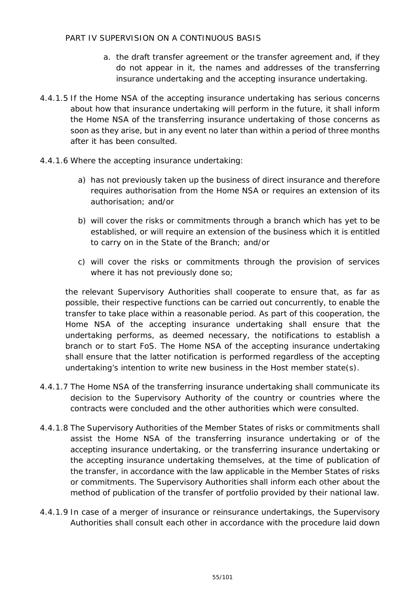- a. the draft transfer agreement or the transfer agreement and, if they do not appear in it, the names and addresses of the transferring insurance undertaking and the accepting insurance undertaking.
- 4.4.1.5 If the Home NSA of the accepting insurance undertaking has serious concerns about how that insurance undertaking will perform in the future, it shall inform the Home NSA of the transferring insurance undertaking of those concerns as soon as they arise, but in any event no later than within a period of three months after it has been consulted.
- 4.4.1.6 Where the accepting insurance undertaking:
	- a) has not previously taken up the business of direct insurance and therefore requires authorisation from the Home NSA or requires an extension of its authorisation; and/or
	- b) will cover the risks or commitments through a branch which has yet to be established, or will require an extension of the business which it is entitled to carry on in the State of the Branch; and/or
	- c) will cover the risks or commitments through the provision of services where it has not previously done so;

the relevant Supervisory Authorities shall cooperate to ensure that, as far as possible, their respective functions can be carried out concurrently, to enable the transfer to take place within a reasonable period. As part of this cooperation, the Home NSA of the accepting insurance undertaking shall ensure that the undertaking performs, as deemed necessary, the notifications to establish a branch or to start FoS. The Home NSA of the accepting insurance undertaking shall ensure that the latter notification is performed regardless of the accepting undertaking's intention to write new business in the Host member state(s).

- 4.4.1.7 The Home NSA of the transferring insurance undertaking shall communicate its decision to the Supervisory Authority of the country or countries where the contracts were concluded and the other authorities which were consulted.
- 4.4.1.8 The Supervisory Authorities of the Member States of risks or commitments shall assist the Home NSA of the transferring insurance undertaking or of the accepting insurance undertaking, or the transferring insurance undertaking or the accepting insurance undertaking themselves, at the time of publication of the transfer, in accordance with the law applicable in the Member States of risks or commitments. The Supervisory Authorities shall inform each other about the method of publication of the transfer of portfolio provided by their national law.
- 4.4.1.9 In case of a merger of insurance or reinsurance undertakings, the Supervisory Authorities shall consult each other in accordance with the procedure laid down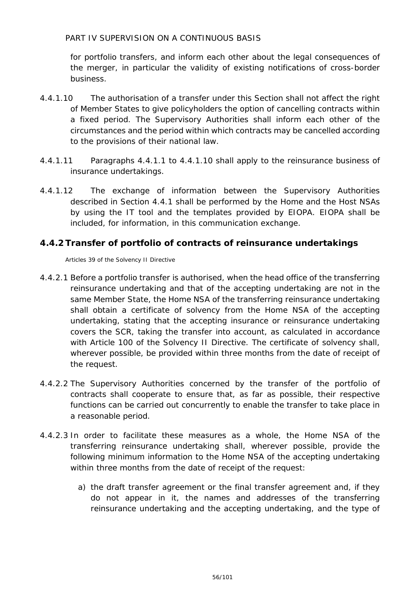for portfolio transfers, and inform each other about the legal consequences of the merger, in particular the validity of existing notifications of cross-border business.

- 4.4.1.10 The authorisation of a transfer under this Section shall not affect the right of Member States to give policyholders the option of cancelling contracts within a fixed period. The Supervisory Authorities shall inform each other of the circumstances and the period within which contracts may be cancelled according to the provisions of their national law.
- 4.4.1.11 Paragraphs 4.4.1.1 to 4.4.1.10 shall apply to the reinsurance business of insurance undertakings.
- 4.4.1.12 The exchange of information between the Supervisory Authorities described in Section 4.4.1 shall be performed by the Home and the Host NSAs by using the IT tool and the templates provided by EIOPA. EIOPA shall be included, for information, in this communication exchange.

## **4.4.2 Transfer of portfolio of contracts of reinsurance undertakings**

Articles 39 of the Solvency II Directive

- 4.4.2.1 Before a portfolio transfer is authorised, when the head office of the transferring reinsurance undertaking and that of the accepting undertaking are not in the same Member State, the Home NSA of the transferring reinsurance undertaking shall obtain a certificate of solvency from the Home NSA of the accepting undertaking, stating that the accepting insurance or reinsurance undertaking covers the SCR, taking the transfer into account, as calculated in accordance with Article 100 of the Solvency II Directive. The certificate of solvency shall, wherever possible, be provided within three months from the date of receipt of the request.
- 4.4.2.2 The Supervisory Authorities concerned by the transfer of the portfolio of contracts shall cooperate to ensure that, as far as possible, their respective functions can be carried out concurrently to enable the transfer to take place in a reasonable period.
- 4.4.2.3 In order to facilitate these measures as a whole, the Home NSA of the transferring reinsurance undertaking shall, wherever possible, provide the following minimum information to the Home NSA of the accepting undertaking within three months from the date of receipt of the request:
	- a) the draft transfer agreement or the final transfer agreement and, if they do not appear in it, the names and addresses of the transferring reinsurance undertaking and the accepting undertaking, and the type of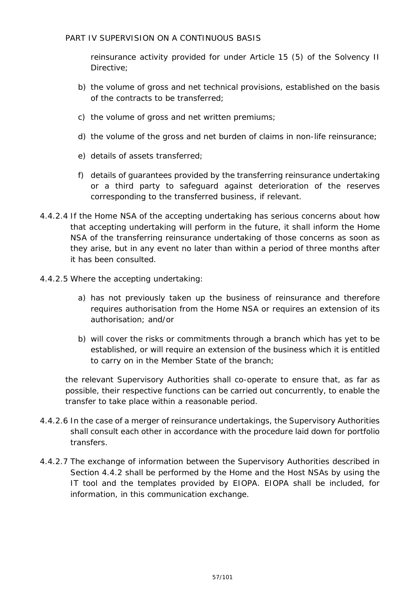reinsurance activity provided for under Article 15 (5) of the Solvency II Directive;

- b) the volume of gross and net technical provisions, established on the basis of the contracts to be transferred;
- c) the volume of gross and net written premiums;
- d) the volume of the gross and net burden of claims in non-life reinsurance;
- e) details of assets transferred;
- f) details of guarantees provided by the transferring reinsurance undertaking or a third party to safeguard against deterioration of the reserves corresponding to the transferred business, if relevant.
- 4.4.2.4 If the Home NSA of the accepting undertaking has serious concerns about how that accepting undertaking will perform in the future, it shall inform the Home NSA of the transferring reinsurance undertaking of those concerns as soon as they arise, but in any event no later than within a period of three months after it has been consulted.
- 4.4.2.5 Where the accepting undertaking:
	- a) has not previously taken up the business of reinsurance and therefore requires authorisation from the Home NSA or requires an extension of its authorisation; and/or
	- b) will cover the risks or commitments through a branch which has yet to be established, or will require an extension of the business which it is entitled to carry on in the Member State of the branch;

the relevant Supervisory Authorities shall co-operate to ensure that, as far as possible, their respective functions can be carried out concurrently, to enable the transfer to take place within a reasonable period.

- 4.4.2.6 In the case of a merger of reinsurance undertakings, the Supervisory Authorities shall consult each other in accordance with the procedure laid down for portfolio transfers.
- 4.4.2.7 The exchange of information between the Supervisory Authorities described in Section 4.4.2 shall be performed by the Home and the Host NSAs by using the IT tool and the templates provided by EIOPA. EIOPA shall be included, for information, in this communication exchange.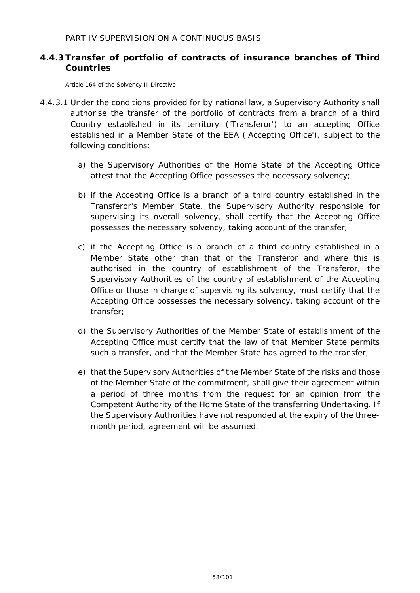## **4.4.3 Transfer of portfolio of contracts of insurance branches of Third Countries**

Article 164 of the Solvency II Directive

- 4.4.3.1 Under the conditions provided for by national law, a Supervisory Authority shall authorise the transfer of the portfolio of contracts from a branch of a third Country established in its territory ('Transferor') to an accepting Office established in a Member State of the EEA ('Accepting Office'), subject to the following conditions:
	- a) the Supervisory Authorities of the Home State of the Accepting Office attest that the Accepting Office possesses the necessary solvency;
	- b) if the Accepting Office is a branch of a third country established in the Transferor's Member State, the Supervisory Authority responsible for supervising its overall solvency, shall certify that the Accepting Office possesses the necessary solvency, taking account of the transfer;
	- c) if the Accepting Office is a branch of a third country established in a Member State other than that of the Transferor and where this is authorised in the country of establishment of the Transferor, the Supervisory Authorities of the country of establishment of the Accepting Office or those in charge of supervising its solvency, must certify that the Accepting Office possesses the necessary solvency, taking account of the transfer;
	- d) the Supervisory Authorities of the Member State of establishment of the Accepting Office must certify that the law of that Member State permits such a transfer, and that the Member State has agreed to the transfer;
	- e) that the Supervisory Authorities of the Member State of the risks and those of the Member State of the commitment, shall give their agreement within a period of three months from the request for an opinion from the Competent Authority of the Home State of the transferring Undertaking. If the Supervisory Authorities have not responded at the expiry of the threemonth period, agreement will be assumed.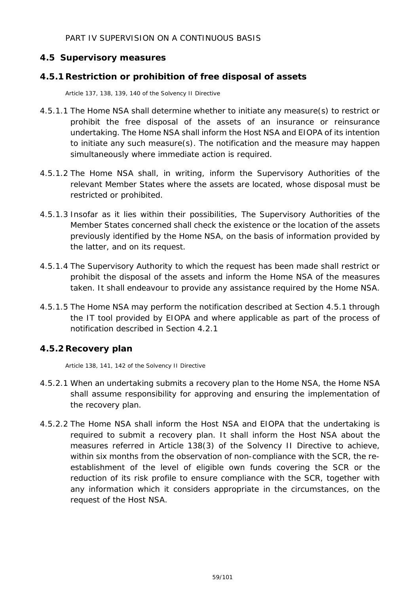## **4.5 Supervisory measures**

#### **4.5.1Restriction or prohibition of free disposal of assets**

Article 137, 138, 139, 140 of the Solvency II Directive

- 4.5.1.1 The Home NSA shall determine whether to initiate any measure(s) to restrict or prohibit the free disposal of the assets of an insurance or reinsurance undertaking. The Home NSA shall inform the Host NSA and EIOPA of its intention to initiate any such measure(s). The notification and the measure may happen simultaneously where immediate action is required.
- 4.5.1.2 The Home NSA shall, in writing, inform the Supervisory Authorities of the relevant Member States where the assets are located, whose disposal must be restricted or prohibited.
- 4.5.1.3 Insofar as it lies within their possibilities, The Supervisory Authorities of the Member States concerned shall check the existence or the location of the assets previously identified by the Home NSA, on the basis of information provided by the latter, and on its request.
- 4.5.1.4 The Supervisory Authority to which the request has been made shall restrict or prohibit the disposal of the assets and inform the Home NSA of the measures taken. It shall endeavour to provide any assistance required by the Home NSA.
- 4.5.1.5 The Home NSA may perform the notification described at Section 4.5.1 through the IT tool provided by EIOPA and where applicable as part of the process of notification described in Section 4.2.1

## **4.5.2Recovery plan**

Article 138, 141, 142 of the Solvency II Directive

- 4.5.2.1 When an undertaking submits a recovery plan to the Home NSA, the Home NSA shall assume responsibility for approving and ensuring the implementation of the recovery plan.
- 4.5.2.2 The Home NSA shall inform the Host NSA and EIOPA that the undertaking is required to submit a recovery plan. It shall inform the Host NSA about the measures referred in Article 138(3) of the Solvency II Directive to achieve, within six months from the observation of non-compliance with the SCR, the reestablishment of the level of eligible own funds covering the SCR or the reduction of its risk profile to ensure compliance with the SCR, together with any information which it considers appropriate in the circumstances, on the request of the Host NSA.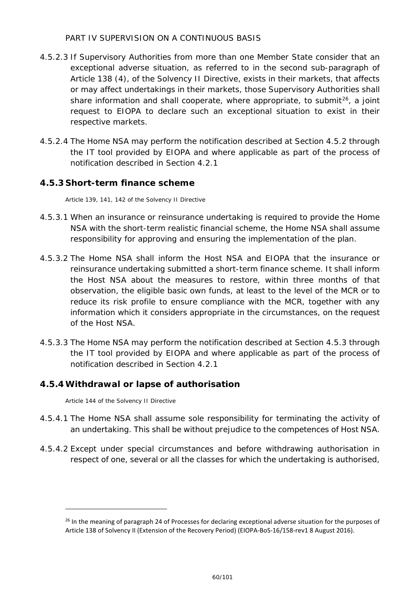- 4.5.2.3 If Supervisory Authorities from more than one Member State consider that an exceptional adverse situation, as referred to in the second sub-paragraph of Article 138 (4), of the Solvency II Directive, exists in their markets, that affects or may affect undertakings in their markets, those Supervisory Authorities shall share information and shall cooperate, where appropriate, to submit<sup>[26](#page-59-0)</sup>, a joint request to EIOPA to declare such an exceptional situation to exist in their respective markets.
- 4.5.2.4 The Home NSA may perform the notification described at Section 4.5.2 through the IT tool provided by EIOPA and where applicable as part of the process of notification described in Section 4.2.1

## **4.5.3 Short-term finance scheme**

Article 139, 141, 142 of the Solvency II Directive

- 4.5.3.1 When an insurance or reinsurance undertaking is required to provide the Home NSA with the short-term realistic financial scheme, the Home NSA shall assume responsibility for approving and ensuring the implementation of the plan.
- 4.5.3.2 The Home NSA shall inform the Host NSA and EIOPA that the insurance or reinsurance undertaking submitted a short-term finance scheme. It shall inform the Host NSA about the measures to restore, within three months of that observation, the eligible basic own funds, at least to the level of the MCR or to reduce its risk profile to ensure compliance with the MCR, together with any information which it considers appropriate in the circumstances, on the request of the Host NSA.
- 4.5.3.3 The Home NSA may perform the notification described at Section 4.5.3 through the IT tool provided by EIOPA and where applicable as part of the process of notification described in Section 4.2.1

#### **4.5.4Withdrawal or lapse of authorisation**

Article 144 of the Solvency II Directive

- 4.5.4.1 The Home NSA shall assume sole responsibility for terminating the activity of an undertaking. This shall be without prejudice to the competences of Host NSA.
- 4.5.4.2 Except under special circumstances and before withdrawing authorisation in respect of one, several or all the classes for which the undertaking is authorised,

<span id="page-59-0"></span><sup>&</sup>lt;sup>26</sup> In the meaning of paragraph 24 of Processes for declaring exceptional adverse situation for the purposes of Article 138 of Solvency II (Extension of the Recovery Period) (EIOPA-BoS-16/158-rev1 8 August 2016).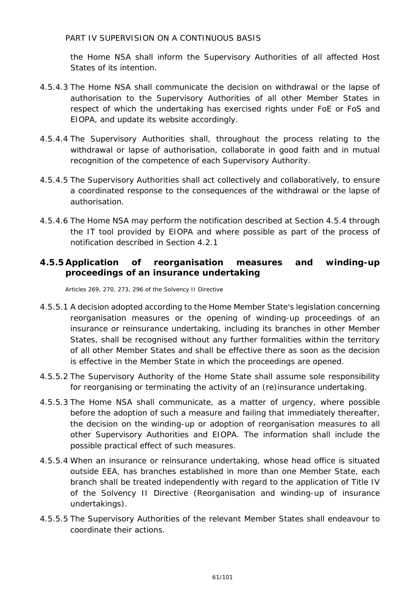the Home NSA shall inform the Supervisory Authorities of all affected Host States of its intention.

- 4.5.4.3 The Home NSA shall communicate the decision on withdrawal or the lapse of authorisation to the Supervisory Authorities of all other Member States in respect of which the undertaking has exercised rights under FoE or FoS and EIOPA, and update its website accordingly.
- 4.5.4.4 The Supervisory Authorities shall, throughout the process relating to the withdrawal or lapse of authorisation, collaborate in good faith and in mutual recognition of the competence of each Supervisory Authority.
- 4.5.4.5 The Supervisory Authorities shall act collectively and collaboratively, to ensure a coordinated response to the consequences of the withdrawal or the lapse of authorisation.
- 4.5.4.6 The Home NSA may perform the notification described at Section 4.5.4 through the IT tool provided by EIOPA and where possible as part of the process of notification described in Section 4.2.1

## **4.5.5Application of reorganisation measures and winding-up proceedings of an insurance undertaking**

Articles 269, 270, 273, 296 of the Solvency II Directive

- 4.5.5.1 A decision adopted according to the Home Member State's legislation concerning reorganisation measures or the opening of winding-up proceedings of an insurance or reinsurance undertaking, including its branches in other Member States, shall be recognised without any further formalities within the territory of all other Member States and shall be effective there as soon as the decision is effective in the Member State in which the proceedings are opened.
- 4.5.5.2 The Supervisory Authority of the Home State shall assume sole responsibility for reorganising or terminating the activity of an (re)insurance undertaking.
- 4.5.5.3 The Home NSA shall communicate, as a matter of urgency, where possible before the adoption of such a measure and failing that immediately thereafter, the decision on the winding-up or adoption of reorganisation measures to all other Supervisory Authorities and EIOPA. The information shall include the possible practical effect of such measures.
- 4.5.5.4 When an insurance or reinsurance undertaking, whose head office is situated outside EEA, has branches established in more than one Member State, each branch shall be treated independently with regard to the application of Title IV of the Solvency II Directive (Reorganisation and winding-up of insurance undertakings).
- 4.5.5.5 The Supervisory Authorities of the relevant Member States shall endeavour to coordinate their actions.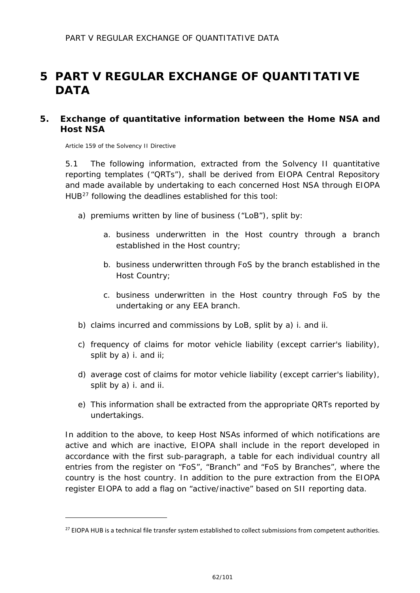## **5 PART V REGULAR EXCHANGE OF QUANTITATIVE DATA**

## **5. Exchange of quantitative information between the Home NSA and Host NSA**

Article 159 of the Solvency II Directive

j.

5.1 The following information, extracted from the Solvency II quantitative reporting templates ("QRTs"), shall be derived from EIOPA Central Repository and made available by undertaking to each concerned Host NSA through EIOPA HUB[27](#page-61-0) following the deadlines established for this tool:

- a) premiums written by line of business ("LoB"), split by:
	- a. business underwritten in the Host country through a branch established in the Host country;
	- b. business underwritten through FoS by the branch established in the Host Country;
	- c. business underwritten in the Host country through FoS by the undertaking or any EEA branch.
- b) claims incurred and commissions by LoB, split by a) i. and ii.
- c) frequency of claims for motor vehicle liability (except carrier's liability), split by a) i. and ii;
- d) average cost of claims for motor vehicle liability (except carrier's liability), split by a) i. and ii.
- e) This information shall be extracted from the appropriate QRTs reported by undertakings.

In addition to the above, to keep Host NSAs informed of which notifications are active and which are inactive, EIOPA shall include in the report developed in accordance with the first sub-paragraph, a table for each individual country all entries from the register on "FoS", "Branch" and "FoS by Branches", where the country is the host country. In addition to the pure extraction from the EIOPA register EIOPA to add a flag on "active/inactive" based on SII reporting data.

<span id="page-61-0"></span><sup>&</sup>lt;sup>27</sup> EIOPA HUB is a technical file transfer system established to collect submissions from competent authorities.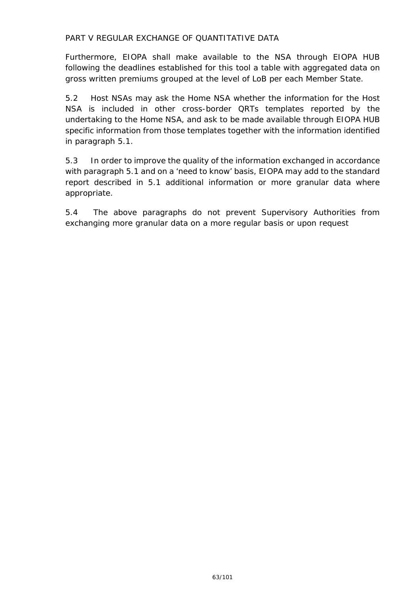#### PART V REGULAR EXCHANGE OF QUANTITATIVE DATA

Furthermore, EIOPA shall make available to the NSA through EIOPA HUB following the deadlines established for this tool a table with aggregated data on gross written premiums grouped at the level of LoB per each Member State.

5.2 Host NSAs may ask the Home NSA whether the information for the Host NSA is included in other cross-border QRTs templates reported by the undertaking to the Home NSA, and ask to be made available through EIOPA HUB specific information from those templates together with the information identified in paragraph 5.1.

5.3 In order to improve the quality of the information exchanged in accordance with paragraph 5.1 and on a 'need to know' basis, EIOPA may add to the standard report described in 5.1 additional information or more granular data where appropriate.

5.4 The above paragraphs do not prevent Supervisory Authorities from exchanging more granular data on a more regular basis or upon request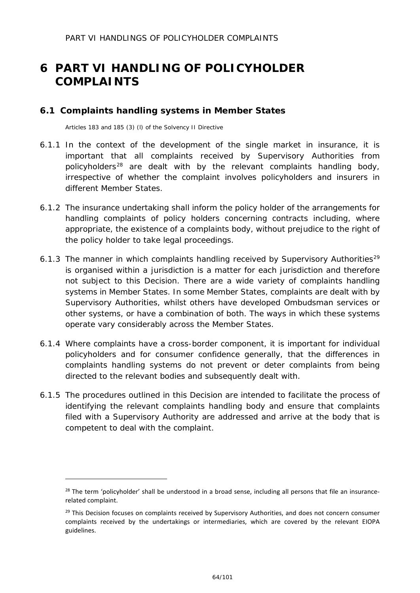## **6 PART VI HANDLING OF POLICYHOLDER COMPLAINTS**

#### **6.1 Complaints handling systems in Member States**

Articles 183 and 185 (3) (l) of the Solvency II Directive

- 6.1.1 In the context of the development of the single market in insurance, it is important that all complaints received by Supervisory Authorities from policyholders<sup>[28](#page-63-0)</sup> are dealt with by the relevant complaints handling body, irrespective of whether the complaint involves policyholders and insurers in different Member States.
- 6.1.2 The insurance undertaking shall inform the policy holder of the arrangements for handling complaints of policy holders concerning contracts including, where appropriate, the existence of a complaints body, without prejudice to the right of the policy holder to take legal proceedings.
- 6.1.3 The manner in which complaints handling received by Supervisory Authorities<sup>[29](#page-63-1)</sup> is organised within a jurisdiction is a matter for each jurisdiction and therefore not subject to this Decision. There are a wide variety of complaints handling systems in Member States. In some Member States, complaints are dealt with by Supervisory Authorities, whilst others have developed Ombudsman services or other systems, or have a combination of both. The ways in which these systems operate vary considerably across the Member States.
- 6.1.4 Where complaints have a cross-border component, it is important for individual policyholders and for consumer confidence generally, that the differences in complaints handling systems do not prevent or deter complaints from being directed to the relevant bodies and subsequently dealt with.
- 6.1.5 The procedures outlined in this Decision are intended to facilitate the process of identifying the relevant complaints handling body and ensure that complaints filed with a Supervisory Authority are addressed and arrive at the body that is competent to deal with the complaint.

<span id="page-63-0"></span><sup>&</sup>lt;sup>28</sup> The term 'policyholder' shall be understood in a broad sense, including all persons that file an insurancerelated complaint.

<span id="page-63-1"></span><sup>&</sup>lt;sup>29</sup> This Decision focuses on complaints received by Supervisory Authorities, and does not concern consumer complaints received by the undertakings or intermediaries, which are covered by the relevant EIOPA guidelines.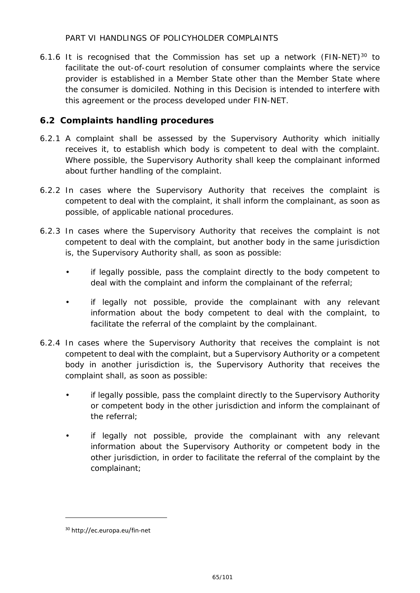#### PART VI HANDLINGS OF POLICYHOLDER COMPLAINTS

6.1.6 It is recognised that the Commission has set up a network (FIN-NET) $30$  to facilitate the out-of-court resolution of consumer complaints where the service provider is established in a Member State other than the Member State where the consumer is domiciled. Nothing in this Decision is intended to interfere with this agreement or the process developed under FIN-NET.

## **6.2 Complaints handling procedures**

- 6.2.1 A complaint shall be assessed by the Supervisory Authority which initially receives it, to establish which body is competent to deal with the complaint. Where possible, the Supervisory Authority shall keep the complainant informed about further handling of the complaint.
- 6.2.2 In cases where the Supervisory Authority that receives the complaint is competent to deal with the complaint, it shall inform the complainant, as soon as possible, of applicable national procedures.
- 6.2.3 In cases where the Supervisory Authority that receives the complaint is not competent to deal with the complaint, but another body in the same jurisdiction is, the Supervisory Authority shall, as soon as possible:
	- if legally possible, pass the complaint directly to the body competent to deal with the complaint and inform the complainant of the referral;
	- if legally not possible, provide the complainant with any relevant information about the body competent to deal with the complaint, to facilitate the referral of the complaint by the complainant.
- 6.2.4 In cases where the Supervisory Authority that receives the complaint is not competent to deal with the complaint, but a Supervisory Authority or a competent body in another jurisdiction is, the Supervisory Authority that receives the complaint shall, as soon as possible:
	- if legally possible, pass the complaint directly to the Supervisory Authority or competent body in the other jurisdiction and inform the complainant of the referral;
	- if legally not possible, provide the complainant with any relevant information about the Supervisory Authority or competent body in the other jurisdiction, in order to facilitate the referral of the complaint by the complainant;

j.

<span id="page-64-0"></span><sup>30</sup> http://ec.europa.eu/fin-net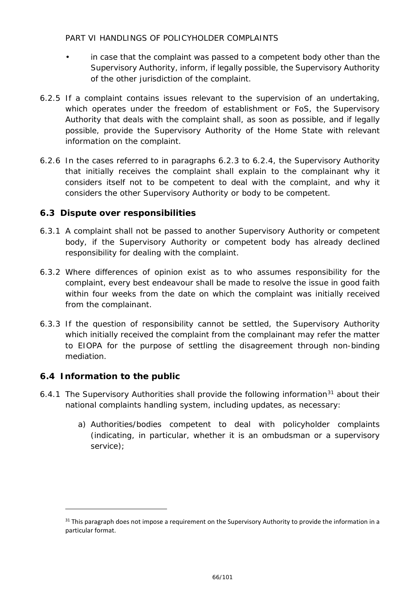#### PART VI HANDLINGS OF POLICYHOLDER COMPLAINTS

- in case that the complaint was passed to a competent body other than the Supervisory Authority, inform, if legally possible, the Supervisory Authority of the other jurisdiction of the complaint.
- 6.2.5 If a complaint contains issues relevant to the supervision of an undertaking, which operates under the freedom of establishment or FoS, the Supervisory Authority that deals with the complaint shall, as soon as possible, and if legally possible, provide the Supervisory Authority of the Home State with relevant information on the complaint.
- 6.2.6 In the cases referred to in paragraphs 6.2.3 to 6.2.4, the Supervisory Authority that initially receives the complaint shall explain to the complainant why it considers itself not to be competent to deal with the complaint, and why it considers the other Supervisory Authority or body to be competent.

## **6.3 Dispute over responsibilities**

- 6.3.1 A complaint shall not be passed to another Supervisory Authority or competent body, if the Supervisory Authority or competent body has already declined responsibility for dealing with the complaint.
- 6.3.2 Where differences of opinion exist as to who assumes responsibility for the complaint, every best endeavour shall be made to resolve the issue in good faith within four weeks from the date on which the complaint was initially received from the complainant.
- 6.3.3 If the question of responsibility cannot be settled, the Supervisory Authority which initially received the complaint from the complainant may refer the matter to EIOPA for the purpose of settling the disagreement through non-binding mediation.

## **6.4 Information to the public**

- 6.4.1 The Supervisory Authorities shall provide the following information<sup>[31](#page-65-0)</sup> about their national complaints handling system, including updates, as necessary:
	- a) Authorities/bodies competent to deal with policyholder complaints (indicating, in particular, whether it is an ombudsman or a supervisory service);

<span id="page-65-0"></span> $31$  This paragraph does not impose a requirement on the Supervisory Authority to provide the information in a particular format.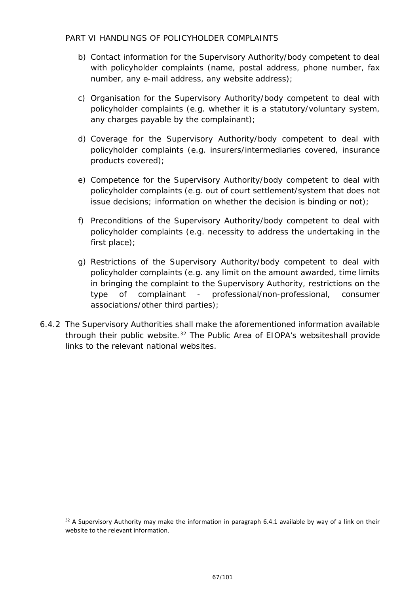#### PART VI HANDLINGS OF POLICYHOLDER COMPLAINTS

- b) Contact information for the Supervisory Authority/body competent to deal with policyholder complaints (name, postal address, phone number, fax number, any e-mail address, any website address);
- c) Organisation for the Supervisory Authority/body competent to deal with policyholder complaints (e.g. whether it is a statutory/voluntary system, any charges payable by the complainant);
- d) Coverage for the Supervisory Authority/body competent to deal with policyholder complaints (e.g. insurers/intermediaries covered, insurance products covered);
- e) Competence for the Supervisory Authority/body competent to deal with policyholder complaints (e.g. out of court settlement/system that does not issue decisions; information on whether the decision is binding or not);
- f) Preconditions of the Supervisory Authority/body competent to deal with policyholder complaints (e.g. necessity to address the undertaking in the first place);
- g) Restrictions of the Supervisory Authority/body competent to deal with policyholder complaints (e.g. any limit on the amount awarded, time limits in bringing the complaint to the Supervisory Authority, restrictions on the type of complainant - professional/non-professional, consumer associations/other third parties);
- 6.4.2 The Supervisory Authorities shall make the aforementioned information available through their public website.<sup>[32](#page-66-0)</sup> The Public Area of EIOPA's websiteshall provide links to the relevant national websites.

<span id="page-66-0"></span> $32$  A Supervisory Authority may make the information in paragraph 6.4.1 available by way of a link on their website to the relevant information.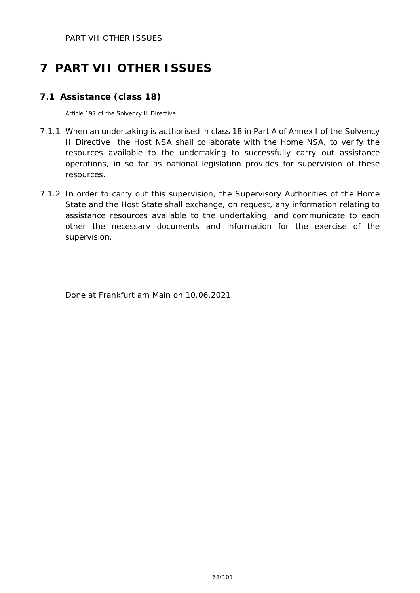PART VII OTHER ISSUES

# **7 PART VII OTHER ISSUES**

## **7.1 Assistance (class 18)**

Article 197 of the Solvency II Directive

- 7.1.1 When an undertaking is authorised in class 18 in Part A of Annex I of the Solvency II Directive the Host NSA shall collaborate with the Home NSA, to verify the resources available to the undertaking to successfully carry out assistance operations, in so far as national legislation provides for supervision of these resources.
- 7.1.2 In order to carry out this supervision, the Supervisory Authorities of the Home State and the Host State shall exchange, on request, any information relating to assistance resources available to the undertaking, and communicate to each other the necessary documents and information for the exercise of the supervision.

Done at Frankfurt am Main on 10.06.2021.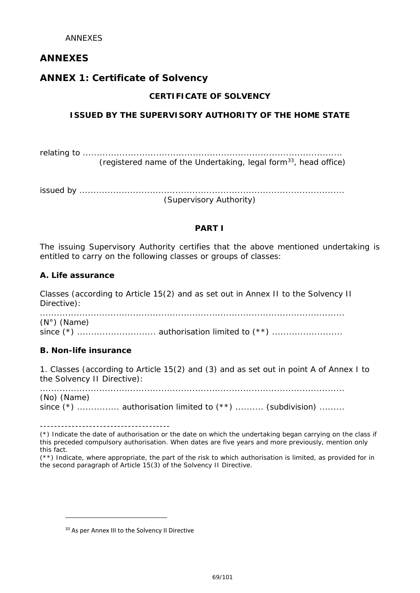## **ANNEXES**

## **ANNEX 1: Certificate of Solvency**

#### **CERTIFICATE OF SOLVENCY**

## **ISSUED BY THE SUPERVISORY AUTHORITY OF THE HOME STATE**

relating to ............................................................................................ (registered name of the Undertaking, legal form $33$ , head office)

issued by .............................................................................................. (Supervisory Authority)

#### **PART I**

The issuing Supervisory Authority certifies that the above mentioned undertaking is entitled to carry on the following classes or groups of classes:

#### **A. Life assurance**

Classes (according to Article 15(2) and as set out in Annex II to the Solvency II Directive):

............................................................................................................ (N°) (Name) since (\*) ............................ authorisation limited to (\*\*) .........................

#### **B. Non-life insurance**

j.

1. Classes (according to Article 15(2) and (3) and as set out in point A of Annex I to the Solvency II Directive):

............................................................................................................ (No) (Name) since  $(*)$  ................. authorisation limited to  $(**)$  ........... (subdivision) .........

-------------------------------------

(\*) Indicate the date of authorisation or the date on which the undertaking began carrying on the class if this preceded compulsory authorisation. When dates are five years and more previously, mention only this fact.

(\*\*) Indicate, where appropriate, the part of the risk to which authorisation is limited, as provided for in the second paragraph of Article 15(3) of the Solvency II Directive.

<span id="page-68-0"></span><sup>33</sup> As per Annex III to the Solvency II Directive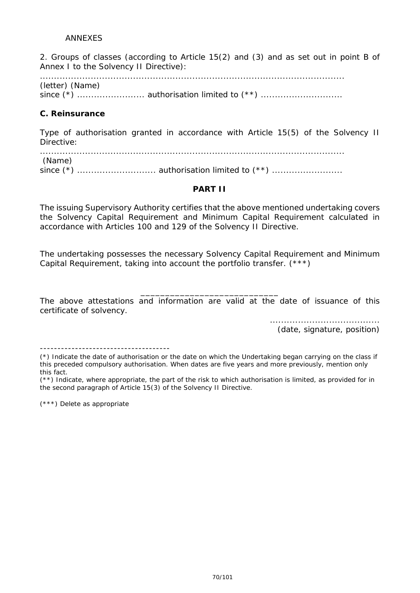2. Groups of classes (according to Article 15(2) and (3) and as set out in point B of Annex I to the Solvency II Directive):

............................................................................................................ (letter) (Name) since (\*) ........................ authorisation limited to (\*\*) .............................

#### **C. Reinsurance**

Type of authorisation granted in accordance with Article 15(5) of the Solvency II Directive:

............................................................................................................ (Name) since (\*) ............................ authorisation limited to (\*\*) .........................

#### **PART II**

The issuing Supervisory Authority certifies that the above mentioned undertaking covers the Solvency Capital Requirement and Minimum Capital Requirement calculated in accordance with Articles 100 and 129 of the Solvency II Directive.

The undertaking possesses the necessary Solvency Capital Requirement and Minimum Capital Requirement, taking into account the portfolio transfer. (\*\*\*)

\_\_\_\_\_\_\_\_\_\_\_\_\_\_\_\_\_\_\_\_\_\_\_\_\_\_\_\_ The above attestations and information are valid at the date of issuance of this certificate of solvency.

> ....................................... (date, signature, position)

-------------------------------------

(\*\*) Indicate, where appropriate, the part of the risk to which authorisation is limited, as provided for in the second paragraph of Article 15(3) of the Solvency II Directive.

(\*\*\*) Delete as appropriate

<sup>(\*)</sup> Indicate the date of authorisation or the date on which the Undertaking began carrying on the class if this preceded compulsory authorisation. When dates are five years and more previously, mention only this fact.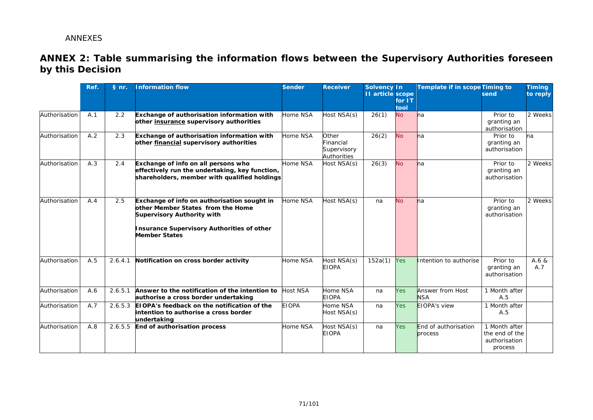## **ANNEX 2: Table summarising the information flows between the Supervisory Authorities foreseen by this Decision**

|               | Ref. | § nr.   | <b>Information flow</b>                                                                                                                                                                            | <b>Sender</b>   | <b>Receiver</b>                                 | <b>Solvency In</b><br><b>II</b> article scope | for IT<br>tool | Template if in scope Timing to  | send                                                        | <b>Timing</b><br>to reply |
|---------------|------|---------|----------------------------------------------------------------------------------------------------------------------------------------------------------------------------------------------------|-----------------|-------------------------------------------------|-----------------------------------------------|----------------|---------------------------------|-------------------------------------------------------------|---------------------------|
| Authorisation | A.1  | 2.2     | Exchange of authorisation information with<br>other insurance supervisory authorities                                                                                                              | Home NSA        | Host NSA(s)                                     | 26(1)                                         | <b>No</b>      | ha                              | Prior to<br>granting an<br>authorisation                    | 2 Weeks                   |
| Authorisation | A.2  | 2.3     | Exchange of authorisation information with<br>other financial supervisory authorities                                                                                                              | Home NSA        | Other<br>inancial<br>Supervisory<br>Authorities | 26(2)                                         | <b>No</b>      | ha                              | Prior to<br>granting an<br>authorisation                    | na                        |
| Authorisation | A.3  | 2.4     | Exchange of info on all persons who<br>effectively run the undertaking, key function,<br>shareholders, member with qualified holdings                                                              | Home NSA        | Host NSA(s)                                     | 26(3)                                         | <b>No</b>      | ha                              | Prior to<br>granting an<br>authorisation                    | 2 Weeks                   |
| Authorisation | A.4  | 2.5     | Exchange of info on authorisation sought in<br>other Member States from the Home<br><b>Supervisory Authority with</b><br><b>Insurance Supervisory Authorities of other</b><br><b>Member States</b> | Home NSA        | lost NSA(s)                                     | na                                            | <b>No</b>      | <b>h</b> a                      | Prior to<br>granting an<br>authorisation                    | 2 Weeks                   |
| Authorisation | A.5  | 2.6.4.1 | Notification on cross border activity                                                                                                                                                              | Home NSA        | Host NSA(s)<br><b>EIOPA</b>                     | 152a(1)                                       | <b>Yes</b>     | Intention to authorise          | Prior to<br>granting an<br>authorisation                    | A.6 &<br>A.7              |
| Authorisation | A.6  | 2.6.5.1 | Answer to the notification of the intention to<br>authorise a cross border undertaking                                                                                                             | <b>Host NSA</b> | Home NSA<br><b>EIOPA</b>                        | na                                            | <b>Yes</b>     | Answer from Host<br><b>NSA</b>  | 1 Month after<br>A.5                                        |                           |
| Authorisation | A.7  | 2.6.5.3 | EIOPA's feedback on the notification of the<br>intention to authorise a cross border<br>undertaking                                                                                                | <b>EIOPA</b>    | Home NSA<br>Host NSA(s)                         | na                                            | <b>Yes</b>     | <b>EIOPA's view</b>             | 1 Month after<br>A.5                                        |                           |
| Authorisation | A.8  |         | 2.6.5.5 End of authorisation process                                                                                                                                                               | Home NSA        | Host NSA(s)<br><b>EIOPA</b>                     | na                                            | <b>Yes</b>     | End of authorisation<br>process | 1 Month after<br>the end of the<br>authorisation<br>process |                           |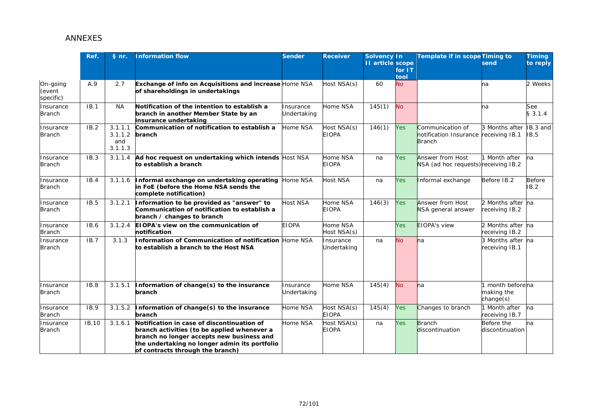|                                 | Ref.        | § nr.                                | <b>Information flow</b>                                                                                                                                                                                                     | <b>Sender</b>            | <b>Receiver</b>             | <b>Solvency In</b><br><b>11</b> article scope | for $1T$<br>tool | Template if in scope Timing to                                      | send                                      | <b>Timing</b><br>to reply |
|---------------------------------|-------------|--------------------------------------|-----------------------------------------------------------------------------------------------------------------------------------------------------------------------------------------------------------------------------|--------------------------|-----------------------------|-----------------------------------------------|------------------|---------------------------------------------------------------------|-------------------------------------------|---------------------------|
| On-going<br>(event<br>specific) | A.9         | 2.7                                  | Exchange of info on Acquisitions and increase Home NSA<br>of shareholdings in undertakings                                                                                                                                  |                          | Host NSA(s)                 | 60                                            | <b>No</b>        |                                                                     | na                                        | 2 Weeks                   |
| Insurance<br><b>Branch</b>      | IB.1        | <b>NA</b>                            | Notification of the intention to establish a<br>branch in another Member State by an<br>insurance undertaking                                                                                                               | Insurance<br>Undertaking | Home NSA                    | 145(1)                                        | <b>No</b>        |                                                                     | na                                        | See<br>\$3.1.4            |
| Insurance<br><b>Branch</b>      | IB.2        | 3.1.1.1<br>3.1.1.2<br>and<br>3.1.1.3 | Communication of notification to establish a<br>branch                                                                                                                                                                      | Home NSA                 | Host NSA(s)<br><b>EIOPA</b> | 146(1)                                        | <b>Yes</b>       | Communication of<br>notification Insurance receiving IB.1<br>Branch | 3 Months after                            | IB.3 and<br><b>IB.5</b>   |
| Insurance<br><b>Branch</b>      | IB.3        | 3.1.1.4                              | Ad hoc request on undertaking which intends Host NSA<br>to establish a branch                                                                                                                                               |                          | Home NSA<br><b>EIOPA</b>    | na                                            | <b>Yes</b>       | <b>Answer from Host</b><br>NSA (ad hoc requests) receiving IB.2     | Month after                               | na                        |
| Insurance<br><b>Branch</b>      | IB.4        | 3.1.1.6                              | Informal exchange on undertaking operating<br>in FoE (before the Home NSA sends the<br>complete notification)                                                                                                               | Home NSA                 | Host NSA                    | na                                            | <b>Yes</b>       | Informal exchange                                                   | Before IB.2                               | <b>Before</b><br>IB.2     |
| Insurance<br><b>Branch</b>      | IB.5        | 3.1.2.1                              | Information to be provided as "answer" to<br>Communication of notification to establish a<br>branch / changes to branch                                                                                                     | Host NSA                 | Home NSA<br><b>EIOPA</b>    | 146(3)                                        | <b>Yes</b>       | Answer from Host<br>NSA general answer                              | 2 Months after na<br>receiving IB.2       |                           |
| Insurance<br><b>Branch</b>      | IB.6        |                                      | 3.1.2.4 EIOPA's view on the communication of<br>notification                                                                                                                                                                | <b>EIOPA</b>             | Home NSA<br>Host NSA(s)     |                                               | <b>Yes</b>       | <b>EIOPA's view</b>                                                 | 2 Months after na<br>receiving IB.2       |                           |
| Insurance<br><b>Branch</b>      | IB.7        | 3.1.3                                | Information of Communication of notification<br>to establish a branch to the Host NSA                                                                                                                                       | Home NSA                 | Insurance<br>Undertaking    | na                                            | <b>No</b>        | ha                                                                  | 3 Months after na<br>receiving IB.1       |                           |
| Insurance<br><b>Branch</b>      | IB.8        | 3.1.5.1                              | Information of change(s) to the insurance<br>branch                                                                                                                                                                         | nsurance<br>Undertaking  | Home NSA                    | 145(4)                                        | <b>No</b>        | ha                                                                  | month beforena<br>making the<br>change(s) |                           |
| Insurance<br><b>Branch</b>      | <b>IB.9</b> | 3.1.5.2                              | Information of change(s) to the insurance<br>branch                                                                                                                                                                         | Home NSA                 | Host NSA(s)<br><b>EIOPA</b> | 145(4)                                        | <b>Yes</b>       | Changes to branch                                                   | 1 Month after<br>receiving IB.7           | na                        |
| Insurance<br><b>Branch</b>      | IB.10       | 3.1.6.1                              | Notification in case of discontinuation of<br>branch activities (to be applied whenever a<br>branch no longer accepts new business and<br>the undertaking no longer admin its portfolio<br>of contracts through the branch) | Home NSA                 | Host NSA(s)<br><b>EIOPA</b> | na                                            | <b>Yes</b>       | <b>Branch</b><br>discontinuation                                    | Before the<br>discontinuation             | na                        |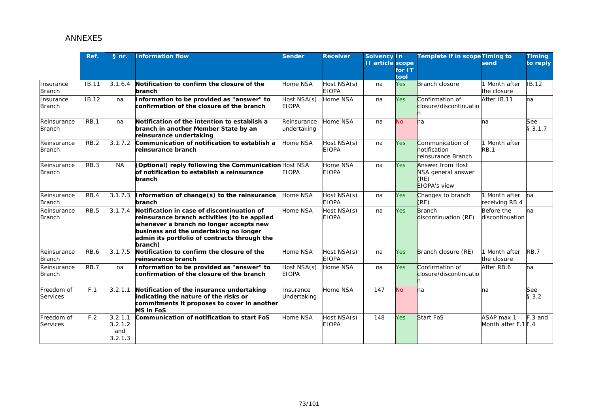|                              | Ref.         | § nr.                                | <b>Information flow</b>                                                                                                                                                                                                                    | <b>Sender</b>               | <b>Receiver</b>             | <b>Solvency In</b><br><b>II</b> article scope | for $IT$<br>tool | Template if in scope Timing to                                        | send                              | <b>Timing</b><br>to reply |
|------------------------------|--------------|--------------------------------------|--------------------------------------------------------------------------------------------------------------------------------------------------------------------------------------------------------------------------------------------|-----------------------------|-----------------------------|-----------------------------------------------|------------------|-----------------------------------------------------------------------|-----------------------------------|---------------------------|
| Insurance<br><b>Branch</b>   | <b>IB.11</b> | 3.1.6.4                              | Notification to confirm the closure of the<br>branch                                                                                                                                                                                       | Home NSA                    | Host NSA(s)<br><b>EIOPA</b> | na                                            | <b>Yes</b>       | <b>Branch closure</b>                                                 | Month after<br>the closure        | <b>IB.12</b>              |
| Insurance<br><b>Branch</b>   | IB.12        | na                                   | Information to be provided as "answer" to<br>confirmation of the closure of the branch                                                                                                                                                     | Host NSA(s)<br>EIOPA        | Home NSA                    | na                                            | <b>Yes</b>       | Confirmation of<br>closure/discontinuatio                             | After IB.11                       | na                        |
| Reinsurance<br><b>Branch</b> | <b>RB.1</b>  | na                                   | Notification of the intention to establish a<br>branch in another Member State by an<br>reinsurance undertaking                                                                                                                            | Reinsurance<br>undertaking  | Home NSA                    | na                                            | <b>No</b>        | na                                                                    | na                                | See<br>\$3.1.7            |
| Reinsurance<br><b>Branch</b> | RB.2         | 3.1.7.2                              | Communication of notification to establish a<br>reinsurance branch                                                                                                                                                                         | Home NSA                    | Host NSA(s)<br><b>EIOPA</b> | na                                            | <b>Yes</b>       | Communication of<br>notification<br>reinsurance Branch                | Month after<br><b>RB.1</b>        |                           |
| Reinsurance<br><b>Branch</b> | RB.3         | <b>NA</b>                            | <b>(Optional) reply following the Communication</b> Host NSA<br>of notification to establish a reinsurance<br>branch                                                                                                                       | EIOPA                       | Home NSA<br><b>EIOPA</b>    | na                                            | <b>Yes</b>       | Answer from Host<br>NSA general answer<br>(RE)<br><b>EIOPA's view</b> |                                   |                           |
| Reinsurance<br><b>Branch</b> | RB.4         | 3.1.7.3                              | Information of change(s) to the reinsurance<br>branch                                                                                                                                                                                      | Home NSA                    | Host NSA(s)<br><b>EIOPA</b> | na                                            | <b>Yes</b>       | Changes to branch<br>(RE)                                             | Month after<br>receiving RB.4     | ha                        |
| Reinsurance<br><b>Branch</b> | <b>RB.5</b>  | 3.1.7.4                              | Notification in case of discontinuation of<br>reinsurance branch activities (to be applied<br>whenever a branch no longer accepts new<br>business and the undertaking no longer<br>admin its portfolio of contracts through the<br>branch) | Home NSA                    | Host NSA(s)<br><b>EIOPA</b> | na                                            | <b>Yes</b>       | <b>Branch</b><br>discontinuation (RE)                                 | Before the<br>discontinuation     | na                        |
| Reinsurance<br><b>Branch</b> | RB.6         | 3.1.7.5                              | Notification to confirm the closure of the<br>reinsurance branch                                                                                                                                                                           | Home NSA                    | Host NSA(s)<br><b>EIOPA</b> | na                                            | <b>Yes</b>       | Branch closure (RE)                                                   | Month after<br>the closure        | <b>RB.7</b>               |
| Reinsurance<br><b>Branch</b> | RB.7         | na                                   | nformation to be provided as "answer" to<br>confirmation of the closure of the branch                                                                                                                                                      | lost NSA(s)<br><b>EIOPA</b> | Home NSA                    | na                                            | <b>Yes</b>       | Confirmation of<br>closure/discontinuatio                             | After RB.6                        | na                        |
| Freedom of<br>Services       | F.1          | 3.2.1.1                              | Notification of the insurance undertaking<br>indicating the nature of the risks or<br>commitments it proposes to cover in another<br><b>MS in FoS</b>                                                                                      | Insurance<br>Jndertaking    | Home NSA                    | 147                                           | <b>No</b>        | ha                                                                    | na                                | See<br>\$3.2              |
| Freedom of<br>Services       | F.2          | 3.2.1.1<br>3.2.1.2<br>and<br>3.2.1.3 | Communication of notification to start FoS                                                                                                                                                                                                 | <b>Home NSA</b>             | Host NSA(s)<br><b>EIOPA</b> | 148                                           | <b>Yes</b>       | Start FoS                                                             | ASAP max 1<br>Month after F.1 F.4 | $F.3$ and                 |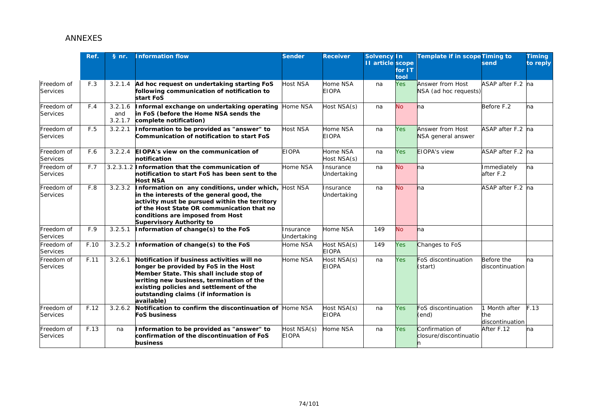|                        | Ref.              | § nr.                     | nformation flow                                                                                                                                                                                                                                                                | <b>Sender</b>                                           | <b>Receiver</b>             | <b>Solvency In</b><br><b>II</b> article scope | for IT<br>tool | <b>Template if in scope Timing to</b>     | send                                  | <b>Timing</b><br>to reply |
|------------------------|-------------------|---------------------------|--------------------------------------------------------------------------------------------------------------------------------------------------------------------------------------------------------------------------------------------------------------------------------|---------------------------------------------------------|-----------------------------|-----------------------------------------------|----------------|-------------------------------------------|---------------------------------------|---------------------------|
| Freedom of<br>Services | F.3               | 3.2.1.4                   | Ad hoc request on undertaking starting FoS<br>following communication of notification to<br>start FoS                                                                                                                                                                          | Host NSA                                                | Home NSA<br><b>EIOPA</b>    | na                                            | <b>Yes</b>     | Answer from Host<br>NSA (ad hoc requests) | ASAP after F.2 na                     |                           |
| Freedom of<br>Services | F.4               | 3.2.1.6<br>and<br>3.2.1.7 | Informal exchange on undertaking operating<br>in FoS (before the Home NSA sends the<br>complete notification)                                                                                                                                                                  | Home NSA                                                | Host NSA(s)                 | na                                            | <b>No</b>      | na                                        | Before F.2                            | na                        |
| Freedom of<br>Services | F.5               | 3.2.2.1                   | nformation to be provided as "answer" to<br>Communication of notification to start FoS                                                                                                                                                                                         | <b>Host NSA</b>                                         | Home NSA<br><b>EIOPA</b>    | na                                            | <b>Yes</b>     | Answer from Host<br>NSA general answer    | ASAP after F.2 na                     |                           |
| Freedom of<br>Services | F.6               | 3.2.2.4                   | EIOPA's view on the communication of<br>notification                                                                                                                                                                                                                           | <b>EIOPA</b>                                            | Home NSA<br>Host NSA(s)     | na                                            | <b>Yes</b>     | EIOPA's view                              | ASAP after F.2 na                     |                           |
| Freedom of<br>Services | F.7               |                           | 3.2.3.1.2 Information that the communication of<br>notification to start FoS has been sent to the<br><b>Host NSA</b>                                                                                                                                                           | Home NSA                                                | Insurance<br>Undertaking    | na                                            | <b>No</b>      | na                                        | Immediately<br>after F.2              | na                        |
| Freedom of<br>Services | F.8               | 3.2.3.2                   | Information on any conditions, under which,<br>in the interests of the general good, the<br>activity must be pursued within the territory<br>of the Host State OR communication that no<br>conditions are imposed from Host<br><b>Supervisory Authority to</b>                 | Host NSA                                                | Insurance<br>Undertaking    | na                                            | <b>No</b>      | na                                        | ASAP after F.2 na                     |                           |
| Freedom of<br>Services | F.9               | 3.2.5.1                   | nformation of change(s) to the FoS                                                                                                                                                                                                                                             | nsurance<br><b>Undertaking</b>                          | Home NSA                    | 149                                           | <b>No</b>      | na                                        |                                       |                           |
| Freedom of<br>Services | F.10              | 3.2.5.2                   | nformation of change(s) to the FoS                                                                                                                                                                                                                                             | Home NSA                                                | Host NSA(s)<br><b>EIOPA</b> | 149                                           | Yes            | Changes to FoS                            |                                       |                           |
| Freedom of<br>Services | F.11              | 3.2.6.1                   | Notification if business activities will no<br>longer be provided by FoS in the Host<br>Member State. This shall include stop of<br>writing new business, termination of the<br>existing policies and settlement of the<br>outstanding claims (if information is<br>available) | Home NSA                                                | Host NSA(s)<br><b>EIOPA</b> | na                                            | <b>Yes</b>     | FoS discontinuation<br>(start)            | Before the<br>discontinuation         | na                        |
| Freedom of<br>Services | F.12              | 3.2.6.2                   | Notification to confirm the discontinuation of<br>FoS business                                                                                                                                                                                                                 | Home NSA                                                | Host NSA(s)<br><b>EIOPA</b> | na                                            | <b>Yes</b>     | FoS discontinuation<br>(end)              | Month after<br>the<br>discontinuation | F.13                      |
| Freedom of<br>Services | $\overline{F.13}$ | na                        | nformation to be provided as "answer" to<br>confirmation of the discontinuation of FoS<br>business                                                                                                                                                                             | $\overline{\text{Host} \text{ NSA(s)}}$<br><b>EIOPA</b> | Home NSA                    | na                                            | <b>Yes</b>     | Confirmation of<br>closure/discontinuatio | After F.12                            | na                        |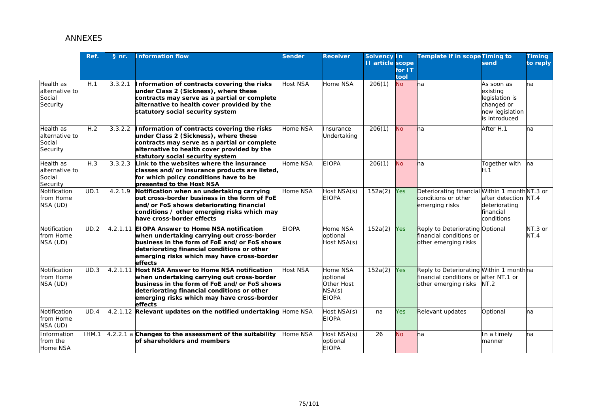|                                                   | Ref.  | § nr.    | <b>Information flow</b>                                                                                                                                                                                                                               | <b>Sender</b>   | <b>Receiver</b>                                              | Solvency In<br><b>II</b> article scope | for $IT$<br>tool | Template if in scope Timing to                                                                           | send                                                                                       | <b>Timing</b><br>to reply |
|---------------------------------------------------|-------|----------|-------------------------------------------------------------------------------------------------------------------------------------------------------------------------------------------------------------------------------------------------------|-----------------|--------------------------------------------------------------|----------------------------------------|------------------|----------------------------------------------------------------------------------------------------------|--------------------------------------------------------------------------------------------|---------------------------|
| Health as<br>alternative to<br>Social<br>Security | H.1   | 3.3.2.1  | Information of contracts covering the risks<br>under Class 2 (Sickness), where these<br>contracts may serve as a partial or complete<br>alternative to health cover provided by the<br>statutory social security system                               | <b>Host NSA</b> | Home NSA                                                     | 206(1)                                 | <b>No</b>        | ha                                                                                                       | As soon as<br>existing<br>legislation is<br>changed or<br>new legislation<br>is introduced | na                        |
| Health as<br>alternative to<br>Social<br>Security | H.2   | 3.3.2.2  | Information of contracts covering the risks<br>under Class 2 (Sickness), where these<br>contracts may serve as a partial or complete<br>alternative to health cover provided by the<br>statutory social security system                               | Home NSA        | Insurance<br>Undertaking                                     | 206(1)                                 | <b>No</b>        | na                                                                                                       | After H.1                                                                                  | ha                        |
| Health as<br>alternative to<br>Social<br>Security | H.3   | 3.3.2.3  | Link to the websites where the insurance<br>classes and/or insurance products are listed,<br>for which policy conditions have to be<br>presented to the Host NSA                                                                                      | Home NSA        | <b>EIOPA</b>                                                 | 206(1)                                 | <b>No</b>        | <b>l</b> na                                                                                              | Together with<br>H.1                                                                       | Ina                       |
| Notification<br>from Home<br>NSA (UD)             | UD.1  | 4.2.1.9  | Notification when an undertaking carrying<br>but cross-border business in the form of FoE<br>and/or FoS shows deteriorating financial<br>conditions / other emerging risks which may<br>have cross-border effects                                     | Home NSA        | Host NSA(s)<br><b>EIOPA</b>                                  | 152a(2)                                | <b>Yes</b>       | Deteriorating financial Within 1 monthNT.3 or<br>conditions or other<br>emerging risks                   | after detection NT.4<br>deteriorating<br>financial<br>conditions                           |                           |
| Notification<br>from Home<br>NSA (UD)             | UD.2  |          | 4.2.1.11 EIOPA Answer to Home NSA notification<br>when undertaking carrying out cross-border<br>business in the form of FoE and/or FoS shows<br>deteriorating financial conditions or other<br>emerging risks which may have cross-border<br>effects  | <b>EIOPA</b>    | Home NSA<br>optional<br>Host NSA(s)                          | 152a(2)                                | Yes              | Reply to Deteriorating Optional<br>financial conditions or<br>other emerging risks                       |                                                                                            | NT.3 or<br>NT.4           |
| Notification<br>from Home<br>NSA (UD)             | UD.3  | 4.2.1.11 | <b>Host NSA Answer to Home NSA notification</b><br>when undertaking carrying out cross-border<br>business in the form of FoE and/or FoS shows<br>deteriorating financial conditions or other<br>emerging risks which may have cross-border<br>effects | <b>Host NSA</b> | Home NSA<br>optional<br>Other Host<br>NSA(s)<br><b>EIOPA</b> | 152a(2)                                | <b>Yes</b>       | Reply to Deteriorating Within 1 monthna<br>financial conditions or after NT.1 or<br>other emerging risks | NT.2                                                                                       |                           |
| Notification<br>from Home<br>NSA (UD)             | UD.4  |          | 4.2.1.12 Relevant updates on the notified undertaking Home NSA                                                                                                                                                                                        |                 | Host NSA(s)<br><b>EIOPA</b>                                  | na                                     | <b>Yes</b>       | Relevant updates                                                                                         | Optional                                                                                   | na                        |
| Information<br>from the<br>Home NSA               | IHM.1 |          | 4.2.2.1 a Changes to the assessment of the suitability<br>of shareholders and members                                                                                                                                                                 | Home NSA        | Host NSA(s)<br>optional<br><b>EIOPA</b>                      | 26                                     | <b>No</b>        | na                                                                                                       | In a timely<br>manner                                                                      | na                        |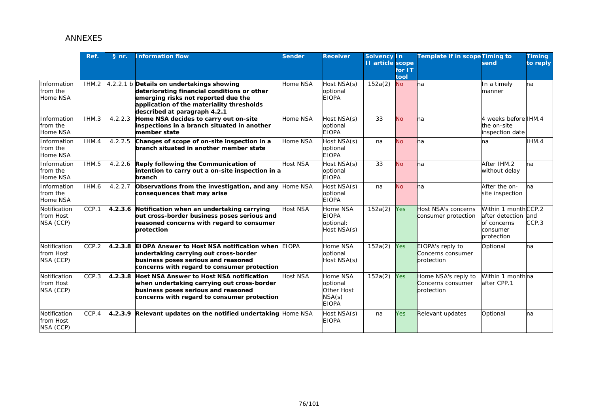|                                        | Ref.  | § nr.   | nformation flow                                                                                                                                                                                              | <b>Sender</b>   | <b>Receiver</b>                                              | <b>Solvency In</b><br><b>II</b> article scope | for $1T$<br>tool | Template if in scope Timing to                         | send                                                                                | <b>Timing</b><br>to reply |
|----------------------------------------|-------|---------|--------------------------------------------------------------------------------------------------------------------------------------------------------------------------------------------------------------|-----------------|--------------------------------------------------------------|-----------------------------------------------|------------------|--------------------------------------------------------|-------------------------------------------------------------------------------------|---------------------------|
| Information<br>from the<br>Home NSA    | IHM.2 |         | 4.2.2.1 b Details on undertakings showing<br>deteriorating financial conditions or other<br>emerging risks not reported due the<br>application of the materiality thresholds<br>described at paragraph 4.2.1 | Home NSA        | Host NSA(s)<br>optional<br><b>EIOPA</b>                      | 152a(2)                                       | <b>No</b>        | <b>l</b> na                                            | In a timely<br>manner                                                               | na                        |
| Information<br>from the<br>Home NSA    | IHM.3 | 4.2.2.3 | Home NSA decides to carry out on-site<br>inspections in a branch situated in another<br>member state                                                                                                         | Home NSA        | Host NSA(s)<br>optional<br><b>EIOPA</b>                      | 33                                            | <b>No</b>        | ha                                                     | 4 weeks before IHM.4<br>the on-site<br>inspection date                              |                           |
| Information<br>from the<br>Home NSA    | IHM.4 |         | 4.2.2.5 Changes of scope of on-site inspection in a<br>branch situated in another member state                                                                                                               | Home NSA        | Host NSA(s)<br>optional<br><b>EIOPA</b>                      | na                                            | <b>No</b>        | na                                                     | na                                                                                  | IHM.4                     |
| Information<br>from the<br>Home NSA    | IHM.5 |         | 4.2.2.6 Reply following the Communication of<br>intention to carry out a on-site inspection in a<br>branch                                                                                                   | <b>Host NSA</b> | Host NSA(s)<br>optional<br><b>EIOPA</b>                      | 33                                            | <b>No</b>        | na                                                     | After IHM.2<br>without delay                                                        | na                        |
| Information<br>from the<br>Home NSA    | IHM.6 |         | 4.2.2.7 Observations from the investigation, and any<br>consequences that may arise                                                                                                                          | Home NSA        | Host NSA(s)<br>optional<br><b>EIOPA</b>                      | na                                            | <b>No</b>        | na                                                     | After the on-<br>site inspection                                                    | ha                        |
| Notification<br>from Host<br>NSA (CCP) | CCP.1 |         | 4.2.3.6 Notification when an undertaking carrying<br>out cross-border business poses serious and<br>reasoned concerns with regard to consumer<br>protection                                                  | Host NSA        | Home NSA<br><b>EIOPA</b><br>optional:<br>Host NSA(s)         | 152a(2)                                       | Yes              | Host NSA's concerns<br>consumer protection             | Within 1 monthCCP.2<br>after detection and<br>of concerns<br>consumer<br>protection | CCP.3                     |
| Notification<br>from Host<br>NSA (CCP) | CCP.2 |         | 4.2.3.8 EIOPA Answer to Host NSA notification when<br>undertaking carrying out cross-border<br>business poses serious and reasoned<br>concerns with regard to consumer protection                            | <b>EIOPA</b>    | Home NSA<br>optional<br>Host NSA(s)                          | 152a(2)                                       | Yes              | EIOPA's reply to<br>Concerns consumer<br>protection    | Optional                                                                            | na                        |
| Notification<br>from Host<br>NSA (CCP) | CCP.3 |         | 4.2.3.8 Host NSA Answer to Host NSA notification<br>when undertaking carrying out cross-border<br>business poses serious and reasoned<br>concerns with regard to consumer protection                         | Host NSA        | Home NSA<br>optional<br>Other Host<br>NSA(s)<br><b>EIOPA</b> | 152a(2)                                       | <b>Yes</b>       | Home NSA's reply to<br>Concerns consumer<br>protection | Within 1 monthna<br>after CPP.1                                                     |                           |
| Notification<br>from Host<br>NSA (CCP) | CCP.4 |         | 4.2.3.9 Relevant updates on the notified undertaking Home NSA                                                                                                                                                |                 | Host NSA(s)<br><b>EIOPA</b>                                  | na                                            | <b>Yes</b>       | Relevant updates                                       | Optional                                                                            | na                        |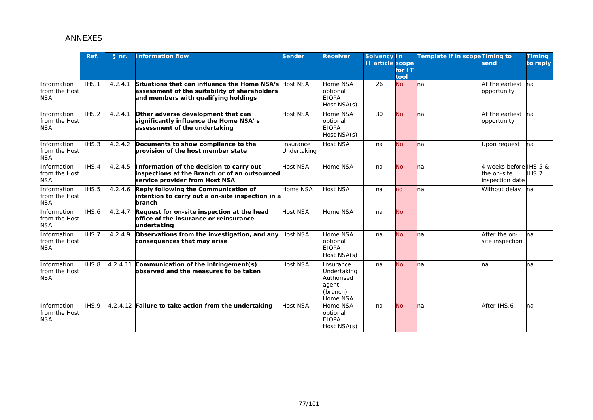|                                            | Ref.  | § nr.   | nformation flow                                                                                                                       | <b>Sender</b>           | <b>Receiver</b>                                                         | Solvency In<br><b>II</b> article scope | for $IT$<br>tool | Template if in scope Timing to | send                                                     | <b>Timing</b><br>to reply |
|--------------------------------------------|-------|---------|---------------------------------------------------------------------------------------------------------------------------------------|-------------------------|-------------------------------------------------------------------------|----------------------------------------|------------------|--------------------------------|----------------------------------------------------------|---------------------------|
| Information<br>from the Host<br><b>NSA</b> | IHS.1 | 4.2.4.1 | Situations that can influence the Home NSA's<br>assessment of the suitability of shareholders<br>and members with qualifying holdings | <b>Host NSA</b>         | Home NSA<br>optional<br><b>EIOPA</b><br>Host NSA(s)                     | 26                                     | <b>No</b>        | <b>l</b> na                    | At the earliest<br>opportunity                           | <b>n</b> a                |
| Information<br>from the Host<br><b>NSA</b> | IHS.2 | 4.2.4.1 | Other adverse development that can<br>significantly influence the Home NSA's<br>assessment of the undertaking                         | <b>Host NSA</b>         | Home NSA<br>optional<br><b>EIOPA</b><br>Host NSA(s)                     | 30                                     | <b>No</b>        | <b>h</b> a                     | At the earliest na<br>opportunity                        |                           |
| Information<br>from the Host<br><b>NSA</b> | IHS.3 | 4.2.4.2 | Documents to show compliance to the<br>provision of the host member state                                                             | nsurance<br>Jndertaking | Host NSA                                                                | na                                     | <b>No</b>        | <b>h</b> a                     | Upon request                                             | Ina                       |
| Information<br>from the Host<br><b>NSA</b> | IHS.4 | 4.2.4.5 | Information of the decision to carry out<br>inspections at the Branch or of an outsourced<br>service provider from Host NSA           | <b>Host NSA</b>         | Home NSA                                                                | na                                     | <b>No</b>        | <b>l</b> na                    | 4 weeks before IHS.5 &<br>the on-site<br>inspection date | IHS.7                     |
| Information<br>from the Host<br><b>NSA</b> | IHS.5 | 4.2.4.6 | Reply following the Communication of<br>intention to carry out a on-site inspection in a<br>branch                                    | Home NSA                | Host NSA                                                                | na                                     | no               | ha                             | Without delay                                            | na                        |
| Information<br>from the Host<br><b>NSA</b> | IHS.6 | 4.2.4.7 | Request for on-site inspection at the head<br>office of the insurance or reinsurance<br>undertaking                                   | <b>Host NSA</b>         | Home NSA                                                                | na                                     | <b>No</b>        |                                |                                                          |                           |
| Information<br>from the Host<br><b>NSA</b> | IHS.7 | 4.2.4.9 | Observations from the investigation, and any<br>consequences that may arise                                                           | <b>Host NSA</b>         | Home NSA<br>optional<br><b>EIOPA</b><br>Host NSA(s)                     | na                                     | <b>No</b>        | na                             | After the on-<br>site inspection                         | ha                        |
| Information<br>from the Host<br><b>NSA</b> | IHS.8 |         | 4.2.4.11 Communication of the infringement(s)<br>observed and the measures to be taken                                                | <b>Host NSA</b>         | Insurance<br>Undertaking<br>Authorised<br>agent<br>(branch)<br>Home NSA | na                                     | <b>No</b>        | na                             | na                                                       | na                        |
| Information<br>from the Host<br><b>NSA</b> | IHS.9 |         | 4.2.4.12 Failure to take action from the undertaking                                                                                  | <b>Host NSA</b>         | Home NSA<br>optional<br><b>EIOPA</b><br>Host NSA(s)                     | na                                     | <b>No</b>        | <b>l</b> na                    | After IHS.6                                              | na                        |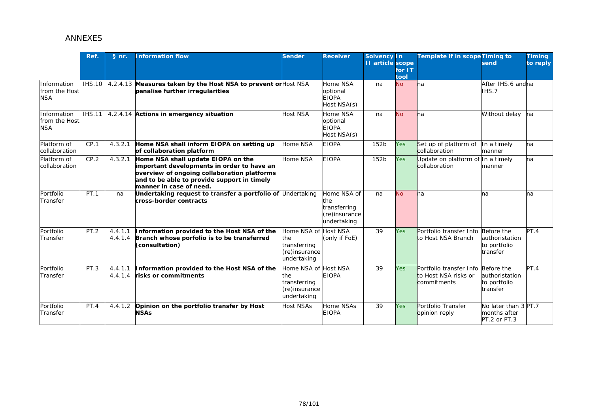|                                            | Ref.          | § nr.              | <b>Information flow</b>                                                                                                                                                                                   | <b>Sender</b>                                                      | <b>Receiver</b>                                                    | <b>Solvency In</b><br>II article scope | for $IT$<br>tool | Template if in scope Timing to                                            | send                                                 | <b>Timing</b><br>to reply |
|--------------------------------------------|---------------|--------------------|-----------------------------------------------------------------------------------------------------------------------------------------------------------------------------------------------------------|--------------------------------------------------------------------|--------------------------------------------------------------------|----------------------------------------|------------------|---------------------------------------------------------------------------|------------------------------------------------------|---------------------------|
| Information<br>from the Host<br><b>NSA</b> |               |                    | IHS.10   4.2.4.13 Measures taken by the Host NSA to prevent or Host NSA<br>penalise further irregularities                                                                                                |                                                                    | Home NSA<br>optional<br><b>EIOPA</b><br>Host NSA(s)                | na                                     | <b>No</b>        | <b>l</b> na                                                               | After IHS.6 andna<br>IHS.7                           |                           |
| Information<br>from the Host<br><b>NSA</b> | <b>IHS.11</b> |                    | 4.2.4.14 Actions in emergency situation                                                                                                                                                                   | <b>Host NSA</b>                                                    | Home NSA<br>optional<br><b>EIOPA</b><br>Host NSA(s)                | na                                     | <b>No</b>        | <b>l</b> na                                                               | Without delay                                        | na                        |
| Platform of<br>collaboration               | CP.1          | 4.3.2.1            | Home NSA shall inform EIOPA on setting up<br>of collaboration platform                                                                                                                                    | Home NSA                                                           | <b>EIOPA</b>                                                       | 152b                                   | Yes              | Set up of platform of<br>collaboration                                    | In a timely<br>manner                                | na                        |
| Platform of<br>collaboration               | CP.2          | 4.3.2.1            | Home NSA shall update EIOPA on the<br>important developments in order to have an<br>overview of ongoing collaboration platforms<br>and to be able to provide support in timely<br>manner in case of need. | Home NSA                                                           | <b>EIOPA</b>                                                       | 152b                                   | Yes              | Update on platform of<br>collaboration                                    | In a timely<br>manner                                | na                        |
| Portfolio<br>Transfer                      | PT.1          | na                 | Jndertaking request to transfer a portfolio of $\bigcup$ ndertaking<br>cross-border contracts                                                                                                             |                                                                    | Home NSA of<br>the<br>transferring<br>(re)insurance<br>undertaking | na                                     | <b>No</b>        | <b>l</b> na                                                               | na                                                   | na                        |
| Portfolio<br>Transfer                      | PT.2          | 4.4.1.1<br>4.4.1.4 | Information provided to the Host NSA of the<br>Branch whose porfolio is to be transferred<br>(consultation)                                                                                               | Home NSA of<br>he<br>transferring<br>(re)insurance<br>undertaking  | <b>Host NSA</b><br>(only if FoE)                                   | 39                                     | Yes              | Portfolio transfer Info Before the<br>to Host NSA Branch                  | authoristation<br>to portfolio<br>transfer           | PT.4                      |
| Portfolio<br>Transfer                      | PT.3          | 4.4.1.1<br>4.4.1.4 | Information provided to the Host NSA of the<br>risks or commitments                                                                                                                                       | Home NSA of<br>the<br>transferring<br>(re)insurance<br>undertaking | <b>Host NSA</b><br><b>EIOPA</b>                                    | 39                                     | Yes              | Portfolio transfer Info Before the<br>to Host NSA risks or<br>commitments | authoristation<br>to portfolio<br>transfer           | PT.4                      |
| Portfolio<br>Transfer                      | PT.4          | 4.4.1.2            | Opinion on the portfolio transfer by Host<br><b>NSAs</b>                                                                                                                                                  | Host NSAs                                                          | Home NSAs<br><b>EIOPA</b>                                          | 39                                     | Yes              | Portfolio Transfer<br>opinion reply                                       | No later than 3 PT.7<br>months after<br>PT.2 or PT.3 |                           |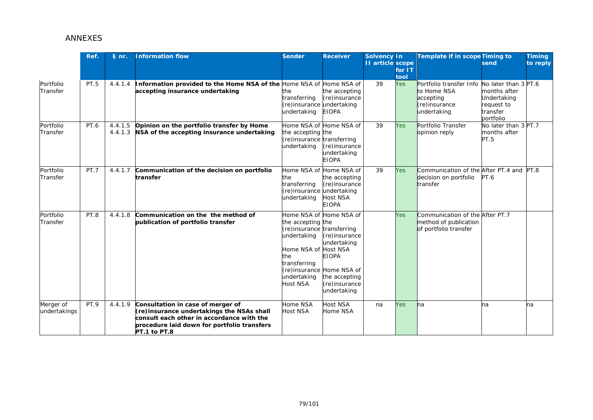|                           | Ref.        | § nr.              | nformation flow                                                                                                                                                                            | <b>Sender</b>                                                                                                                   | <b>Receiver</b>                                                                                                                                                          | Solvency In<br><b>II</b> article scope | for IT<br>tool | <b>Template if in scope Timing to</b>                                               | send                                                                                       | <b>Timing</b><br>to reply |
|---------------------------|-------------|--------------------|--------------------------------------------------------------------------------------------------------------------------------------------------------------------------------------------|---------------------------------------------------------------------------------------------------------------------------------|--------------------------------------------------------------------------------------------------------------------------------------------------------------------------|----------------------------------------|----------------|-------------------------------------------------------------------------------------|--------------------------------------------------------------------------------------------|---------------------------|
| Portfolio<br>Transfer     | <b>PT.5</b> | 4.4.1.4            | Information provided to the Home NSA of the Home NSA of<br>accepting insurance undertaking                                                                                                 | the.<br>transferring<br>(re)insurance undertaking<br>undertaking                                                                | Home NSA of<br>the accepting<br>(re)insurance<br><b>EIOPA</b>                                                                                                            | 39                                     | <b>Yes</b>     | Portfolio transfer Info<br>to Home NSA<br>accepting<br>(re)insurance<br>undertaking | No later than 3 PT.6<br>months after<br>Undertaking<br>request to<br>transfer<br>portfolio |                           |
| Portfolio<br>Transfer     | PT.6        | 4.4.1.5<br>4.4.1.3 | Opinion on the portfolio transfer by Home<br>NSA of the accepting insurance undertaking                                                                                                    | the accepting the<br>(re)insurance transferring<br>undertaking                                                                  | Home NSA of Home NSA of<br>(re)insurance<br>undertaking<br><b>EIOPA</b>                                                                                                  | 39                                     | <b>Yes</b>     | Portfolio Transfer<br>opinion reply                                                 | No later than 3 PT.7<br>months after<br>PT.5                                               |                           |
| Portfolio<br>Transfer     | <b>PT.7</b> | 4.4.1.7            | Communication of the decision on portfolio<br>transfer                                                                                                                                     | Home NSA of<br>the<br>transferring<br>(re)insurance undertaking<br>undertaking                                                  | Home NSA of<br>the accepting<br>(re)insurance<br><b>Host NSA</b><br><b>EIOPA</b>                                                                                         | 39                                     | <b>Yes</b>     | Communication of the After PT.4 and PT.8<br>decision on portfolio<br>transfer       | PT.6                                                                                       |                           |
| Portfolio<br>Transfer     | PT.8        | 4.4.1.8            | Communication on the the method of<br>publication of portfolio transfer                                                                                                                    | the accepting the<br>(re)insurance transferring<br>undertaking<br>Home NSA of<br>the<br>transferring<br>undertaking<br>Host NSA | Home NSA of Home NSA of<br>(re)insurance<br>undertaking<br><b>Host NSA</b><br><b>EIOPA</b><br>(re)insurance Home NSA of<br>the accepting<br>(re)insurance<br>undertaking |                                        | <b>Yes</b>     | Communication of the After PT.7<br>method of publication<br>of portfolio transfer   |                                                                                            |                           |
| Merger of<br>undertakings | PT.9        | 4.4.1.9            | Consultation in case of merger of<br>(re)insurance undertakings the NSAs shall<br>consult each other in accordance with the<br>procedure laid down for portfolio transfers<br>PT.1 to PT.8 | Home NSA<br><b>Host NSA</b>                                                                                                     | Host NSA<br>Home NSA                                                                                                                                                     | na                                     | <b>Yes</b>     | <b>h</b> a                                                                          | na                                                                                         | na                        |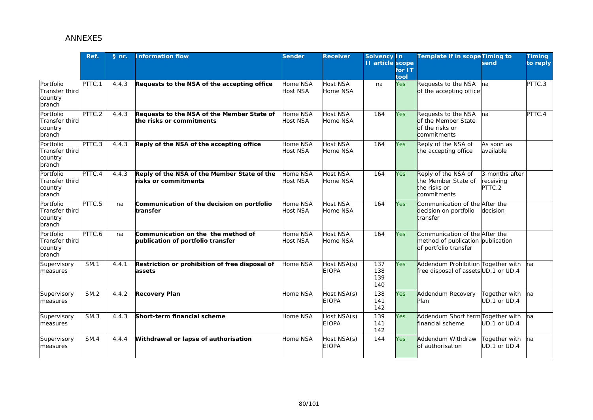|                                                         | Ref.        | § nr. | <b>Information flow</b>                                                 | <b>Sender</b>               | <b>Receiver</b>             | <b>Solvency In</b><br><b>11</b> article scope | for $IT$<br>tool | Template if in scope Timing to                                                               | send                                  | <b>Timing</b><br>to reply |
|---------------------------------------------------------|-------------|-------|-------------------------------------------------------------------------|-----------------------------|-----------------------------|-----------------------------------------------|------------------|----------------------------------------------------------------------------------------------|---------------------------------------|---------------------------|
| Portfolio<br><b>Transfer third</b><br>country<br>branch | PTTC.1      | 4.4.3 | Requests to the NSA of the accepting office                             | Home NSA<br><b>Host NSA</b> | <b>Host NSA</b><br>Home NSA | na                                            | Yes              | Requests to the NSA<br>of the accepting office                                               | na                                    | PTTC.3                    |
| Portfolio<br><b>Transfer third</b><br>country<br>branch | PTTC.2      | 4.4.3 | Requests to the NSA of the Member State of<br>he risks or commitments:  | Home NSA<br>Host NSA        | Host NSA<br>Home NSA        | 164                                           | Yes              | Requests to the NSA<br>of the Member State<br>of the risks or<br>commitments                 | na                                    | PTTC.4                    |
| Portfolio<br><b>Transfer third</b><br>country<br>branch | PTTC.3      | 4.4.3 | Reply of the NSA of the accepting office                                | Home NSA<br>Host NSA        | <b>Host NSA</b><br>Home NSA | 164                                           | Yes              | Reply of the NSA of<br>the accepting office                                                  | As soon as<br>available               |                           |
| Portfolio<br><b>Transfer third</b><br>country<br>branch | PTTC.4      | 4.4.3 | Reply of the NSA of the Member State of the<br>risks or commitments     | Home NSA<br>Host NSA        | <b>Host NSA</b><br>Home NSA | 164                                           | Yes              | Reply of the NSA of<br>the Member State of<br>the risks or<br>commitments                    | 3 months after<br>receiving<br>PTTC.2 |                           |
| Portfolio<br>Transfer third<br>country<br>branch        | PTTC.5      | na    | Communication of the decision on portfolio<br>ransfer:                  | Home NSA<br>Host NSA        | <b>Host NSA</b><br>Home NSA | 164                                           | Yes              | Communication of the After the<br>decision on portfolio<br>transfer                          | decision                              |                           |
| Portfolio<br><b>Transfer third</b><br>country<br>branch | PTTC.6      | na    | Communication on the the method of<br>publication of portfolio transfer | Home NSA<br>Host NSA        | <b>Host NSA</b><br>Home NSA | 164                                           | Yes              | Communication of the After the<br>method of publication publication<br>of portfolio transfer |                                       |                           |
| Supervisory<br>measures                                 | <b>SM.1</b> | 4.4.1 | Restriction or prohibition of free disposal of<br>assets                | Home NSA                    | Host NSA(s)<br><b>EIOPA</b> | 137<br>138<br>139<br>140                      | Yes              | Addendum Prohibition Together with<br>free disposal of assets UD.1 or UD.4                   |                                       | ha                        |
| Supervisory<br>measures                                 | <b>SM.2</b> | 4.4.2 | <b>Recovery Plan</b>                                                    | Home NSA                    | Host NSA(s)<br><b>EIOPA</b> | 138<br>141<br>142                             | Yes              | Addendum Recovery<br>Plan                                                                    | Together with<br>UD.1 or UD.4         | na                        |
| Supervisory<br>measures                                 | SM.3        | 4.4.3 | Short-term financial scheme                                             | Home NSA                    | Host NSA(s)<br><b>EIOPA</b> | 139<br>141<br>142                             | Yes              | Addendum Short term Together with<br>financial scheme                                        | UD.1 or UD.4                          | Ina                       |
| Supervisory<br>measures                                 | <b>SM.4</b> | 4.4.4 | Withdrawal or lapse of authorisation                                    | Home NSA                    | Host NSA(s)<br><b>EIOPA</b> | 144                                           | Yes              | Addendum Withdraw<br>of authorisation                                                        | Together with<br>UD.1 or UD.4         | na                        |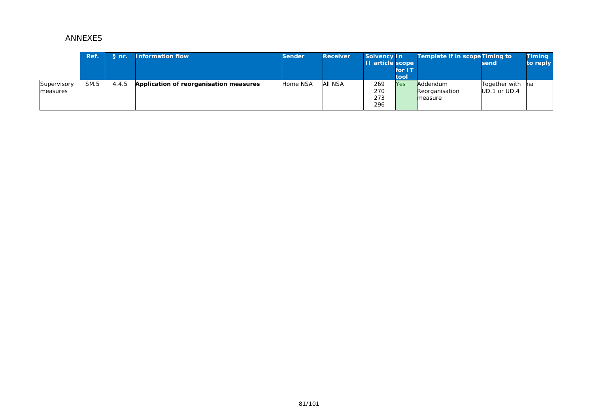|                         | Ref. | $Snr$ . | <b>Information flow</b>                | <b>Sender</b> | <b>Receiver</b> | Solvency In<br>II article scope | for IT      | <b>Template if in scope Timing to</b> | send                                 | <b>Timing</b><br>to reply |
|-------------------------|------|---------|----------------------------------------|---------------|-----------------|---------------------------------|-------------|---------------------------------------|--------------------------------------|---------------------------|
| Supervisory<br>measures | SM.5 | 4.4.5   | Application of reorganisation measures | Home NSA      | aii nsa         | 269<br>270<br>273<br>296        | tool<br>Yes | Addendum<br>Reorganisation<br>measure | Together with na<br>$UD.1$ or $UD.4$ |                           |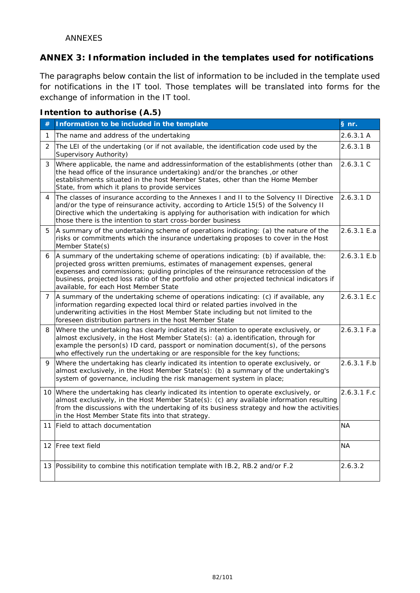## **ANNEX 3: Information included in the templates used for notifications**

The paragraphs below contain the list of information to be included in the template used for notifications in the IT tool. Those templates will be translated into *forms* for the exchange of information in the IT tool.

| Intention to authorise (A.5) |  |
|------------------------------|--|
|------------------------------|--|

| #              | Information to be included in the template                                                                                                                                                                                                                                                                                                                                                         | § nr.         |
|----------------|----------------------------------------------------------------------------------------------------------------------------------------------------------------------------------------------------------------------------------------------------------------------------------------------------------------------------------------------------------------------------------------------------|---------------|
| 1              | The name and address of the undertaking                                                                                                                                                                                                                                                                                                                                                            | 2.6.3.1 A     |
| $\overline{2}$ | The LEI of the undertaking (or if not available, the identification code used by the<br>Supervisory Authority)                                                                                                                                                                                                                                                                                     | 2.6.3.1 B     |
| 3              | Where applicable, the name and addressinformation of the establishments (other than<br>the head office of the insurance undertaking) and/or the branches, or other<br>establishments situated in the host Member States, other than the Home Member<br>State, from which it plans to provide services                                                                                              | 2.6.3.1C      |
| 4              | The classes of insurance according to the Annexes I and II to the Solvency II Directive<br>and/or the type of reinsurance activity, according to Article 15(5) of the Solvency II<br>Directive which the undertaking is applying for authorisation with indication for which<br>those there is the intention to start cross-border business                                                        | 2.6.3.1 D     |
| 5              | A summary of the undertaking scheme of operations indicating: (a) the nature of the<br>risks or commitments which the insurance undertaking proposes to cover in the Host<br>Member State(s)                                                                                                                                                                                                       | 2.6.3.1 E.a   |
| 6              | A summary of the undertaking scheme of operations indicating: (b) if available, the:<br>projected gross written premiums, estimates of management expenses, general<br>expenses and commissions; guiding principles of the reinsurance retrocession of the<br>business, projected loss ratio of the portfolio and other projected technical indicators if<br>available, for each Host Member State | 2.6.3.1 E.b   |
| $\overline{7}$ | A summary of the undertaking scheme of operations indicating: (c) if available, any<br>information regarding expected local third or related parties involved in the<br>underwriting activities in the Host Member State including but not limited to the<br>foreseen distribution partners in the host Member State                                                                               | 2.6.3.1 E.c   |
| 8              | Where the undertaking has clearly indicated its intention to operate exclusively, or<br>almost exclusively, in the Host Member State(s): (a) a. identification, through for<br>example the person(s) ID card, passport or nomination document(s), of the persons<br>who effectively run the undertaking or are responsible for the key functions;                                                  | 2.6.3.1 F.a   |
| 9              | Where the undertaking has clearly indicated its intention to operate exclusively, or<br>almost exclusively, in the Host Member State(s): (b) a summary of the undertaking's<br>system of governance, including the risk management system in place;                                                                                                                                                | 2.6.3.1 F.b   |
|                | 10 Where the undertaking has clearly indicated its intention to operate exclusively, or<br>almost exclusively, in the Host Member State(s): (c) any available information resulting<br>from the discussions with the undertaking of its business strategy and how the activities<br>in the Host Member State fits into that strategy.                                                              | $2.6.3.1$ F.c |
| 11             | Field to attach documentation                                                                                                                                                                                                                                                                                                                                                                      | <b>NA</b>     |
|                | 12 Free text field                                                                                                                                                                                                                                                                                                                                                                                 | <b>NA</b>     |
|                | 13 Possibility to combine this notification template with IB.2, RB.2 and/or F.2                                                                                                                                                                                                                                                                                                                    | 2.6.3.2       |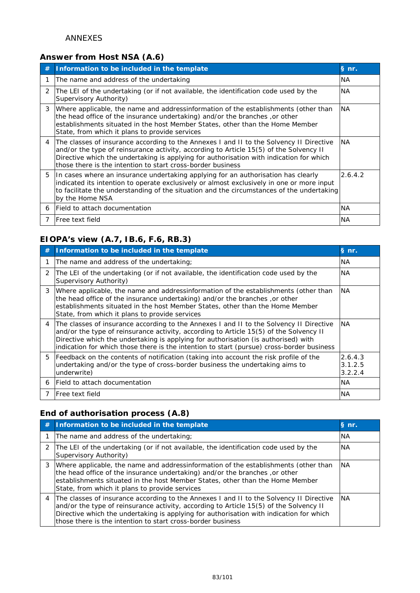## **Answer from Host NSA (A.6)**

| # | Information to be included in the template                                                                                                                                                                                                                                                                                                  | § nr.     |
|---|---------------------------------------------------------------------------------------------------------------------------------------------------------------------------------------------------------------------------------------------------------------------------------------------------------------------------------------------|-----------|
|   | The name and address of the undertaking                                                                                                                                                                                                                                                                                                     | <b>NA</b> |
| 2 | The LEI of the undertaking (or if not available, the identification code used by the<br>Supervisory Authority)                                                                                                                                                                                                                              | <b>NA</b> |
| 3 | Where applicable, the name and addressinformation of the establishments (other than<br>the head office of the insurance undertaking) and/or the branches, or other<br>establishments situated in the host Member States, other than the Home Member<br>State, from which it plans to provide services                                       | <b>NA</b> |
| 4 | The classes of insurance according to the Annexes I and II to the Solvency II Directive<br>and/or the type of reinsurance activity, according to Article 15(5) of the Solvency II<br>Directive which the undertaking is applying for authorisation with indication for which<br>those there is the intention to start cross-border business | <b>NA</b> |
| 5 | In cases where an insurance undertaking applying for an authorisation has clearly<br>indicated its intention to operate exclusively or almost exclusively in one or more input<br>to facilitate the understanding of the situation and the circumstances of the undertaking<br>by the Home NSA                                              | 2.6.4.2   |
|   | 6 Field to attach documentation                                                                                                                                                                                                                                                                                                             | <b>NA</b> |
| 7 | <b>IFree text field</b>                                                                                                                                                                                                                                                                                                                     | <b>NA</b> |

# **EIOPA's view (A.7, IB.6, F.6, RB.3)**

| # | Information to be included in the template                                                                                                                                                                                                                                                                                                                           | § nr.                         |
|---|----------------------------------------------------------------------------------------------------------------------------------------------------------------------------------------------------------------------------------------------------------------------------------------------------------------------------------------------------------------------|-------------------------------|
|   | The name and address of the undertaking;                                                                                                                                                                                                                                                                                                                             | <b>NA</b>                     |
| 2 | The LEI of the undertaking (or if not available, the identification code used by the<br>Supervisory Authority)                                                                                                                                                                                                                                                       | <b>NA</b>                     |
| 3 | Where applicable, the name and addressinformation of the establishments (other than<br>the head office of the insurance undertaking) and/or the branches, or other<br>establishments situated in the host Member States, other than the Home Member<br>State, from which it plans to provide services                                                                | <b>NA</b>                     |
| 4 | The classes of insurance according to the Annexes I and II to the Solvency II Directive<br>and/or the type of reinsurance activity, according to Article 15(5) of the Solvency II<br>Directive which the undertaking is applying for authorisation (is authorised) with<br>indication for which those there is the intention to start (pursue) cross-border business | <b>NA</b>                     |
| 5 | Feedback on the contents of notification (taking into account the risk profile of the<br>undertaking and/or the type of cross-border business the undertaking aims to<br>underwrite)                                                                                                                                                                                 | 2.6.4.3<br>3.1.2.5<br>3.2.2.4 |
| 6 | Field to attach documentation                                                                                                                                                                                                                                                                                                                                        | <b>NA</b>                     |
|   | IFree text field                                                                                                                                                                                                                                                                                                                                                     | <b>NA</b>                     |

# **End of authorisation process (A.8)**

| # | Information to be included in the template                                                                                                                                                                                                                                                                                                      | $§$ nr.   |
|---|-------------------------------------------------------------------------------------------------------------------------------------------------------------------------------------------------------------------------------------------------------------------------------------------------------------------------------------------------|-----------|
|   | The name and address of the undertaking;                                                                                                                                                                                                                                                                                                        | <b>NA</b> |
|   | 2 The LEI of the undertaking (or if not available, the identification code used by the<br>Supervisory Authority)                                                                                                                                                                                                                                | <b>NA</b> |
|   | 3   Where applicable, the name and addressinformation of the establishments (other than<br>the head office of the insurance undertaking) and/or the branches, or other<br>establishments situated in the host Member States, other than the Home Member<br>State, from which it plans to provide services                                       | <b>NA</b> |
|   | 4   The classes of insurance according to the Annexes I and II to the Solvency II Directive<br>and/or the type of reinsurance activity, according to Article 15(5) of the Solvency II<br>Directive which the undertaking is applying for authorisation with indication for which<br>those there is the intention to start cross-border business | <b>NA</b> |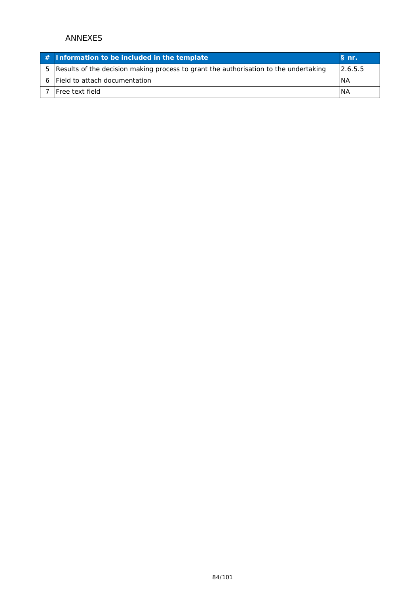|    | $#$ Information to be included in the template                                       | § nr.      |
|----|--------------------------------------------------------------------------------------|------------|
| 5. | Results of the decision making process to grant the authorisation to the undertaking | 12.6.5.5   |
|    | Field to attach documentation                                                        | <b>INA</b> |
|    | <b>Free text field</b>                                                               | <b>INA</b> |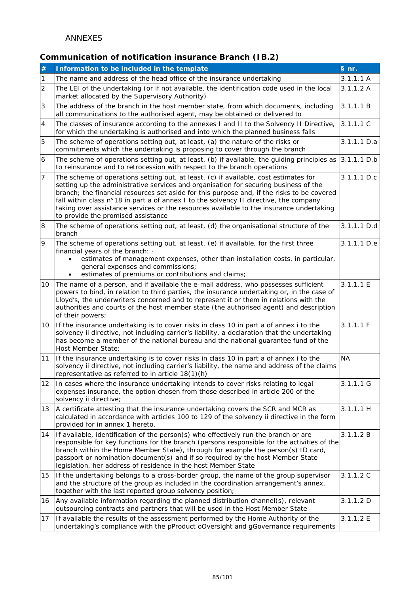## **Communication of notification insurance Branch (IB.2)**

| #              | Information to be included in the template                                                                                                                                                                                                                                                                                                                                                                                                                                                           | § nr.       |
|----------------|------------------------------------------------------------------------------------------------------------------------------------------------------------------------------------------------------------------------------------------------------------------------------------------------------------------------------------------------------------------------------------------------------------------------------------------------------------------------------------------------------|-------------|
| 1              | The name and address of the head office of the insurance undertaking                                                                                                                                                                                                                                                                                                                                                                                                                                 | 3.1.1.1 A   |
| $\overline{c}$ | The LEI of the undertaking (or if not available, the identification code used in the local<br>market allocated by the Supervisory Authority)                                                                                                                                                                                                                                                                                                                                                         | 3.1.1.2 A   |
| 3              | The address of the branch in the host member state, from which documents, including<br>all communications to the authorised agent, may be obtained or delivered to                                                                                                                                                                                                                                                                                                                                   | 3.1.1.1 B   |
| 4              | The classes of insurance according to the annexes I and II to the Solvency II Directive,<br>for which the undertaking is authorised and into which the planned business falls                                                                                                                                                                                                                                                                                                                        | 3.1.1.1 C   |
| 5              | The scheme of operations setting out, at least, (a) the nature of the risks or<br>commitments which the undertaking is proposing to cover through the branch                                                                                                                                                                                                                                                                                                                                         | 3.1.1.1 D.a |
| 6              | The scheme of operations setting out, at least, (b) if available, the guiding principles as<br>to reinsurance and to retrocession with respect to the branch operations                                                                                                                                                                                                                                                                                                                              | 3.1.1.1 D.b |
| $\overline{7}$ | The scheme of operations setting out, at least, (c) if available, cost estimates for<br>setting up the administrative services and organisation for securing business of the<br>branch; the financial resources set aside for this purpose and, if the risks to be covered<br>fall within class n°18 in part a of annex I to the solvency II directive, the company<br>taking over assistance services or the resources available to the insurance undertaking<br>to provide the promised assistance | 3.1.1.1 D.c |
| 8              | The scheme of operations setting out, at least, (d) the organisational structure of the<br>branch                                                                                                                                                                                                                                                                                                                                                                                                    | 3.1.1.1 D.d |
| 9              | The scheme of operations setting out, at least, (e) if available, for the first three<br>financial years of the branch: .<br>estimates of management expenses, other than installation costs. in particular,<br>general expenses and commissions;<br>estimates of premiums or contributions and claims;                                                                                                                                                                                              | 3.1.1.1 D.e |
| 10             | The name of a person, and if available the e-mail address, who possesses sufficient<br>powers to bind, in relation to third parties, the insurance undertaking or, in the case of<br>Lloyd's, the underwriters concerned and to represent it or them in relations with the<br>authorities and courts of the host member state (the authorised agent) and description<br>of their powers;                                                                                                             | 3.1.1.1 E   |
| 10             | If the insurance undertaking is to cover risks in class 10 in part a of annex i to the<br>solvency ii directive, not including carrier's liability, a declaration that the undertaking<br>has become a member of the national bureau and the national quarantee fund of the<br>Host Member State;                                                                                                                                                                                                    | 3.1.1.1 F   |
| 11             | If the insurance undertaking is to cover risks in class 10 in part a of annex i to the<br>solvency ii directive, not including carrier's liability, the name and address of the claims<br>representative as referred to in article 18(1)(h)                                                                                                                                                                                                                                                          | <b>NA</b>   |
| 12             | In cases where the insurance undertaking intends to cover risks relating to legal<br>expenses insurance, the option chosen from those described in article 200 of the<br>solvency ii directive;                                                                                                                                                                                                                                                                                                      | 3.1.1.1 G   |
| 13             | A certificate attesting that the insurance undertaking covers the SCR and MCR as<br>calculated in accordance with articles 100 to 129 of the solvency ii directive in the form<br>provided for in annex 1 hereto.                                                                                                                                                                                                                                                                                    | 3.1.1.1 H   |
| 14             | If available, identification of the person(s) who effectively run the branch or are<br>responsible for key functions for the branch (persons responsible for the activities of the<br>branch within the Home Member State), through for example the person(s) ID card,<br>passport or nomination document(s) and if so required by the host Member State<br>legislation, her address of residence in the host Member State                                                                           | 3.1.1.2 B   |
| 15             | If the undertaking belongs to a cross-border group, the name of the group supervisor<br>and the structure of the group as included in the coordination arrangement's annex,<br>together with the last reported group solvency position;                                                                                                                                                                                                                                                              | 3.1.1.2 C   |
| 16             | Any available information regarding the planned distribution channel(s), relevant<br>outsourcing contracts and partners that will be used in the Host Member State                                                                                                                                                                                                                                                                                                                                   | 3.1.1.2 D   |
| 17             | If available the results of the assessment performed by the Home Authority of the<br>undertaking's compliance with the pProduct oOversight and gGovernance requirements                                                                                                                                                                                                                                                                                                                              | 3.1.1.2 E   |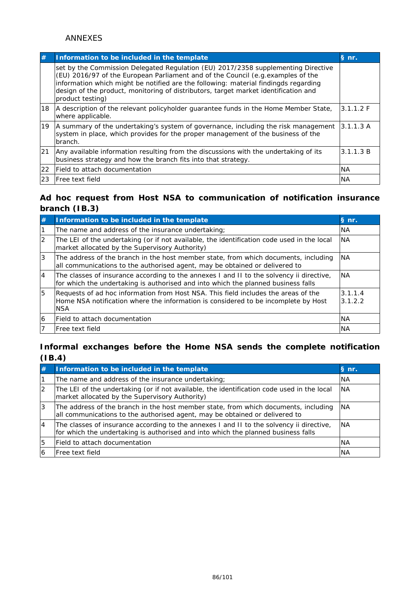| #            | Information to be included in the template                                                                                                                                                                                                                                                                                                                              | S <sub>n</sub> |
|--------------|-------------------------------------------------------------------------------------------------------------------------------------------------------------------------------------------------------------------------------------------------------------------------------------------------------------------------------------------------------------------------|----------------|
|              | set by the Commission Delegated Regulation (EU) 2017/2358 supplementing Directive<br>(EU) 2016/97 of the European Parliament and of the Council (e.g. examples of the<br>information which might be notified are the following: material findingds regarding<br>design of the product, monitoring of distributors, target market identification and<br>product testing) |                |
| 18           | A description of the relevant policyholder guarantee funds in the Home Member State,<br>where applicable.                                                                                                                                                                                                                                                               | 3.1.1.2 F      |
| 19           | A summary of the undertaking's system of governance, including the risk management<br>system in place, which provides for the proper management of the business of the<br>branch.                                                                                                                                                                                       | 3.1.1.3 A      |
| 21           | Any available information resulting from the discussions with the undertaking of its<br>business strategy and how the branch fits into that strategy.                                                                                                                                                                                                                   | 3.1.1.3 B      |
| $ 22\rangle$ | Field to attach documentation                                                                                                                                                                                                                                                                                                                                           | <b>NA</b>      |
| <u> 23</u>   | Free text field                                                                                                                                                                                                                                                                                                                                                         | <b>NA</b>      |

## **Ad hoc request from Host NSA to communication of notification insurance branch (IB.3)**

| #              | Information to be included in the template                                                                                                                                             | § nr.              |
|----------------|----------------------------------------------------------------------------------------------------------------------------------------------------------------------------------------|--------------------|
|                | The name and address of the insurance undertaking;                                                                                                                                     | <b>NA</b>          |
| $\overline{2}$ | The LEI of the undertaking (or if not available, the identification code used in the local<br>market allocated by the Supervisory Authority)                                           | <b>NA</b>          |
| 3              | The address of the branch in the host member state, from which documents, including<br>all communications to the authorised agent, may be obtained or delivered to                     | <b>NA</b>          |
| 4              | The classes of insurance according to the annexes I and II to the solvency ii directive,<br>for which the undertaking is authorised and into which the planned business falls          | <b>NA</b>          |
| 5              | Requests of ad hoc information from Host NSA. This field includes the areas of the<br>Home NSA notification where the information is considered to be incomplete by Host<br><b>NSA</b> | 3.1.1.4<br>3.1.2.2 |
| 6              | lField to attach documentation                                                                                                                                                         | <b>NA</b>          |
|                | lFree text field                                                                                                                                                                       | <b>NA</b>          |

## **Informal exchanges before the Home NSA sends the complete notification (IB.4)**

| # | Information to be included in the template                                                                                                                                    | $\mathsf{\ S}$ nr. |
|---|-------------------------------------------------------------------------------------------------------------------------------------------------------------------------------|--------------------|
|   | The name and address of the insurance undertaking;                                                                                                                            | <b>NA</b>          |
| 2 | The LEI of the undertaking (or if not available, the identification code used in the local<br>market allocated by the Supervisory Authority)                                  | <b>NA</b>          |
| 3 | The address of the branch in the host member state, from which documents, including<br>all communications to the authorised agent, may be obtained or delivered to            | <b>NA</b>          |
| 4 | The classes of insurance according to the annexes I and II to the solvency ii directive,<br>for which the undertaking is authorised and into which the planned business falls | <b>NA</b>          |
| 5 | Field to attach documentation                                                                                                                                                 | <b>NA</b>          |
|   | Free text field                                                                                                                                                               | ΝA                 |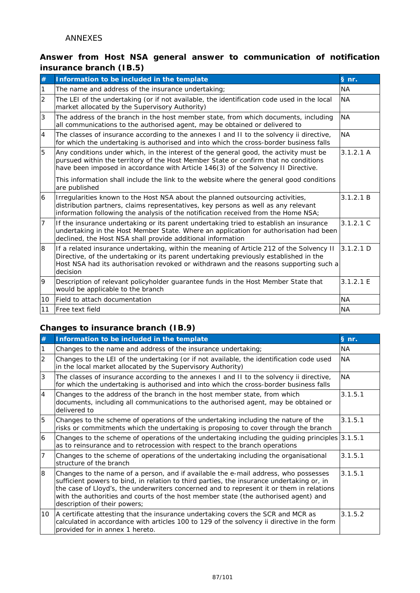## **Answer from Host NSA general answer to communication of notification insurance branch (IB.5)**

| #              | Information to be included in the template                                                                                                                                                                                                                                             | § nr.     |
|----------------|----------------------------------------------------------------------------------------------------------------------------------------------------------------------------------------------------------------------------------------------------------------------------------------|-----------|
| 1              | The name and address of the insurance undertaking;                                                                                                                                                                                                                                     | <b>NA</b> |
| $\overline{2}$ | The LEI of the undertaking (or if not available, the identification code used in the local<br>market allocated by the Supervisory Authority)                                                                                                                                           | <b>NA</b> |
| 3              | The address of the branch in the host member state, from which documents, including<br>all communications to the authorised agent, may be obtained or delivered to                                                                                                                     | <b>NA</b> |
| $\overline{4}$ | The classes of insurance according to the annexes I and II to the solvency ii directive,<br>for which the undertaking is authorised and into which the cross-border business falls                                                                                                     | <b>NA</b> |
| 5              | Any conditions under which, in the interest of the general good, the activity must be<br>pursued within the territory of the Host Member State or confirm that no conditions<br>have been imposed in accordance with Article 146(3) of the Solvency II Directive.                      | 3.1.2.1 A |
|                | This information shall include the link to the website where the general good conditions<br>are published                                                                                                                                                                              |           |
| 6              | Irregularities known to the Host NSA about the planned outsourcing activities,<br>distribution partners, claims representatives, key persons as well as any relevant<br>information following the analysis of the notification received from the Home NSA;                             | 3.1.2.1 B |
| $\overline{7}$ | If the insurance undertaking or its parent undertaking tried to establish an insurance<br>undertaking in the Host Member State. Where an application for authorisation had been<br>declined, the Host NSA shall provide additional information                                         | 3.1.2.1C  |
| 8              | If a related insurance undertaking, within the meaning of Article 212 of the Solvency II<br>Directive, of the undertaking or its parent undertaking previously established in the<br>Host NSA had its authorisation revoked or withdrawn and the reasons supporting such a<br>decision | 3.1.2.1 D |
| 9              | Description of relevant policyholder guarantee funds in the Host Member State that<br>would be applicable to the branch                                                                                                                                                                | 3.1.2.1 E |
| 10             | Field to attach documentation                                                                                                                                                                                                                                                          | <b>NA</b> |
| 11             | Free text field                                                                                                                                                                                                                                                                        | <b>NA</b> |

## **Changes to insurance branch (IB.9)**

| #              | Information to be included in the template                                                                                                                                                                                                                                                                                                                                                          | § nr.     |
|----------------|-----------------------------------------------------------------------------------------------------------------------------------------------------------------------------------------------------------------------------------------------------------------------------------------------------------------------------------------------------------------------------------------------------|-----------|
|                | Changes to the name and address of the insurance undertaking;                                                                                                                                                                                                                                                                                                                                       | NA        |
| $\overline{2}$ | Changes to the LEI of the undertaking (or if not available, the identification code used<br>in the local market allocated by the Supervisory Authority)                                                                                                                                                                                                                                             | <b>NA</b> |
| 3              | The classes of insurance according to the annexes I and II to the solvency ii directive,<br>for which the undertaking is authorised and into which the cross-border business falls                                                                                                                                                                                                                  | <b>NA</b> |
| $\overline{4}$ | Changes to the address of the branch in the host member state, from which<br>documents, including all communications to the authorised agent, may be obtained or<br>delivered to                                                                                                                                                                                                                    | 3.1.5.1   |
| 5              | Changes to the scheme of operations of the undertaking including the nature of the<br>risks or commitments which the undertaking is proposing to cover through the branch                                                                                                                                                                                                                           | 3.1.5.1   |
| 6              | Changes to the scheme of operations of the undertaking including the guiding principles 3.1.5.1<br>as to reinsurance and to retrocession with respect to the branch operations                                                                                                                                                                                                                      |           |
| 17             | Changes to the scheme of operations of the undertaking including the organisational<br>structure of the branch                                                                                                                                                                                                                                                                                      | 3.1.5.1   |
| 8              | Changes to the name of a person, and if available the e-mail address, who possesses<br>sufficient powers to bind, in relation to third parties, the insurance undertaking or, in<br>the case of Lloyd's, the underwriters concerned and to represent it or them in relations<br>with the authorities and courts of the host member state (the authorised agent) and<br>description of their powers; | 3.1.5.1   |
| 10             | A certificate attesting that the insurance undertaking covers the SCR and MCR as<br>calculated in accordance with articles 100 to 129 of the solvency ii directive in the form<br>provided for in annex 1 hereto.                                                                                                                                                                                   | 3.1.5.2   |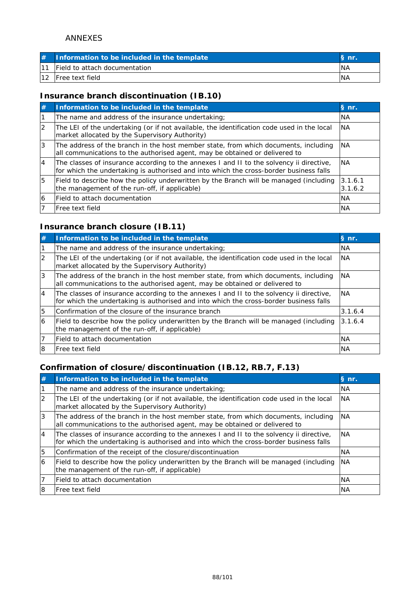| Information to be included in the template |            |
|--------------------------------------------|------------|
| <b>IField to attach documentation</b>      | <b>NA</b>  |
| <b>Free text field</b>                     | <b>INA</b> |

## **Insurance branch discontinuation (IB.10)**

| #              | Information to be included in the template                                                                                                                                         | § nr.              |
|----------------|------------------------------------------------------------------------------------------------------------------------------------------------------------------------------------|--------------------|
|                | The name and address of the insurance undertaking;                                                                                                                                 | <b>NA</b>          |
| $\overline{2}$ | The LEI of the undertaking (or if not available, the identification code used in the local<br>market allocated by the Supervisory Authority)                                       | <b>NA</b>          |
| 3              | The address of the branch in the host member state, from which documents, including<br>all communications to the authorised agent, may be obtained or delivered to                 | <b>NA</b>          |
| $\overline{4}$ | The classes of insurance according to the annexes I and II to the solvency ii directive,<br>for which the undertaking is authorised and into which the cross-border business falls | <b>INA</b>         |
| 5              | Field to describe how the policy underwritten by the Branch will be managed (including<br>the management of the run-off, if applicable)                                            | 3.1.6.1<br>3.1.6.2 |
| 6              | lField to attach documentation                                                                                                                                                     | <b>NA</b>          |
|                | <b>IFree text field</b>                                                                                                                                                            | <b>NA</b>          |

## **Insurance branch closure (IB.11)**

| #              | Information to be included in the template                                                                                                                                         | § nr.      |
|----------------|------------------------------------------------------------------------------------------------------------------------------------------------------------------------------------|------------|
|                | The name and address of the insurance undertaking;                                                                                                                                 | <b>NA</b>  |
| $\overline{2}$ | The LEI of the undertaking (or if not available, the identification code used in the local<br>market allocated by the Supervisory Authority)                                       | <b>NA</b>  |
| Ι3             | The address of the branch in the host member state, from which documents, including<br>all communications to the authorised agent, may be obtained or delivered to                 | <b>NA</b>  |
| 14             | The classes of insurance according to the annexes I and II to the solvency ii directive,<br>for which the undertaking is authorised and into which the cross-border business falls | <b>INA</b> |
| 5              | Confirmation of the closure of the insurance branch                                                                                                                                | 3.1.6.4    |
| 16             | Field to describe how the policy underwritten by the Branch will be managed (including<br>the management of the run-off, if applicable)                                            | 3.1.6.4    |
|                | lField to attach documentation                                                                                                                                                     | <b>NA</b>  |
|                | lFree text field                                                                                                                                                                   | <b>NA</b>  |

# **Confirmation of closure/discontinuation (IB.12, RB.7, F.13)**

| #        | Information to be included in the template                                                                                                                                         | § nr.     |
|----------|------------------------------------------------------------------------------------------------------------------------------------------------------------------------------------|-----------|
|          | The name and address of the insurance undertaking;                                                                                                                                 | <b>NA</b> |
| 2        | The LEI of the undertaking (or if not available, the identification code used in the local<br>market allocated by the Supervisory Authority)                                       | <b>NA</b> |
| 3        | The address of the branch in the host member state, from which documents, including<br>all communications to the authorised agent, may be obtained or delivered to                 | <b>NA</b> |
| <b>4</b> | The classes of insurance according to the annexes I and II to the solvency ii directive,<br>for which the undertaking is authorised and into which the cross-border business falls | <b>NA</b> |
| 5        | Confirmation of the receipt of the closure/discontinuation                                                                                                                         | <b>NA</b> |
| 6        | Field to describe how the policy underwritten by the Branch will be managed (including<br>the management of the run-off, if applicable)                                            | <b>NA</b> |
|          | lField to attach documentation                                                                                                                                                     | <b>NA</b> |
| l8       | lFree text field                                                                                                                                                                   | <b>NA</b> |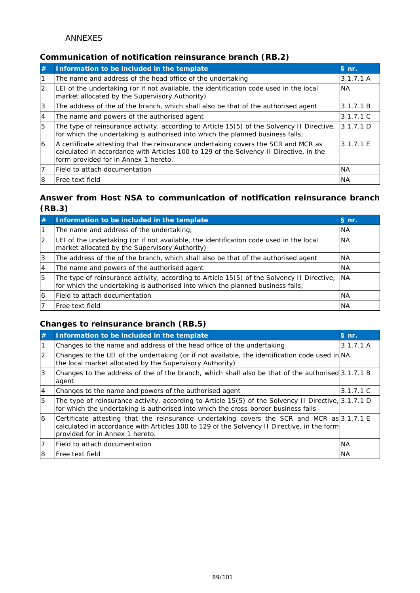## **Communication of notification reinsurance branch (RB.2)**

| #              | Information to be included in the template                                                                                                                                                                           | § nr.     |
|----------------|----------------------------------------------------------------------------------------------------------------------------------------------------------------------------------------------------------------------|-----------|
|                | The name and address of the head office of the undertaking                                                                                                                                                           | 3.1.7.1 A |
| $\overline{2}$ | LEI of the undertaking (or if not available, the identification code used in the local<br>market allocated by the Supervisory Authority)                                                                             | <b>NA</b> |
| 3              | The address of the of the branch, which shall also be that of the authorised agent                                                                                                                                   | 3.1.7.1 B |
| 4              | The name and powers of the authorised agent                                                                                                                                                                          | 3.1.7.1 C |
| 5              | The type of reinsurance activity, according to Article 15(5) of the Solvency II Directive,<br>for which the undertaking is authorised into which the planned business falls;                                         | 3.1.7.1 D |
| $\overline{6}$ | A certificate attesting that the reinsurance undertaking covers the SCR and MCR as<br>calculated in accordance with Articles 100 to 129 of the Solvency II Directive, in the<br>form provided for in Annex 1 hereto. | 3.1.7.1 E |
|                | Field to attach documentation                                                                                                                                                                                        | <b>NA</b> |
| l8             | Free text field                                                                                                                                                                                                      | <b>NA</b> |

## **Answer from Host NSA to communication of notification reinsurance branch (RB.3)**

| #  | Information to be included in the template                                                                                                                                      | S nr.     |
|----|---------------------------------------------------------------------------------------------------------------------------------------------------------------------------------|-----------|
|    | The name and address of the undertaking;                                                                                                                                        | <b>NA</b> |
|    | LEI of the undertaking (or if not available, the identification code used in the local<br>market allocated by the Supervisory Authority)                                        | <b>NA</b> |
|    | The address of the of the branch, which shall also be that of the authorised agent                                                                                              | <b>NA</b> |
| 4  | The name and powers of the authorised agent                                                                                                                                     | <b>NA</b> |
| 5  | The type of reinsurance activity, according to Article 15(5) of the Solvency II Directive, NA<br>for which the undertaking is authorised into which the planned business falls; |           |
| 16 | Field to attach documentation                                                                                                                                                   | <b>NA</b> |
|    | lFree text field                                                                                                                                                                | ΝA        |

## **Changes to reinsurance branch (RB.5)**

| #        | Information to be included in the template                                                                                                                                                                                   | $\mathsf{\overline{S}}$ nr. |
|----------|------------------------------------------------------------------------------------------------------------------------------------------------------------------------------------------------------------------------------|-----------------------------|
|          | Changes to the name and address of the head office of the undertaking                                                                                                                                                        | 3.1.7.1 A                   |
| 2        | Changes to the LEI of the undertaking (or if not available, the identification code used in NA<br>the local market allocated by the Supervisory Authority)                                                                   |                             |
| 3        | Changes to the address of the of the branch, which shall also be that of the authorised 3.1.7.1 B<br>agent                                                                                                                   |                             |
| <b>4</b> | Changes to the name and powers of the authorised agent                                                                                                                                                                       | 3.1.7.1 C                   |
| 5        | The type of reinsurance activity, according to Article 15(5) of the Solvency II Directive, 3.1.7.1 D<br>for which the undertaking is authorised into which the cross-border business falls                                   |                             |
| 6        | Certificate attesting that the reinsurance undertaking covers the SCR and MCR as 3.1.7.1 E<br>calculated in accordance with Articles 100 to 129 of the Solvency II Directive, in the form<br>provided for in Annex 1 hereto. |                             |
| 17       | lField to attach documentation                                                                                                                                                                                               | <b>NA</b>                   |
| 18       | lFree text field                                                                                                                                                                                                             | <b>NA</b>                   |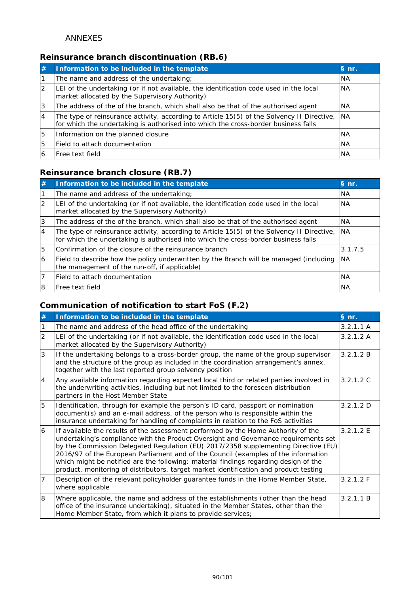## **Reinsurance branch discontinuation (RB.6)**

| #  | Information to be included in the template                                                                                                                                       | S nr.      |
|----|----------------------------------------------------------------------------------------------------------------------------------------------------------------------------------|------------|
|    | The name and address of the undertaking;                                                                                                                                         | <b>INA</b> |
| 12 | LEI of the undertaking (or if not available, the identification code used in the local<br>market allocated by the Supervisory Authority)                                         | <b>NA</b>  |
| Ι3 | The address of the of the branch, which shall also be that of the authorised agent                                                                                               | <b>NA</b>  |
| 14 | The type of reinsurance activity, according to Article 15(5) of the Solvency II Directive,<br>for which the undertaking is authorised into which the cross-border business falls | <b>NA</b>  |
| 5  | Information on the planned closure                                                                                                                                               | <b>INA</b> |
| 5  | Field to attach documentation                                                                                                                                                    | <b>INA</b> |
|    | lFree text field                                                                                                                                                                 | <b>NA</b>  |

### **Reinsurance branch closure (RB.7)**

| #            | Information to be included in the template                                                                                                                                       | § nr.     |
|--------------|----------------------------------------------------------------------------------------------------------------------------------------------------------------------------------|-----------|
|              | The name and address of the undertaking;                                                                                                                                         | <b>NA</b> |
| <sup>2</sup> | LEI of the undertaking (or if not available, the identification code used in the local<br>market allocated by the Supervisory Authority)                                         | <b>NA</b> |
| 3            | The address of the of the branch, which shall also be that of the authorised agent                                                                                               | <b>NA</b> |
| 4            | The type of reinsurance activity, according to Article 15(5) of the Solvency II Directive,<br>for which the undertaking is authorised into which the cross-border business falls | <b>NA</b> |
| 5            | Confirmation of the closure of the reinsurance branch                                                                                                                            | 3.1.7.5   |
| 16           | Field to describe how the policy underwritten by the Branch will be managed (including<br>the management of the run-off, if applicable)                                          | INA.      |
|              | lField to attach documentation                                                                                                                                                   | <b>NA</b> |
| l8           | lFree text field                                                                                                                                                                 | <b>NA</b> |

## **Communication of notification to start FoS (F.2)**

| #              | Information to be included in the template                                                                                                                                                                                                                                                                                                                                                                                                                                                                                            | § nr.     |
|----------------|---------------------------------------------------------------------------------------------------------------------------------------------------------------------------------------------------------------------------------------------------------------------------------------------------------------------------------------------------------------------------------------------------------------------------------------------------------------------------------------------------------------------------------------|-----------|
|                | The name and address of the head office of the undertaking                                                                                                                                                                                                                                                                                                                                                                                                                                                                            | 3.2.1.1 A |
| $\overline{2}$ | LEI of the undertaking (or if not available, the identification code used in the local<br>market allocated by the Supervisory Authority)                                                                                                                                                                                                                                                                                                                                                                                              | 3.2.1.2 A |
| 3              | If the undertaking belongs to a cross-border group, the name of the group supervisor<br>and the structure of the group as included in the coordination arrangement's annex,<br>together with the last reported group solvency position                                                                                                                                                                                                                                                                                                | 3.2.1.2 B |
| $\overline{4}$ | Any available information regarding expected local third or related parties involved in<br>the underwriting activities, including but not limited to the foreseen distribution<br>partners in the Host Member State                                                                                                                                                                                                                                                                                                                   | 3.2.1.2 C |
| 5              | Identification, through for example the person's ID card, passport or nomination<br>document(s) and an e-mail address, of the person who is responsible within the<br>insurance undertaking for handling of complaints in relation to the FoS activities                                                                                                                                                                                                                                                                              | 3.2.1.2 D |
| 6              | If available the results of the assessment performed by the Home Authority of the<br>undertaking's compliance with the Product Oversight and Governance requirements set<br>by the Commission Delegated Regulation (EU) 2017/2358 supplementing Directive (EU)<br>2016/97 of the European Parliament and of the Council (examples of the information<br>which might be notified are the following: material findings regarding design of the<br>product, monitoring of distributors, target market identification and product testing | 3.2.1.2 E |
| $\overline{7}$ | Description of the relevant policyholder guarantee funds in the Home Member State,<br>where applicable                                                                                                                                                                                                                                                                                                                                                                                                                                | 3.2.1.2 F |
| 8              | Where applicable, the name and address of the establishments (other than the head<br>office of the insurance undertaking), situated in the Member States, other than the<br>Home Member State, from which it plans to provide services;                                                                                                                                                                                                                                                                                               | 3.2.1.1 B |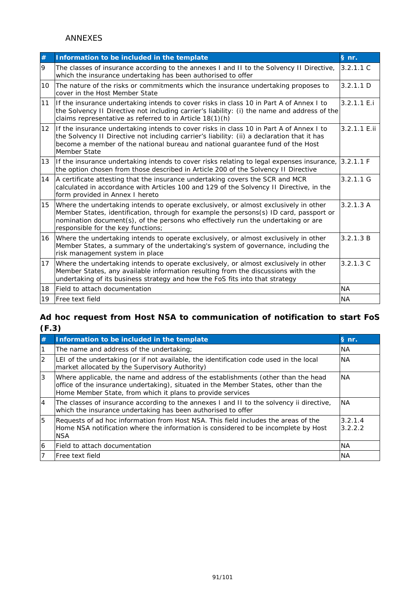| $\#$              | Information to be included in the template                                                                                                                                                                                                                                                                | § nr.        |
|-------------------|-----------------------------------------------------------------------------------------------------------------------------------------------------------------------------------------------------------------------------------------------------------------------------------------------------------|--------------|
| 9                 | The classes of insurance according to the annexes I and II to the Solvency II Directive,<br>which the insurance undertaking has been authorised to offer                                                                                                                                                  | 3.2.1.1 C    |
| 10                | The nature of the risks or commitments which the insurance undertaking proposes to<br>cover in the Host Member State                                                                                                                                                                                      | 3.2.1.1 D    |
| 11                | If the insurance undertaking intends to cover risks in class 10 in Part A of Annex I to<br>the Solvency II Directive not including carrier's liability: (i) the name and address of the<br>claims representative as referred to in Article 18(1)(h)                                                       | 3.2.1.1 E.i  |
| $12 \overline{ }$ | If the insurance undertaking intends to cover risks in class 10 in Part A of Annex I to<br>the Solvency II Directive not including carrier's liability: (ii) a declaration that it has<br>become a member of the national bureau and national guarantee fund of the Host<br>Member State                  | 3.2.1.1 E.ii |
| 13                | If the insurance undertaking intends to cover risks relating to legal expenses insurance, 3.2.1.1 F<br>the option chosen from those described in Article 200 of the Solvency II Directive                                                                                                                 |              |
| 14                | A certificate attesting that the insurance undertaking covers the SCR and MCR<br>calculated in accordance with Articles 100 and 129 of the Solvency II Directive, in the<br>form provided in Annex I hereto                                                                                               | $3.2.1.1$ G  |
| 15                | Where the undertaking intends to operate exclusively, or almost exclusively in other<br>Member States, identification, through for example the persons(s) ID card, passport or<br>nomination document(s), of the persons who effectively run the undertaking or are<br>responsible for the key functions; | 3.2.1.3A     |
| 16                | Where the undertaking intends to operate exclusively, or almost exclusively in other<br>Member States, a summary of the undertaking's system of governance, including the<br>risk management system in place                                                                                              | 3.2.1.3 B    |
| 17                | Where the undertaking intends to operate exclusively, or almost exclusively in other<br>Member States, any available information resulting from the discussions with the<br>undertaking of its business strategy and how the FoS fits into that strategy                                                  | 3.2.1.3C     |
| 18                | Field to attach documentation                                                                                                                                                                                                                                                                             | <b>NA</b>    |
| 19                | Free text field                                                                                                                                                                                                                                                                                           | <b>NA</b>    |

# **Ad hoc request from Host NSA to communication of notification to start FoS (F.3)**

| #              | Information to be included in the template                                                                                                                                                                                             | § nr.              |
|----------------|----------------------------------------------------------------------------------------------------------------------------------------------------------------------------------------------------------------------------------------|--------------------|
|                | The name and address of the undertaking;                                                                                                                                                                                               | <b>NA</b>          |
| $\overline{2}$ | LEI of the undertaking (or if not available, the identification code used in the local<br>market allocated by the Supervisory Authority)                                                                                               | <b>INA</b>         |
| 3              | Where applicable, the name and address of the establishments (other than the head<br>office of the insurance undertaking), situated in the Member States, other than the<br>Home Member State, from which it plans to provide services | <b>INA</b>         |
| $\overline{4}$ | The classes of insurance according to the annexes I and II to the solvency ii directive,<br>which the insurance undertaking has been authorised to offer                                                                               | <b>NA</b>          |
| 5              | Requests of ad hoc information from Host NSA. This field includes the areas of the<br>Home NSA notification where the information is considered to be incomplete by Host<br><b>NSA</b>                                                 | 3.2.1.4<br>3.2.2.2 |
| 6              | Field to attach documentation                                                                                                                                                                                                          | <b>NA</b>          |
|                | lFree text field                                                                                                                                                                                                                       | <b>NA</b>          |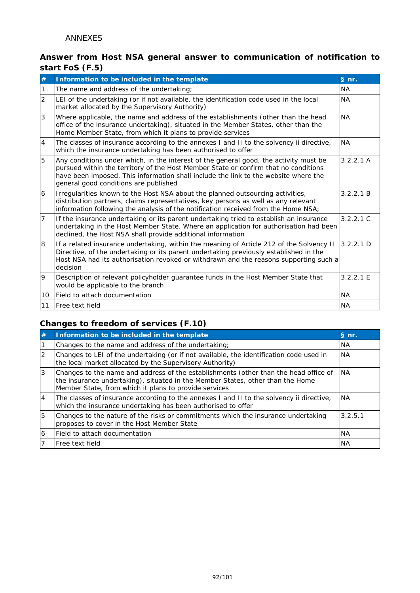## **Answer from Host NSA general answer to communication of notification to start FoS (F.5)**

| #              | Information to be included in the template                                                                                                                                                                                                                                                                   | § nr.     |
|----------------|--------------------------------------------------------------------------------------------------------------------------------------------------------------------------------------------------------------------------------------------------------------------------------------------------------------|-----------|
| $\mathbf{1}$   | The name and address of the undertaking;                                                                                                                                                                                                                                                                     | <b>NA</b> |
| $\overline{2}$ | LEI of the undertaking (or if not available, the identification code used in the local<br>market allocated by the Supervisory Authority)                                                                                                                                                                     | <b>NA</b> |
| 3              | Where applicable, the name and address of the establishments (other than the head<br>office of the insurance undertaking), situated in the Member States, other than the<br>Home Member State, from which it plans to provide services                                                                       | <b>NA</b> |
| $\overline{4}$ | The classes of insurance according to the annexes I and II to the solvency ii directive,<br>which the insurance undertaking has been authorised to offer                                                                                                                                                     | <b>NA</b> |
| 5              | Any conditions under which, in the interest of the general good, the activity must be<br>pursued within the territory of the Host Member State or confirm that no conditions<br>have been imposed. This information shall include the link to the website where the<br>general good conditions are published | 3.2.2.1 A |
| 6              | Irregularities known to the Host NSA about the planned outsourcing activities,<br>distribution partners, claims representatives, key persons as well as any relevant<br>information following the analysis of the notification received from the Home NSA;                                                   | 3.2.2.1 B |
| $\overline{7}$ | If the insurance undertaking or its parent undertaking tried to establish an insurance<br>undertaking in the Host Member State. Where an application for authorisation had been<br>declined, the Host NSA shall provide additional information                                                               | 3.2.2.1 C |
| 8              | If a related insurance undertaking, within the meaning of Article 212 of the Solvency II<br>Directive, of the undertaking or its parent undertaking previously established in the<br>Host NSA had its authorisation revoked or withdrawn and the reasons supporting such a<br>decision                       | 3.2.2.1 D |
| 19             | Description of relevant policyholder guarantee funds in the Host Member State that<br>would be applicable to the branch                                                                                                                                                                                      | 3.2.2.1 E |
| 10             | Field to attach documentation                                                                                                                                                                                                                                                                                | <b>NA</b> |
| l11            | Free text field                                                                                                                                                                                                                                                                                              | <b>NA</b> |

# **Changes to freedom of services (F.10)**

| <b>#</b> | Information to be included in the template                                                                                                                                                                                      | § nr.     |
|----------|---------------------------------------------------------------------------------------------------------------------------------------------------------------------------------------------------------------------------------|-----------|
|          | Changes to the name and address of the undertaking;                                                                                                                                                                             | <b>NA</b> |
| 12       | Changes to LEI of the undertaking (or if not available, the identification code used in<br>the local market allocated by the Supervisory Authority)                                                                             | <b>NA</b> |
|          | Changes to the name and address of the establishments (other than the head office of<br>the insurance undertaking), situated in the Member States, other than the Home<br>Member State, from which it plans to provide services | <b>NA</b> |
| <b>4</b> | The classes of insurance according to the annexes I and II to the solvency ii directive,<br>which the insurance undertaking has been authorised to offer                                                                        | <b>NA</b> |
| 15       | Changes to the nature of the risks or commitments which the insurance undertaking<br>proposes to cover in the Host Member State                                                                                                 | 3.2.5.1   |
| 16       | lField to attach documentation                                                                                                                                                                                                  | <b>NA</b> |
|          | lFree text field                                                                                                                                                                                                                | <b>NA</b> |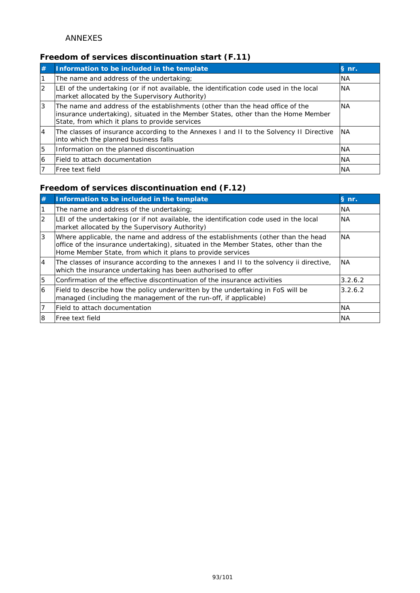# **Freedom of services discontinuation start (F.11)**

| #         | Information to be included in the template                                                                                                                                                                           | § nr.     |
|-----------|----------------------------------------------------------------------------------------------------------------------------------------------------------------------------------------------------------------------|-----------|
|           | The name and address of the undertaking;                                                                                                                                                                             | <b>NA</b> |
| <u> 2</u> | LEI of the undertaking (or if not available, the identification code used in the local<br>market allocated by the Supervisory Authority)                                                                             | <b>NA</b> |
| 3         | The name and address of the establishments (other than the head office of the<br>insurance undertaking), situated in the Member States, other than the Home Member<br>State, from which it plans to provide services | <b>NA</b> |
| 14        | The classes of insurance according to the Annexes I and II to the Solvency II Directive<br>into which the planned business falls                                                                                     | INA.      |
| 5         | Information on the planned discontinuation                                                                                                                                                                           | <b>NA</b> |
| 16        | lField to attach documentation                                                                                                                                                                                       | <b>NA</b> |
|           | lFree text field                                                                                                                                                                                                     | <b>NA</b> |

# **Freedom of services discontinuation end (F.12)**

| #              | Information to be included in the template                                                                                                                                                                                             | § nr.     |
|----------------|----------------------------------------------------------------------------------------------------------------------------------------------------------------------------------------------------------------------------------------|-----------|
|                | The name and address of the undertaking;                                                                                                                                                                                               | <b>NA</b> |
| 12             | LEI of the undertaking (or if not available, the identification code used in the local<br>market allocated by the Supervisory Authority)                                                                                               | <b>NA</b> |
| 3              | Where applicable, the name and address of the establishments (other than the head<br>office of the insurance undertaking), situated in the Member States, other than the<br>Home Member State, from which it plans to provide services | <b>NA</b> |
| $\overline{4}$ | The classes of insurance according to the annexes I and II to the solvency ii directive,<br>which the insurance undertaking has been authorised to offer                                                                               | <b>NA</b> |
| 5              | Confirmation of the effective discontinuation of the insurance activities                                                                                                                                                              | 3.2.6.2   |
| 16             | Field to describe how the policy underwritten by the undertaking in FoS will be<br>managed (including the management of the run-off, if applicable)                                                                                    | 3.2.6.2   |
|                | lField to attach documentation                                                                                                                                                                                                         | <b>NA</b> |
| 8              | lFree text field                                                                                                                                                                                                                       | <b>NA</b> |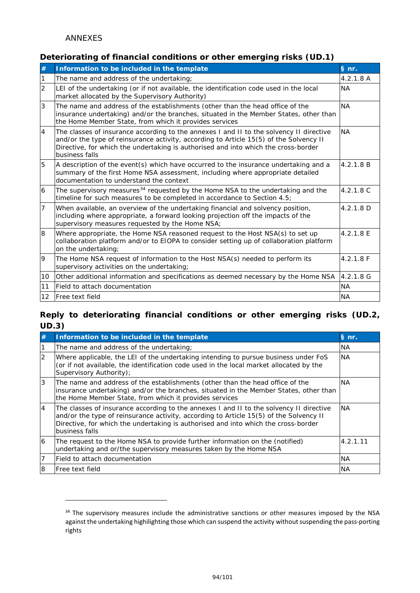-

### **Deteriorating of financial conditions or other emerging risks (UD.1)**

| #              | Information to be included in the template                                                                                                                                                                                                                                                | § nr.       |
|----------------|-------------------------------------------------------------------------------------------------------------------------------------------------------------------------------------------------------------------------------------------------------------------------------------------|-------------|
| 1              | The name and address of the undertaking;                                                                                                                                                                                                                                                  | 4.2.1.8A    |
| $\overline{2}$ | LEI of the undertaking (or if not available, the identification code used in the local<br>market allocated by the Supervisory Authority)                                                                                                                                                  | <b>NA</b>   |
| 3              | The name and address of the establishments (other than the head office of the<br>insurance undertaking) and/or the branches, situated in the Member States, other than<br>the Home Member State, from which it provides services                                                          | <b>NA</b>   |
| 4              | The classes of insurance according to the annexes I and II to the solvency II directive<br>and/or the type of reinsurance activity, according to Article 15(5) of the Solvency II<br>Directive, for which the undertaking is authorised and into which the cross-border<br>business falls | <b>NA</b>   |
| 5              | A description of the event(s) which have occurred to the insurance undertaking and a<br>summary of the first Home NSA assessment, including where appropriate detailed<br>documentation to understand the context                                                                         | 4.2.1.8 B   |
| 6              | The supervisory measures <sup>34</sup> requested by the Home NSA to the undertaking and the<br>timeline for such measures to be completed in accordance to Section 4.5;                                                                                                                   | 4.2.1.8 C   |
| 7              | When available, an overview of the undertaking financial and solvency position,<br>including where appropriate, a forward looking projection off the impacts of the<br>supervisory measures requested by the Home NSA;                                                                    | 4.2.1.8 D   |
| 8              | Where appropriate, the Home NSA reasoned request to the Host NSA(s) to set up<br>collaboration platform and/or to EIOPA to consider setting up of collaboration platform<br>on the undertaking;                                                                                           | 4.2.1.8 E   |
| 9              | The Home NSA request of information to the Host NSA(s) needed to perform its<br>supervisory activities on the undertaking;                                                                                                                                                                | 4.2.1.8 F   |
| 10             | Other additional information and specifications as deemed necessary by the Home NSA                                                                                                                                                                                                       | $4.2.1.8$ G |
| 11             | Field to attach documentation                                                                                                                                                                                                                                                             | <b>NA</b>   |
| $ 12\rangle$   | <b>Free text field</b>                                                                                                                                                                                                                                                                    | <b>NA</b>   |

### **Reply to deteriorating financial conditions or other emerging risks (UD.2, UD.3)**

| #  | Information to be included in the template                                                                                                                                                                                                                                                | § nr.     |
|----|-------------------------------------------------------------------------------------------------------------------------------------------------------------------------------------------------------------------------------------------------------------------------------------------|-----------|
|    | The name and address of the undertaking;                                                                                                                                                                                                                                                  | <b>NA</b> |
| 2  | Where applicable, the LEI of the undertaking intending to pursue business under FoS<br>(or if not available, the identification code used in the local market allocated by the<br>Supervisory Authority);                                                                                 | <b>NA</b> |
| 3  | The name and address of the establishments (other than the head office of the<br>insurance undertaking) and/or the branches, situated in the Member States, other than<br>the Home Member State, from which it provides services                                                          | <b>NA</b> |
| 14 | The classes of insurance according to the annexes I and II to the solvency II directive<br>and/or the type of reinsurance activity, according to Article 15(5) of the Solvency II<br>Directive, for which the undertaking is authorised and into which the cross-border<br>business falls | <b>NA</b> |
| 6  | The request to the Home NSA to provide further information on the (notified)<br>undertaking and or/the supervisory measures taken by the Home NSA                                                                                                                                         | 4.2.1.11  |
|    | Field to attach documentation                                                                                                                                                                                                                                                             | <b>NA</b> |
| 8  | Free text field                                                                                                                                                                                                                                                                           | <b>NA</b> |

<span id="page-93-0"></span><sup>&</sup>lt;sup>34</sup> The supervisory measures include the administrative sanctions or other measures imposed by the NSA against the undertaking highilighting those which can suspend the activity without suspending the pass-porting rights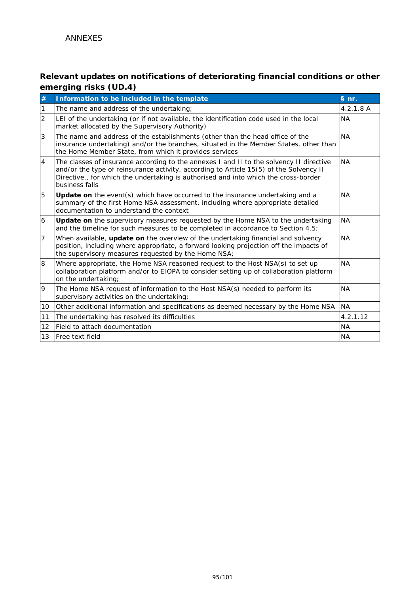# **Relevant updates on notifications of deteriorating financial conditions or other emerging risks (UD.4)**

| #              | Information to be included in the template                                                                                                                                                                                                                                                 | § nr.     |
|----------------|--------------------------------------------------------------------------------------------------------------------------------------------------------------------------------------------------------------------------------------------------------------------------------------------|-----------|
| $\vert$ 1      | The name and address of the undertaking;                                                                                                                                                                                                                                                   | 4.2.1.8A  |
| $\overline{2}$ | LEI of the undertaking (or if not available, the identification code used in the local<br>market allocated by the Supervisory Authority)                                                                                                                                                   | <b>NA</b> |
| 3              | The name and address of the establishments (other than the head office of the<br>insurance undertaking) and/or the branches, situated in the Member States, other than<br>the Home Member State, from which it provides services                                                           | <b>NA</b> |
| $\overline{4}$ | The classes of insurance according to the annexes I and II to the solvency II directive<br>and/or the type of reinsurance activity, according to Article 15(5) of the Solvency II<br>Directive,, for which the undertaking is authorised and into which the cross-border<br>business falls | <b>NA</b> |
| 5              | <b>Update on</b> the event(s) which have occurred to the insurance undertaking and a<br>summary of the first Home NSA assessment, including where appropriate detailed<br>documentation to understand the context                                                                          | <b>NA</b> |
| 6              | <b>Update on</b> the supervisory measures requested by the Home NSA to the undertaking<br>and the timeline for such measures to be completed in accordance to Section 4.5;                                                                                                                 | <b>NA</b> |
| $\overline{7}$ | When available, update on the overview of the undertaking financial and solvency<br>position, including where appropriate, a forward looking projection off the impacts of<br>the supervisory measures requested by the Home NSA;                                                          | <b>NA</b> |
| 8              | Where appropriate, the Home NSA reasoned request to the Host NSA(s) to set up<br>collaboration platform and/or to EIOPA to consider setting up of collaboration platform<br>on the undertaking;                                                                                            | <b>NA</b> |
| 9              | The Home NSA request of information to the Host NSA(s) needed to perform its<br>supervisory activities on the undertaking;                                                                                                                                                                 | <b>NA</b> |
| 10             | Other additional information and specifications as deemed necessary by the Home NSA                                                                                                                                                                                                        | <b>NA</b> |
| 11             | The undertaking has resolved its difficulties                                                                                                                                                                                                                                              | 4.2.1.12  |
| 12             | Field to attach documentation                                                                                                                                                                                                                                                              | <b>NA</b> |
| 13             | <b>Free text field</b>                                                                                                                                                                                                                                                                     | <b>NA</b> |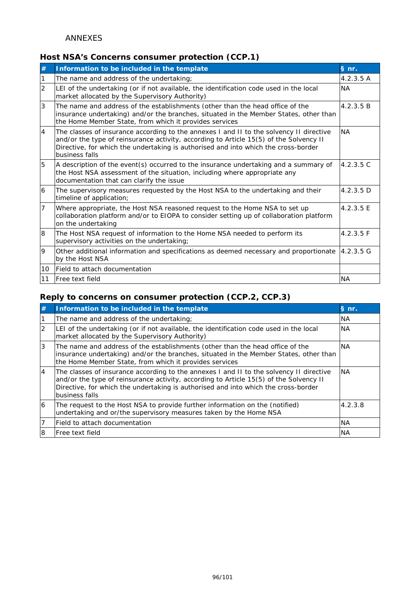## **Host NSA's Concerns consumer protection (CCP.1)**

| #              | Information to be included in the template                                                                                                                                                                                                                                                | § nr.     |
|----------------|-------------------------------------------------------------------------------------------------------------------------------------------------------------------------------------------------------------------------------------------------------------------------------------------|-----------|
| 1              | The name and address of the undertaking;                                                                                                                                                                                                                                                  | 4.2.3.5 A |
| $\overline{2}$ | LEI of the undertaking (or if not available, the identification code used in the local<br>market allocated by the Supervisory Authority)                                                                                                                                                  | <b>NA</b> |
| 3              | The name and address of the establishments (other than the head office of the<br>insurance undertaking) and/or the branches, situated in the Member States, other than<br>the Home Member State, from which it provides services                                                          | 4.2.3.5 B |
| $\overline{4}$ | The classes of insurance according to the annexes I and II to the solvency II directive<br>and/or the type of reinsurance activity, according to Article 15(5) of the Solvency II<br>Directive, for which the undertaking is authorised and into which the cross-border<br>business falls | <b>NA</b> |
| 5              | A description of the event(s) occurred to the insurance undertaking and a summary of<br>the Host NSA assessment of the situation, including where appropriate any<br>documentation that can clarify the issue                                                                             | 4.2.3.5C  |
| 6              | The supervisory measures requested by the Host NSA to the undertaking and their<br>timeline of application;                                                                                                                                                                               | 4.2.3.5 D |
| $\overline{7}$ | Where appropriate, the Host NSA reasoned request to the Home NSA to set up<br>collaboration platform and/or to EIOPA to consider setting up of collaboration platform<br>on the undertaking                                                                                               | 4.2.3.5 E |
| 8              | The Host NSA request of information to the Home NSA needed to perform its<br>supervisory activities on the undertaking;                                                                                                                                                                   | 4.2.3.5 F |
| 9              | Other additional information and specifications as deemed necessary and proportionate $ 4.2.3.5 \text{ G} $<br>by the Host NSA                                                                                                                                                            |           |
| 10             | lField to attach documentation                                                                                                                                                                                                                                                            |           |
| 11             | Free text field                                                                                                                                                                                                                                                                           | <b>NA</b> |

## **Reply to concerns on consumer protection (CCP.2, CCP.3)**

| #         | Information to be included in the template                                                                                                                                                                                                                                                | § nr.     |
|-----------|-------------------------------------------------------------------------------------------------------------------------------------------------------------------------------------------------------------------------------------------------------------------------------------------|-----------|
|           | The name and address of the undertaking;                                                                                                                                                                                                                                                  | <b>NA</b> |
| <u> 2</u> | LEI of the undertaking (or if not available, the identification code used in the local<br>market allocated by the Supervisory Authority)                                                                                                                                                  | <b>NA</b> |
| 3         | The name and address of the establishments (other than the head office of the<br>insurance undertaking) and/or the branches, situated in the Member States, other than<br>the Home Member State, from which it provides services                                                          | INA.      |
| <b>4</b>  | The classes of insurance according to the annexes I and II to the solvency II directive<br>and/or the type of reinsurance activity, according to Article 15(5) of the Solvency II<br>Directive, for which the undertaking is authorised and into which the cross-border<br>business falls | <b>NA</b> |
| 6         | The request to the Host NSA to provide further information on the (notified)<br>undertaking and or/the supervisory measures taken by the Home NSA                                                                                                                                         | 4.2.3.8   |
|           | lField to attach documentation                                                                                                                                                                                                                                                            | <b>NA</b> |
| 8         | lFree text field                                                                                                                                                                                                                                                                          | <b>NA</b> |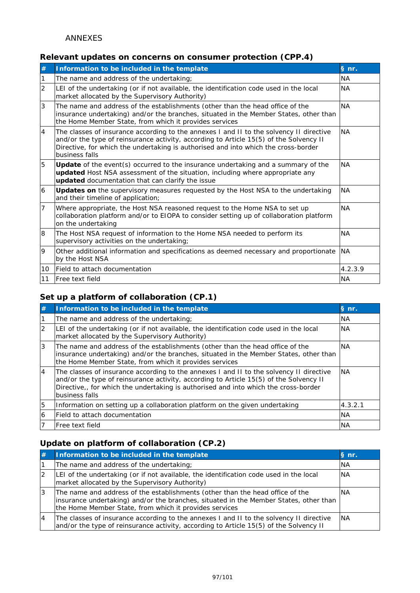### **Relevant updates on concerns on consumer protection (CPP.4)**

| $\#$           | Information to be included in the template                                                                                                                                                                                                                                                | § nr.     |
|----------------|-------------------------------------------------------------------------------------------------------------------------------------------------------------------------------------------------------------------------------------------------------------------------------------------|-----------|
| 1              | The name and address of the undertaking;                                                                                                                                                                                                                                                  | <b>NA</b> |
| $\overline{2}$ | LEI of the undertaking (or if not available, the identification code used in the local<br>market allocated by the Supervisory Authority)                                                                                                                                                  | <b>NA</b> |
| 3              | The name and address of the establishments (other than the head office of the<br>insurance undertaking) and/or the branches, situated in the Member States, other than<br>the Home Member State, from which it provides services                                                          | <b>NA</b> |
| $\overline{4}$ | The classes of insurance according to the annexes I and II to the solvency II directive<br>and/or the type of reinsurance activity, according to Article 15(5) of the Solvency II<br>Directive, for which the undertaking is authorised and into which the cross-border<br>business falls | <b>NA</b> |
| 5              | Update of the event(s) occurred to the insurance undertaking and a summary of the<br>updated Host NSA assessment of the situation, including where appropriate any<br>updated documentation that can clarify the issue                                                                    | NA.       |
| 6              | <b>Updates on</b> the supervisory measures requested by the Host NSA to the undertaking<br>and their timeline of application;                                                                                                                                                             | <b>NA</b> |
| $\overline{7}$ | Where appropriate, the Host NSA reasoned request to the Home NSA to set up<br>collaboration platform and/or to EIOPA to consider setting up of collaboration platform<br>on the undertaking                                                                                               | <b>NA</b> |
| 8              | The Host NSA request of information to the Home NSA needed to perform its<br>supervisory activities on the undertaking;                                                                                                                                                                   | <b>NA</b> |
| 9              | Other additional information and specifications as deemed necessary and proportionate<br>by the Host NSA                                                                                                                                                                                  | <b>NA</b> |
| 10             | Field to attach documentation                                                                                                                                                                                                                                                             | 4.2.3.9   |
| 11             | Free text field                                                                                                                                                                                                                                                                           | <b>NA</b> |

# **Set up a platform of collaboration (CP.1)**

| #              | Information to be included in the template                                                                                                                                                                                                                                                 | $\S$ nr.  |
|----------------|--------------------------------------------------------------------------------------------------------------------------------------------------------------------------------------------------------------------------------------------------------------------------------------------|-----------|
|                | The name and address of the undertaking;                                                                                                                                                                                                                                                   | <b>NA</b> |
| $\overline{2}$ | LEI of the undertaking (or if not available, the identification code used in the local<br>market allocated by the Supervisory Authority)                                                                                                                                                   | <b>NA</b> |
| 3              | The name and address of the establishments (other than the head office of the<br>insurance undertaking) and/or the branches, situated in the Member States, other than<br>the Home Member State, from which it provides services                                                           | INA.      |
| $\overline{4}$ | The classes of insurance according to the annexes I and II to the solvency II directive<br>and/or the type of reinsurance activity, according to Article 15(5) of the Solvency II<br>Directive,, for which the undertaking is authorised and into which the cross-border<br>business falls | <b>NA</b> |
| 5              | Information on setting up a collaboration platform on the given undertaking                                                                                                                                                                                                                | 4.3.2.1   |
| 6              | lField to attach documentation                                                                                                                                                                                                                                                             | <b>NA</b> |
|                | lFree text field                                                                                                                                                                                                                                                                           | <b>NA</b> |

## **Update on platform of collaboration (CP.2)**

|    | Information to be included in the template                                                                                                                                                                                       | § nr.     |
|----|----------------------------------------------------------------------------------------------------------------------------------------------------------------------------------------------------------------------------------|-----------|
|    | The name and address of the undertaking;                                                                                                                                                                                         | <b>NA</b> |
|    | LEI of the undertaking (or if not available, the identification code used in the local<br>market allocated by the Supervisory Authority)                                                                                         | <b>NA</b> |
|    | The name and address of the establishments (other than the head office of the<br>insurance undertaking) and/or the branches, situated in the Member States, other than<br>the Home Member State, from which it provides services | INA       |
| 14 | The classes of insurance according to the annexes I and II to the solvency II directive<br>and/or the type of reinsurance activity, according to Article 15(5) of the Solvency II                                                | <b>NA</b> |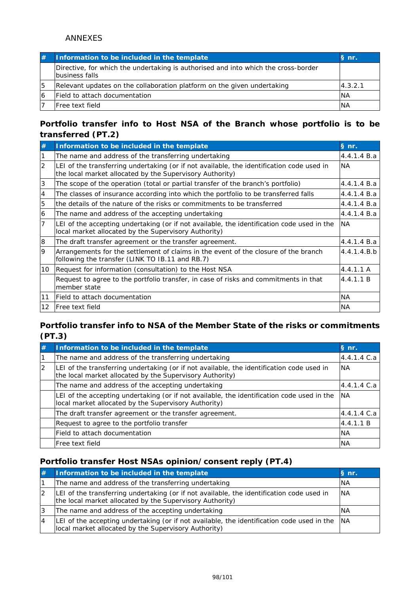|    | Information to be included in the template                                                           | S <sub>n</sub> |
|----|------------------------------------------------------------------------------------------------------|----------------|
|    | Directive, for which the undertaking is authorised and into which the cross-border<br>business falls |                |
| 15 | Relevant updates on the collaboration platform on the given undertaking                              | 4.3.2.1        |
| 6  | Field to attach documentation                                                                        | <b>INA</b>     |
|    | lFree text field                                                                                     | <b>INA</b>     |

### **Portfolio transfer info to Host NSA of the Branch whose portfolio is to be transferred (PT.2)**

| #         | Information to be included in the template                                                                                                            | § nr.       |
|-----------|-------------------------------------------------------------------------------------------------------------------------------------------------------|-------------|
|           | The name and address of the transferring undertaking                                                                                                  | 4.4.1.4 B.a |
| 12        | LEI of the transferring undertaking (or if not available, the identification code used in<br>the local market allocated by the Supervisory Authority) | <b>NA</b>   |
| 3         | The scope of the operation (total or partial transfer of the branch's portfolio)                                                                      | 4.4.1.4 B.a |
| 4         | The classes of insurance according into which the portfolio to be transferred falls                                                                   | 4.4.1.4 B.a |
| 15        | the details of the nature of the risks or commitments to be transferred                                                                               | 4.4.1.4 B.a |
| 6         | The name and address of the accepting undertaking                                                                                                     | 4.4.1.4 B.a |
| 17        | LEI of the accepting undertaking (or if not available, the identification code used in the<br>local market allocated by the Supervisory Authority)    | <b>NA</b>   |
| 8         | The draft transfer agreement or the transfer agreement.                                                                                               | 4.4.1.4 B.a |
| Ι9        | Arrangements for the settlement of claims in the event of the closure of the branch<br>following the transfer (LINK TO IB.11 and RB.7)                | 4.4.1.4.B.b |
| 10        | Request for information (consultation) to the Host NSA                                                                                                | 4.4.1.1 A   |
|           | Request to agree to the portfolio transfer, in case of risks and commitments in that<br>member state                                                  | 4.4.1.1 B   |
| <b>11</b> | IField to attach documentation                                                                                                                        | <b>NA</b>   |
| 12        | Free text field                                                                                                                                       | <b>NA</b>   |

### **Portfolio transfer info to NSA of the Member State of the risks or commitments (PT.3)**

| #  | Information to be included in the template                                                                                                            | § nr.       |
|----|-------------------------------------------------------------------------------------------------------------------------------------------------------|-------------|
|    | The name and address of the transferring undertaking                                                                                                  | 4.4.1.4 C.a |
| 12 | LEI of the transferring undertaking (or if not available, the identification code used in<br>the local market allocated by the Supervisory Authority) | <b>NA</b>   |
|    | The name and address of the accepting undertaking                                                                                                     | 4.4.1.4 C.a |
|    | LEI of the accepting undertaking (or if not available, the identification code used in the<br>local market allocated by the Supervisory Authority)    | <b>INA</b>  |
|    | The draft transfer agreement or the transfer agreement.                                                                                               | 4.4.1.4 C.a |
|    | Request to agree to the portfolio transfer                                                                                                            | 4.4.1.1 B   |
|    | Field to attach documentation                                                                                                                         | <b>NA</b>   |
|    | Free text field                                                                                                                                       | <b>NA</b>   |

### **Portfolio transfer Host NSAs opinion/consent reply (PT.4)**

| Information to be included in the template                                                                                                             | § nr.      |
|--------------------------------------------------------------------------------------------------------------------------------------------------------|------------|
| The name and address of the transferring undertaking                                                                                                   | <b>NA</b>  |
| LEI of the transferring undertaking (or if not available, the identification code used in<br>the local market allocated by the Supervisory Authority)  | <b>INA</b> |
| The name and address of the accepting undertaking                                                                                                      | <b>NA</b>  |
| LEI of the accepting undertaking (or if not available, the identification code used in the  NA<br>local market allocated by the Supervisory Authority) |            |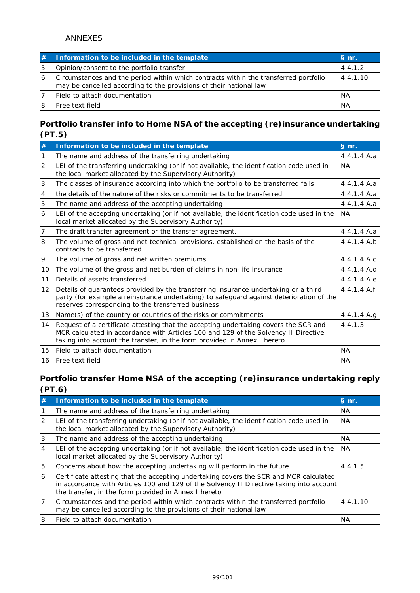|    | Information to be included in the template                                                                                                                 | § nr.     |
|----|------------------------------------------------------------------------------------------------------------------------------------------------------------|-----------|
| 15 | Opinion/consent to the portfolio transfer                                                                                                                  | 4.4.1.2   |
| 16 | Circumstances and the period within which contracts within the transferred portfolio<br>may be cancelled according to the provisions of their national law | 4.4.1.10  |
|    | Field to attach documentation                                                                                                                              | <b>NA</b> |
|    | <b>IFree text field</b>                                                                                                                                    | <b>NA</b> |

## **Portfolio transfer info to Home NSA of the accepting (re)insurance undertaking (PT.5)**

| #                 | Information to be included in the template                                                                                                                                                                                                              | § nr.       |
|-------------------|---------------------------------------------------------------------------------------------------------------------------------------------------------------------------------------------------------------------------------------------------------|-------------|
|                   | The name and address of the transferring undertaking                                                                                                                                                                                                    | 4.4.1.4 A.a |
| $\overline{2}$    | LEI of the transferring undertaking (or if not available, the identification code used in<br>the local market allocated by the Supervisory Authority)                                                                                                   | <b>NA</b>   |
| 3                 | The classes of insurance according into which the portfolio to be transferred falls                                                                                                                                                                     | 4.4.1.4 A.a |
| $\overline{4}$    | the details of the nature of the risks or commitments to be transferred                                                                                                                                                                                 | 4.4.1.4 A.a |
| 5                 | The name and address of the accepting undertaking                                                                                                                                                                                                       | 4.4.1.4 A.a |
| 6                 | LEI of the accepting undertaking (or if not available, the identification code used in the<br>local market allocated by the Supervisory Authority)                                                                                                      | <b>NA</b>   |
| 17                | The draft transfer agreement or the transfer agreement.                                                                                                                                                                                                 | 4.4.1.4 A.a |
| 8                 | The volume of gross and net technical provisions, established on the basis of the<br>contracts to be transferred                                                                                                                                        | 4.4.1.4 A.b |
| 19                | The volume of gross and net written premiums                                                                                                                                                                                                            | 4.4.1.4 A.c |
| 10                | The volume of the gross and net burden of claims in non-life insurance                                                                                                                                                                                  | 4.4.1.4 A.d |
| 11                | Details of assets transferred                                                                                                                                                                                                                           | 4.4.1.4 A.e |
| $12 \overline{ }$ | Details of guarantees provided by the transferring insurance undertaking or a third<br>party (for example a reinsurance undertaking) to safeguard against deterioration of the<br>reserves corresponding to the transferred business                    | 4.4.1.4 A.f |
| 13                | Name(s) of the country or countries of the risks or commitments                                                                                                                                                                                         | 4.4.1.4 A.g |
| 14                | Request of a certificate attesting that the accepting undertaking covers the SCR and<br>MCR calculated in accordance with Articles 100 and 129 of the Solvency II Directive<br>taking into account the transfer, in the form provided in Annex I hereto | 4.4.1.3     |
| 15                | Field to attach documentation                                                                                                                                                                                                                           | <b>NA</b>   |
| 16                | <b>Free text field</b>                                                                                                                                                                                                                                  | <b>NA</b>   |

## **Portfolio transfer Home NSA of the accepting (re)insurance undertaking reply (PT.6)**

| #        | Information to be included in the template                                                                                                                                                                                                 | § nr.      |
|----------|--------------------------------------------------------------------------------------------------------------------------------------------------------------------------------------------------------------------------------------------|------------|
|          | The name and address of the transferring undertaking                                                                                                                                                                                       | <b>NA</b>  |
|          | LEI of the transferring undertaking (or if not available, the identification code used in<br>the local market allocated by the Supervisory Authority)                                                                                      | <b>INA</b> |
| 3        | The name and address of the accepting undertaking                                                                                                                                                                                          | <b>NA</b>  |
| <b>4</b> | LEI of the accepting undertaking (or if not available, the identification code used in the<br>local market allocated by the Supervisory Authority)                                                                                         | <b>NA</b>  |
| 15       | Concerns about how the accepting undertaking will perform in the future                                                                                                                                                                    | 4.4.1.5    |
| 16       | Certificate attesting that the accepting undertaking covers the SCR and MCR calculated<br>in accordance with Articles 100 and 129 of the Solvency II Directive taking into account<br>the transfer, in the form provided in Annex I hereto |            |
|          | Circumstances and the period within which contracts within the transferred portfolio<br>may be cancelled according to the provisions of their national law                                                                                 | 4.4.1.10   |
| l8       | lField to attach documentation                                                                                                                                                                                                             | ΝA         |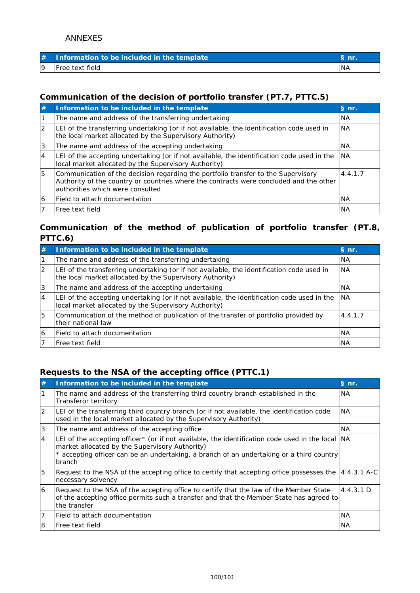| Information to be included in the template |     |
|--------------------------------------------|-----|
| <b>IFree text field</b>                    | 'NA |

## **Communication of the decision of portfolio transfer (PT.7, PTTC.5)**

| #  | Information to be included in the template                                                                                                                                                                      | § nr.      |
|----|-----------------------------------------------------------------------------------------------------------------------------------------------------------------------------------------------------------------|------------|
|    | The name and address of the transferring undertaking                                                                                                                                                            | <b>NA</b>  |
|    | LEI of the transferring undertaking (or if not available, the identification code used in<br>the local market allocated by the Supervisory Authority)                                                           | <b>INA</b> |
|    | The name and address of the accepting undertaking                                                                                                                                                               | <b>NA</b>  |
| 4  | LEI of the accepting undertaking (or if not available, the identification code used in the<br>local market allocated by the Supervisory Authority)                                                              | <b>INA</b> |
| 15 | Communication of the decision regarding the portfolio transfer to the Supervisory<br>Authority of the country or countries where the contracts were concluded and the other<br>authorities which were consulted | 4.4.1.7    |
| 16 | lField to attach documentation                                                                                                                                                                                  | <b>NA</b>  |
|    | lFree text field                                                                                                                                                                                                | <b>NA</b>  |

## **Communication of the method of publication of portfolio transfer (PT.8, PTTC.6)**

| #  | Information to be included in the template                                                                                                            | § nr.     |
|----|-------------------------------------------------------------------------------------------------------------------------------------------------------|-----------|
|    | The name and address of the transferring undertaking                                                                                                  | <b>NA</b> |
| 2  | LEI of the transferring undertaking (or if not available, the identification code used in<br>the local market allocated by the Supervisory Authority) | <b>NA</b> |
| 3  | The name and address of the accepting undertaking                                                                                                     | INA.      |
| 14 | LEI of the accepting undertaking (or if not available, the identification code used in the<br>local market allocated by the Supervisory Authority)    | <b>NA</b> |
| 5  | Communication of the method of publication of the transfer of portfolio provided by<br>their national law                                             | 4.4.1.7   |
| 6  | Field to attach documentation                                                                                                                         | <b>NA</b> |
|    | IFree text field                                                                                                                                      | ΝA        |

## **Requests to the NSA of the accepting office (PTTC.1)**

| #            | Information to be included in the template                                                                                                                                                                                                                       | § nr.     |
|--------------|------------------------------------------------------------------------------------------------------------------------------------------------------------------------------------------------------------------------------------------------------------------|-----------|
|              | The name and address of the transferring third country branch established in the<br>Transferor territory                                                                                                                                                         | <b>NA</b> |
| <sup>2</sup> | LEI of the transferring third country branch (or if not available, the identification code<br>used in the local market allocated by the Supervisory Authority)                                                                                                   | <b>NA</b> |
| 3            | The name and address of the accepting office                                                                                                                                                                                                                     | <b>NA</b> |
| 14           | LEI of the accepting officer* (or if not available, the identification code used in the local  NA<br>market allocated by the Supervisory Authority)<br>* accepting officer can be an undertaking, a branch of an undertaking or a third country<br><b>branch</b> |           |
| 5            | Request to the NSA of the accepting office to certify that accepting office possesses the [4.4.3.1 A-C]<br>necessary solvency                                                                                                                                    |           |
| 6            | Request to the NSA of the accepting office to certify that the law of the Member State<br>of the accepting office permits such a transfer and that the Member State has agreed to<br>the transfer                                                                | 4.4.3.1 D |
| 17           | Field to attach documentation                                                                                                                                                                                                                                    | <b>NA</b> |
| 8            | lFree text field                                                                                                                                                                                                                                                 | <b>NA</b> |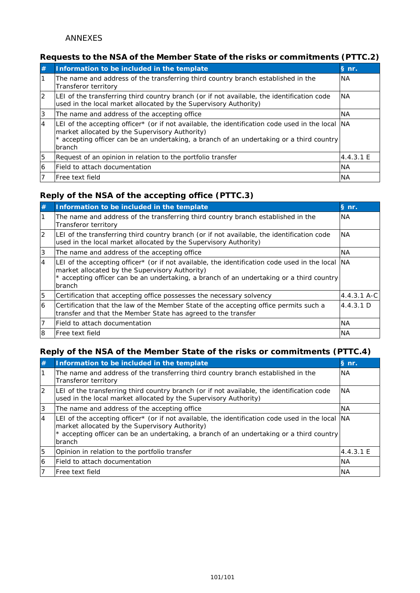## **Requests to the NSA of the Member State of the risks or commitments (PTTC.2)**

| #  | Information to be included in the template                                                                                                                                                                                                                       | § nr.     |
|----|------------------------------------------------------------------------------------------------------------------------------------------------------------------------------------------------------------------------------------------------------------------|-----------|
|    | The name and address of the transferring third country branch established in the<br>Transferor territory                                                                                                                                                         | INA.      |
| 12 | LEI of the transferring third country branch (or if not available, the identification code<br>used in the local market allocated by the Supervisory Authority)                                                                                                   | INA.      |
| 13 | The name and address of the accepting office                                                                                                                                                                                                                     | <b>NA</b> |
| 14 | LEI of the accepting officer* (or if not available, the identification code used in the local  NA<br>market allocated by the Supervisory Authority)<br>* accepting officer can be an undertaking, a branch of an undertaking or a third country<br><b>branch</b> |           |
| 5  | Request of an opinion in relation to the portfolio transfer                                                                                                                                                                                                      | 4.4.3.1 E |
| 16 | lField to attach documentation                                                                                                                                                                                                                                   | INA.      |
|    | lFree text field                                                                                                                                                                                                                                                 | <b>NA</b> |

### **Reply of the NSA of the accepting office (PTTC.3)**

| #              | Information to be included in the template                                                                                                                                                                                                                   | § nr.       |
|----------------|--------------------------------------------------------------------------------------------------------------------------------------------------------------------------------------------------------------------------------------------------------------|-------------|
|                | The name and address of the transferring third country branch established in the<br>Transferor territory                                                                                                                                                     | <b>NA</b>   |
| 2              | LEI of the transferring third country branch (or if not available, the identification code<br>used in the local market allocated by the Supervisory Authority)                                                                                               | NA.         |
| 3              | The name and address of the accepting office                                                                                                                                                                                                                 | <b>NA</b>   |
| $\overline{4}$ | LEI of the accepting officer* (or if not available, the identification code used in the local<br>market allocated by the Supervisory Authority)<br>* accepting officer can be an undertaking, a branch of an undertaking or a third country<br><b>branch</b> | <b>NA</b>   |
| 15             | Certification that accepting office possesses the necessary solvency                                                                                                                                                                                         | 4.4.3.1 A-C |
| 6              | Certification that the law of the Member State of the accepting office permits such a<br>transfer and that the Member State has agreed to the transfer                                                                                                       | 4.4.3.1 D   |
|                | lField to attach documentation                                                                                                                                                                                                                               | <b>NA</b>   |
| I8             | lFree text field                                                                                                                                                                                                                                             | <b>NA</b>   |

## **Reply of the NSA of the Member State of the risks or commitments (PTTC.4)**

| #        | Information to be included in the template                                                                                                                                                                                                                       | § nr.      |
|----------|------------------------------------------------------------------------------------------------------------------------------------------------------------------------------------------------------------------------------------------------------------------|------------|
|          | The name and address of the transferring third country branch established in the<br>Transferor territory                                                                                                                                                         | <b>NA</b>  |
|          | LEI of the transferring third country branch (or if not available, the identification code<br>used in the local market allocated by the Supervisory Authority)                                                                                                   | <b>INA</b> |
| 13       | The name and address of the accepting office                                                                                                                                                                                                                     | <b>NA</b>  |
| <b>4</b> | LEI of the accepting officer* (or if not available, the identification code used in the local  NA<br>market allocated by the Supervisory Authority)<br>* accepting officer can be an undertaking, a branch of an undertaking or a third country<br><b>branch</b> |            |
| 5        | Opinion in relation to the portfolio transfer                                                                                                                                                                                                                    | 4.4.3.1 E  |
| 16       | lField to attach documentation                                                                                                                                                                                                                                   | <b>NA</b>  |
|          | IFree text field                                                                                                                                                                                                                                                 | <b>NA</b>  |